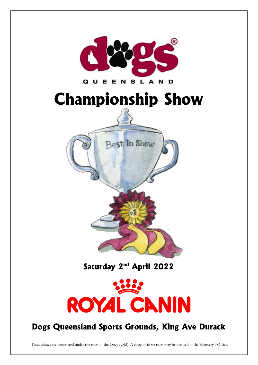

Saturday 2<sup>nd</sup> April 2022



# Dogs Queensland Sports Grounds, King Ave Durack

These shows are conducted under the rules of the Dogs (Qld). A copy of these rules may be perused at the Secretary's Office.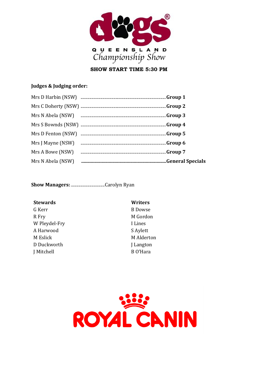

**SHOW START TIME 5:30 PM** 

# Judges & Judging order:

| Mrs A Bowe (NSW)  |  |
|-------------------|--|
| Mrs N Abela (NSW) |  |

# **Stewards**

G Kerr R Fry W Pleydel-Fry A Harwood M Eslick D Duckworth J Mitchell

Writers **B** Dowse M Gordon I Lines S Aylett M Alderton **Langton** B O'Hara

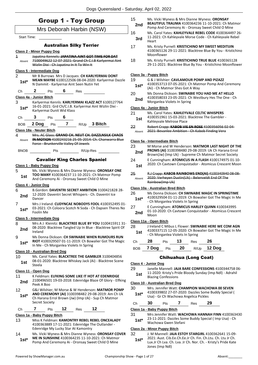|                                   | <b>Group 1 - Toy Group</b>                                                                                                                                                     | 15                 |
|-----------------------------------|--------------------------------------------------------------------------------------------------------------------------------------------------------------------------------|--------------------|
|                                   | Mrs Deborah Harbin (NSW)                                                                                                                                                       |                    |
| <b>Start Time:</b>                |                                                                                                                                                                                | 16                 |
|                                   | <b>Australian Silky Terrier</b>                                                                                                                                                |                    |
|                                   | <b>Class 2 - Minor Puppy Dog</b>                                                                                                                                               | 17                 |
| $\overline{\mathbf{1}}$<br>Absent | Japatina Kennels: JAPATINA AINT GOT TIME FOR DAT<br>7100049622 12 07 2021: Grand Ch C.I.B Karlyermai Aint<br>Wizlin Dixi - Ch Japatina In It To Win It                         | 18                 |
|                                   | Class 5 - Intermediate Dog                                                                                                                                                     |                    |
| 2<br>1st*                         | Mr B Burrows Mrs D Jacques: CH KARLYERMAI DONT<br>MEAN MAYBE 6100122506 08-04-2020: Karlyermai Dazzle<br>N Dammit - Karlyernai Aint Seen Nutin Yet                             | Class<br>19        |
| Ch                                | 2<br>$6$ Res<br>Pts                                                                                                                                                            | 20                 |
|                                   | Class 4a - Junior Bitch                                                                                                                                                        |                    |
| 3<br>$1st^*$                      | Karlyermai Kennls: KARLYERMAI KLAZZ ACT 6100127764<br>16-01-2021: Grd Ch/C.I.B. Karlyermai Aint Wizlin Dixi -<br>Karlyermai Dunit Wid Klass                                    | Class<br>21        |
| Сh                                | $\overline{\mathbf{3}}$<br>6<br><b>Pts</b>                                                                                                                                     |                    |
| BOB                               | 2 Dog Pts 7 R/Up 3 Bitch                                                                                                                                                       | 22                 |
|                                   | Class 18a - Neuter Bitch                                                                                                                                                       |                    |
| 4                                 | Mrs. AC Glass: GRAND CH. NEUT CH. DAZZLNSILK CHAOS<br><b>IN MOTION 4100243216 25 05 2014: Ch. Chanwarra Blue</b>                                                               |                    |
| Absent                            | Force - Brunkerville Valley Of Jewels                                                                                                                                          | <b>Class</b><br>23 |
| <b>BNOB</b>                       | R/Up-Res<br>Pts                                                                                                                                                                |                    |
|                                   |                                                                                                                                                                                |                    |
|                                   | <b>Cavalier King Charles Spaniel</b><br><u> Class 1 - Baby Puppy Dog</u>                                                                                                       | 24                 |
| 5                                 | Ms. Vicki Wyness & Mrs Dianne Wyness: ORONSAY ONE                                                                                                                              |                    |
| 1st                               | TOO MANY 4100364237 11-10-2021: Ch Matmor Pomp<br>And Ceremony Ai - Oronsay Sweet Child O Mine                                                                                 | 25                 |
|                                   | Class 4 - Junior Dog                                                                                                                                                           |                    |
| 6                                 | B.Gordon: DAVENTRI SECRET AMBITION 3100421828 28-                                                                                                                              | <u>Class</u>       |
| 2nd                               | 12-2020: Daventri Secret Whispers - Ch. Daventri Ice<br>Dancer                                                                                                                 | 26                 |
| $\overline{7}$<br>1st*            | Mrs J Ireland: CUDYNCAE NOBODYS FOOL 4100352495 01-<br>03-2021: Ch Coloora Scotch N Soda - Ch Dapsen Theres No<br>Foolin Me                                                    | 27                 |
|                                   | Class 5 - Intermediate Dog                                                                                                                                                     |                    |
| 8<br>2nd                          | Mrs A J Kleinitz: BLACKTREE BLUE BY YOU 3100415911 31-<br>08-2020: Blacktree Tangled Up In Blue - Blacktree Spirit Of<br>Ireland                                               | Class<br>28        |
| 9<br>1st*                         | Ms Donna Dickson: CH SWINABIE WHEN RUMOURS RUN<br>RIOT 4100329507 01-11-2019: Ch Bowalier Got The Magic<br>In Me - Ch Morganlea Violets In Spring                              | Ch                 |
|                                   | <b>Class 10 - Australian Bred Dog</b>                                                                                                                                          | <b>BOE</b>         |
| 10<br>1st                         | Ms. Carol Yates: BLACKTREE THE GAMBLER 3100404856<br>08-01-2020: Blacktree Whiskey Jack (Ai) - Blacktree Scene<br>Steela                                                       | <b>Class</b>       |
|                                   | Class 11 - Open Dog                                                                                                                                                            | 29                 |
| 11<br>2nd                         | K Feldman: ELFKING SOME LIKE IT HOT AT EDENRIDGE<br>2100496501 19-03-2018: Edenridge Blaze Of Glory - Elfking<br>Peek A Boo                                                    | <u>Class</u>       |
| 12<br>$1st^*$                     | G&J Wilshier, M Morse & W Henderson: MATMOR POMP<br>AND CEREMONY (AI) 3100398482 29-08-2019: Am Ch Uk<br>Ch Harana Errol Brown (Jw) (Imp Uk) - Sup Ch Matmor<br>Secret Society | 30<br>Ch           |
| Ch                                | 12<br>7<br>12<br>Pts<br>Res                                                                                                                                                    | Class              |
|                                   | Class 1a - Baby Puppy Bitch                                                                                                                                                    | 31                 |
| 13                                | Miss K Feldman: KAMONTRY REBEL REBEL ONCEALADY<br>4100363889 17-11-2021: Edenridge The Outlander -<br>Edenridge My Lucky Star At Kamontry                                      | <b>Class</b>       |

14 Ms. Vicki Wyness & Mrs Dianne Wyness: **ORONSAY COVER ME IN SUNSHINE** 4100364235 11-10-2021: Ch Matmor **1st\*** ME IN SUNSHINE 4100364235 11-10-2021: Ch Matmorship Pomp And Ceremony Ai - Oronsay Sweet Child O Mine

| 2nd           | <b>BEAUTIFUL TRAUMA 4100364236 11-10-2021: Ch Matmor</b><br>Pomp And Ceremony Ai - Oronsay Sweet Child O Mine                                   |
|---------------|-------------------------------------------------------------------------------------------------------------------------------------------------|
| 16            | Ms. Carol Yates: KAHLEYVALE REBEL CODE 4100364497 26-                                                                                           |
| 3rd           | 11-2021: Ch Kahleyvale Morse Code - Ch Kahleyvale Rebel<br>Heart                                                                                |
| 17            | Ms. Kristy Purnell: KRISTICHINO MY SWEET MEDITIJIN<br>4100365126 29-11-2021: Blacktree Blue By You - Kristichino<br>Moonflower                  |
| 18            | Ms. Kristy Purnell: KRISTICHINO TRUE BLUE 4100365128<br>29-11-2021: Blacktree Blue By You - Kristichino Moonflower                              |
|               | Class 3a - Puppy Bitch                                                                                                                          |
| 19            | G & J Wilshier: CAVLAMOUR POMP AND PIZAZZ                                                                                                       |
| 1st*          | 4100353713 07-05-2021: Ch Matmor Pomp And Ceremony<br>(Ai) - Ch Matmor Shes Got A Way                                                           |
| 20<br>2nd     | Ms Donna Dickson: SWINABIE YOU HAD ME AT HELLO<br>4100358033 23-05-2021: Ch Westbury Hes The One - Ch<br>Morganlea Violets In Spring            |
|               | Class 4a - Junior Bitch                                                                                                                         |
| 21<br>1st     | Ms. Carol Yates: KAHLEYVALE CELTIC WHISPERS<br>4100351961 15-03-2021: Blacktree The Gambler -<br>Kahleyvale Melrose Place                       |
| 22<br>Absent  | Robert Crapp: KABOB VIE EN ROSE 4100356056 02-04-<br>2021: Bevanlee Ambition Ch Kabob Finding Vera                                              |
|               | Class 5a - Intermediate Bitch                                                                                                                   |
| 23            | M Morse and W Henderson: MATMOR LAST NIGHT OF THE<br>PROMS (AI) 3100398480 29-08-2019: Uk Ch Harana Errol                                       |
| 2nd           | Brown(Jw) (Imp Uk) - Supreme Ch Matmor Secret Society                                                                                           |
| 24            | E Cunningham: ATOMICUS IN A FLASH 4100174975 01-10-                                                                                             |
| 1st           | 2020: Ch Cavtown Conquistador - Atomicus Crescent Moon                                                                                          |
| 25<br>Absent  | R.J Crapp: KABOB RAINBOWS END(AI) 4100340940 08-08-<br>2020: Verheyen Dustin(Uk) - Belenveldt End Of The<br>Rainbow(Imp Uk)                     |
|               | Class 10a - Australian Bred Bitch                                                                                                               |
| 26<br>$1st^*$ | Ms Donna Dickson: CH SWINABIE MAGIC IN SPRINGTIME<br>4100329504 01-11-2019: Ch Bowalier Got The Magic In Me<br>- Ch Morganlea Violets In Spring |
| 27<br>2nd     | E Cunningham: ATOMICUS HARLEY QUINN 4100343995<br>01-10-2020: Ch Cavtown Conquistador - Atomicus Crescent<br>Moon                               |
|               | Class 11a - Open Bitch                                                                                                                          |
| 28            | J Ireland C Mibus L Flower: SWINABIE HERE WE COM AGN                                                                                            |
| 1st           | 4100337115 12-05-2020: Ch Bowalier Got The Magic In Me<br>- Ch Morganlea Violets In Spring                                                      |
| Ch            | 28<br>Pts 13<br>$Res$ 26                                                                                                                        |
| BOB           | $R/Up$ 12 Dog<br>20<br>7 Dog<br>Pts                                                                                                             |
|               | <b>Chihuahua (Long Coat)</b>                                                                                                                    |
|               | Class 4 - Junior Dog                                                                                                                            |
| 29            | Janelle Mannell: JAJA BARE CONFESSIONS 4100344758 06-                                                                                           |

15 Ms. Vicki Wyness & Mrs Dianne Wyness: **ORONSAY** 

11-2020: Kristy's Pride Bloody Sunday (Imp Ndl) - Adrahil **st 11-2020:** Kristy S Prin<br>Blazing Confessions

#### **Class 10 - Australian Bred Dog**

- 30 Mrs. Jennifer Watt: **CHAMPION WACHOWA 00 SEVEN** 4100339802 27-07-2020: Dazzles Some Buddy Special (
- 1<sup>\*</sup> 4100339802 27-07-2020: Dazzles Some<br>Usa) Gr Ch Wachowa Angelica Pickles
- Ch **30** Pts **7** Res **29**

### **Class 1a - Baby Puppy Bitch**

- 31 Mrs Jennifer Watt: **WACHOWA HANNAH FINN** 4100363430
- 23-11-2021: Dazzles Some Buddy Special ( Imp Usa) Ch Wachowa Gwen Stefani **1st\***

### **Class 2a - Minor Puppy Bitch**

32 J. M Mannell: **JAJA ESTOY STARGIRL** 4100362641 15-09-

2021: Aust. Cib.Ee.Ch.Ee.Jr Ch. Fin. Ch.Ltu. Ch. Ltu Jr Ch. Lux.Jr Ch Lva. Ch. Lva. Jr Ch. Nor. Ch. - Kristy's Pride Kate Jones (Imp Ndl) **1st\***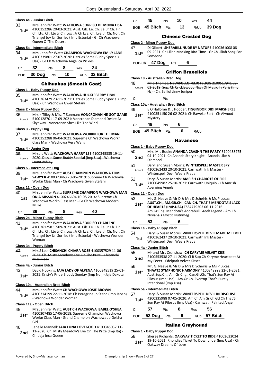### **Class 4a - Junior Bitch**

- 33 Mrs Jennifer Watt: **WACHOWA SORRISO DE MONA LISA** 4100352286 20-03-2021: Aust. Cib. Ee. Ch. Ee. Jr Ch. Fin.
	- Ch. Ltu. Ch. Ltu Jr Ch. Lux . Jr Ch Lva. Ch. Lva. Jr Ch. Nor. Ch Triangel Joy Un Sorriso ( Imp Estonia) - Gr Ch Wachowa Queen Of The Desert **1st\***

#### **Class 5a - Intermediate Bitch**

34 Mrs. Jennifer Watt: **CHAMPION WACHOWA EMILY JANE** 4100339801 27-07-2020: Dazzles Some Buddy Special ( **1st** 4100339801 27-07-2020: Dazzles Some<br>Usa) - Gr Ch Wachowa Angelica Pickles

| -- |  |  |
|----|--|--|
|    |  |  |

BOB **30 Dog** Pts **10** R/Up **32 Bitch**

### Chihuahua (Smooth Coat)

### **Class 1 - Baby Puppy Dog**

35 Mrs Jennifer Watt: **WACHOWA HUCKLEBERRY FINN** 4100363429 23-11-2021: Dazzles Some Buddy Special ( Imp Usa) - Ch Wachowa Gwen Stefani **1st\***

#### **Class 2 - Minor Puppy Dog**

| Mrs K Tilley & Miss T Sunman: VONCRONAN HE GOT GAME |
|-----------------------------------------------------|
| 5100128701 17-09-2021: Voncronan Diamond Desire At  |
|                                                     |
|                                                     |

#### **Class 3 - Puppy Dog**

37 Mrs Jennifer Watt: **WACHOWA WORKN FOR THE MAN** 4100352288 06-04-2021: Supreme Ch Wachowa Workn 1st\* 4100352288 06-04-2021: Suprem<br>Class Man - Wachowa Vera Wang

**Class 4 - Junior Dog**

38 Mrs J L Watt: **WACHOWA HARRY LEE** 4100345335 19-11- 2020: Dazzle Some Buddy Special (Imp Usa) - Wachowa Laura Ashley Absent

#### **Class 5 - Intermediate Dog**

39 Mrs Jennifer Watt: **AUST CHAMPION WACHOWA TOM SAWYER** 4100323463 20-06-2019: Supreme Ch Wachowa Workn Class Man - Ch Wachowa Gwen Stefani **1st\***

#### **Class 11 - Open Dog**

- 40 Mrs Jennifer Watt: **SUPREME CHAMPION WACHOWA MAN ON A MISSION** 4100246604 10-08-2014: Supreme Ch Wachowa Workn Class Man - Gr Ch Wachowa Modern Millie **1st**
- Ch **39** Pts **8** Res **40**

### **Class 2a - Minor Puppy Bitch**

41 Mrs Jennifer Watt: **WACHOWA SORRISO CHARLENE** 4100361258 17-09-2021: Aust. Cib. Ee. Ch. Ee. Jr Ch. Fin. Ch. Ltu. Ch. Ltu Jr Ch. Lux . Jr Ch Lva. Ch. Lva. Jr Ch. Nor. Ch Triangel Joy Un Sorriso ( Imp Estonia) - Wachowa Wonder Woman **1st\***

### **Class 3a - Puppy Bitch**

42 Mrs S Lee: **CHISANCHI CHIARA ROSE** 4100357529 11-06- 2021: Ch. Misty Meadows Eye On The Prize - Chisanchi Missi Rose Absent

### **Class 4a - Junior Bitch**

43 David Hopkins: **JAJA LADY OF ALPENA** 4100348519 25-01- 2021: Kristy's Pride Bloody Sunday (Imp Ndl) - Jaja Dakota **1st\***

### **Class 10a - Australian Bred Bitch**

- 44 Mrs Jennifer Watt: **CH WACHOWA JOSIE BROWN**
	- 4100314199 22-11-2018: Ch Peregrine Jp Stand (Imp Japan) - Wachowa Wonder Woman **1st\***

### **Class 11a - Open Bitch**

- 45 Mrs Jennifer Watt: **AUST CH WACHOWA ISABEL O'SHEA** 4100307485 17-06-2018: Supreme Champion Wachowa Workn Class Man - Grand Champion Wachowa Jp Geisha Girl **1st\***
- 46 Janelle Mannell: **JAJA LUNA LOVEGOOD** 4100345037 11- 11-2020: Ch. Misty Meadow's Eye On The Prize (Imp Ita) - **2nd** LI-2020: Ch. MISty<br>Ch. Jaja Inca Queen

| Ch | 45                                 | Pts | - 10 | Res |                  |
|----|------------------------------------|-----|------|-----|------------------|
|    | $_{\rm BOB}$ 45 Bitch $_{\rm Pts}$ |     |      |     | 13 $R/Up$ 39 Dog |

### Chinese Crested Dog

- **Class 2 - Minor Puppy Dog**
- 47 Di Gilbert: **SHERABILL NUDE BY NATURE** 4100361008 08- 09-2021: Ch Liliah Mocking Bird Time - Gr Ch Liliah Song For  $1$ **st** $*$ <sup> $09-ZUZ1$ </sup>

BOB-Ch **47 Dog** Pts **6**

### Griffon Bruxellois

#### **Class 10 - Australian Bred Dog**

48 Mr S Thomas: **NEVAFOLLO FELIX FELICIS** 2100517941 28- 03-2019: Sup. Ch Cricklewood Nigh Of Magic In Paris (Imp Nz) - Ch. Balliol Jinny Juniper Absent

Ch Pts

**Class 10a - Australian Bred Bitch**

- 49 E O'Halloran & L Hooper: **TIGGINDOR DIDI MARSHEREE** 4100351150 26-02-2021: Ch Raweke Bart - Ch Alwood Mystery **1st\***
- Ch **49** Pts **6**
- BOB **49 Bitch** Pts **6** R/Up

### Havanese

#### **Class 1 - Baby Puppy Dog**

- 50 Mrs M L Boole: **ANANDA CRASHN THE PARTY** 3100438275 04-10-2021: Ch Ananda Stary Knight - Ananda Like A **2nd**  $\frac{U4 - 10 - 20}{Diamond}$
- 51 Daryl and Susan Morris: **WINTERSPELL MASTER SPY** 4100362433 20-10-2021: Carnwath Ink Master - Winterspell Devil Wears Prada Absent
- 52 Daryl & Susan Morris: **AMRISH CHARIOTS OF FIRE**
- 7100049982 25-10-2021: Carnwath Uniquio Ch Amrish Avenging Angels **1st\***

### **Class 11 - Open Dog**

- 53 Mr. G. Neave & Mr D & Mrs D Scheiris & Ms P Lucas:
	- **AUST.CH., AM.GR.CH., CAN.CH. THAT'S MENDOTA'S JACK OF HEARTS (IMP.USA)** TS34779203 06-11-2016: **1st\***
		- Am.Gr.Chg. Mendota's Adorabull Greek Legend Am.Ch. Nirvana's Mystic Nutnmeg

### Ch **53** Pts **6**

### **Class 1a - Baby Puppy Bitch**

- 54 Daryl & Susan Morris: **WINTERSPELL DEVIL MADE ME DOIT** 4100362437 20-10-2021: Carnwath Ink Master -
	-
- 55 Mr and Mrs Cronshaw: **CH KARYME VELVET KISS**
- 2100553538 27-11-2020: Ci B Sup Ch Karyme Heartbeat At My Feeet - Edelpark Velvet Kisses **2nd**
- 56 Mr. G. Neave & Mr D & Mrs D Scheiris & Ms P Lucas: **THAATZ SYMPHONIC HARMONY** 4100348998 22-01-2021: Aust.Sup.Ch., Am.Gr.Chg., Can.Gr.Ch. That's Sun Ray At **1st\***
	- Pilosus (Imp.Usa) Am.Gr.Ch. Evertop That's Purely Intentional (Imp.Usa)

### **Class 5a - Intermediate Bitch**

| 57     | Daryl & Susan Morris: WINTERSPELL DEVIL IN DISGUISE |
|--------|-----------------------------------------------------|
| $1st*$ | 4200335988 07-05-2020: Am Ch Am Gr Ch Gd Ch That'S  |

Sun Ray At Pilosus (Imp Usa) - Carnwath Painted Angel Ch **57** Pts **8** Res **56**

| --- |                |  | ------- |               |  |
|-----|----------------|--|---------|---------------|--|
|     | BOB 53 Dog Pts |  |         | R/Up 57 Bitch |  |

### Italian Greyhound

### **Class 1 - Baby Puppy Dog**

58 Sheree Richards: **OAKWAY TICKET TO RIDE** 41003633024 19-10-2021: Rhondies Ticket To Downunder(Imp Usa) - Ch **1st** 19-10-2021: Rhondies TR<br>Oakway Dreams Of Love

**Class 4a - Junior Bitch**

Winterspell Devil Wears Prada **1st**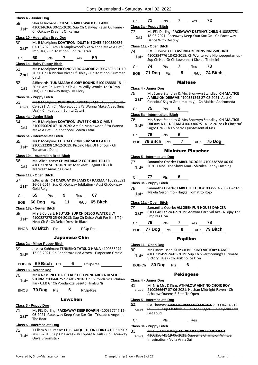### **Class 4 - Junior Dog**

| 59 | Sheree Richards: CH.SHERABILL WALK OF FAME                                     |
|----|--------------------------------------------------------------------------------|
|    | $11002102002011$ $11020000000$ $1.6$ $2.5$ $1.0$ $1.0$ $1.0$ $1.0$ $1.0$ $1.0$ |

4100346366 30-11-2020: Sup Ch Oakway Reign Ov Fame - **1st** <sup>4100346366 30-11-2020: Sup<br>Ch Oakway Dreams Of Karma</sup>

### **Class 10 - Australian Bred Dog**

60 Ms B McAlpine: **KOATIPONI DUST N BONES** 2100550624 07-10-2020: Am.Ch Maplewood'S Ya Wanna Make A Bet ( **1st** UP-10-2020. Ann.Ch Maplewood 5 Ta<br>Imp Usa) - Ch Koatiponi Bonita Catari

### Ch **60** Pts **7** Res **59**

### **Class 1a - Baby Puppy Bitch**

61 Ms B McAlpine: **PICCINO VERO AMORE** 2100578356 21-10- 2021: Gr Ch Piccino Vicar Of Dibley - Ch Koatiponi Summer **2nd** <u><sup>2021</sub></u></u></sup> 62 S.Richards: **TUNAMARA GLORY BOUND** 5100128888 18-11- 2021: Am Ch.Aust Sup Ch Alura Willy Wonka To Oz(Imp **1st** 2021: Am Ch.Aust Sup Ch Alura W<br>Usa) - Ch Oakway Reign Ov Glory

### **Class 3a - Puppy Bitch**

63 Ms B McAlpine: **KOATIPONI WITCHCRAFT** 2100565486 15- 05-2021: Am Ch Maplewood's Ya Wanna Make A Bet (Imp Usa) - Ch Koatiponi Bonita Catari Absent

#### **Class 4a - Junior Bitch**

64 Ms B McAlpine: **KOATIPONI SWEET CHILD O MINE** 2100550626 07-10-2020: Am.Ch Maplewood'S Ya Wanna Make A Bet - Ch Koatiponi Bonita Catari **1st**

#### **Class 5a - Intermediate Bitch**

- 65 Ms B McAlpine: **CH KOATIPONI SUMMER CATCH**
	- 2100532398 10-12-2019: Piccino Flag Of Honour Ch Tunamara Delta **1st\***

#### **Class 10a - Australian Bred Bitch**

66 Ms. Alicia Keast: **CH MERIKAEZ FORTUNE TELLER** 4100312874 19-10-2018: Merikaez Elegant Eli - Ch Merikaez Amazing Grace **1st**

#### **Class 11a - Open Bitch**

67 S.Richards: **CH OAKWAY DREAMS OF KARMA** 4100295591 16-08-2017: Sup Ch.Oakway Jubilation - Aust Ch.Oakway 1st<sup>\*</sup> <sup>1b-08-2017</sup>

| Ch | 65 | Pts | 9 | <b>Res</b> | 67 |
|----|----|-----|---|------------|----|
|    |    |     |   |            |    |

BOB **60 Dog** Pts **11** R/Up **65 Bitch**

### **Class 18a - Neuter Bitch**

68 Mrs.E.Colbert: **NEUT.CH.SUP CH DELCO WATER LILY** 4100227275 25-04-2013: Sup Ch Delco Wait For It ( E T ) - 1st\* 4100227275 25-04-2013: Sup Cn Dividend<br>Neut Ch Gr Ch Delco Dress In Black

BNOB **68 Bitch** Pts **6** R/Up-Res

#### Japanese Chin

### **Class 2a - Minor Puppy Bitch**

69 Jessica Kohlman: **TENKEIKO TATSUO HANA** 4100365277 12-08-2021: Ch Pondaroza Red Arrow - Furperson Gracie **1st\***

| BOB-Ch 69 Bitch Pts |  |  | R/Up-Res |
|---------------------|--|--|----------|
|---------------------|--|--|----------|

### **Class 18 - Neuter Dog**

70 Mr A Ness: **NEUTER CH AUST CH PONDAROZA DESERT STORM** 2100446252 23-01-2016: Gr Ch Pondaroza Ichiban Iku - C.I.B Gr Ch Pondaroza Besuto Himtsu Ni **1st\***

BNOB **70 Dog** Pts **6** R/Up-Res

### Lowchen

### **Class 3 - Puppy Dog**

- 71 Ms FEL Darling: **PACEAWAY KEEP ROARIN** 4100357747 12- 06-2021: Paceaway Keep Your Sox On - Triscadec Angel In
- 1st<sup>\*</sup> U<sub>D-ZUZ1</sub>:<br>The Roar

### **Class 5 - Intermediate Dog**

72 T Ellem & D Freese: **CH BEAUQUETE ON POINT** 4100326907 28-09-2019: Sup Ch Paceaway Tophat N Tails - Ch Paceaway **1st**\* <sup>28-09-2019: Sup</sup>

| Сh<br>≺es<br>ເວ<br>__ |
|-----------------------|
|-----------------------|

### **Class 3a - Puppy Bitch**

73 Ms FEL Darling: **PACEAWAY DESTINYS CHILD** 4100357751 18-06-2021: Paceaway Keep Your Sox On - Ch Paceaway **1st** <sup>18-00-2021: Paceaw</sup><br>Dance With Destiny

### **Class 11a - Open Bitch**

| 74<br>$1st*$ |        |                 |   |      | L & C Horne: CH LOWENHART RUNS RINGSROUND<br>4100254776 18-02-2015: Ch Wyntervale Hiphopopotamus -<br>Sup Ch Neu Gr Ch Lowenhart Kickup Theheini |  |
|--------------|--------|-----------------|---|------|--------------------------------------------------------------------------------------------------------------------------------------------------|--|
| Ch           | 74     | P <sub>ts</sub> |   | Res  | 73                                                                                                                                               |  |
| <b>BOB</b>   | 71 Dog | <b>Pts</b>      | 9 | R/Up | 74 Bitch                                                                                                                                         |  |

### Maltese

### **Class 4 - Junior Dog**

75 Mr. Steve Standley & Mrs Bronwyn Standley: **CH MALTICE A MILLION DREAMS** 4100351345 27-02-2021: Aust Ch Cinecitta' Sagro Gra (Imp Italy) - Ch Maltice Andromeda **1st\***

| ∵n<br>_ | - | тс:<br>$\overline{\phantom{a}}$ |  |
|---------|---|---------------------------------|--|
|         |   |                                 |  |

### **Class 5a - Intermediate Bitch**

76 Mr. Steve Standley & Mrs Bronwyn Standley: **CH MALTICE DREAM A LIL DREAM** 4100330675 14-12-2019: Ch Cincetta' **1st\*** DREAM A LIL DREAM 41003306/5 14-12-2<br>Sagro Gra - Ch Toiperro Quintessential Kiss

### Ch **76** Pts **6**

BOB **76 Bitch** Pts **7** R/Up **75 Dog**

### Miniature Pinscher

#### **Class 5 - Intermediate Dog**

77 Samantha Oberle: **FAIBEL RODGER** 4100338788 06-06- 2020: Faibel The Show Man - Shiralea Penny Farthing **1st\***

## Ch **77** Pts **6**

### **Class 3a - Puppy Bitch**

78 Samantha Oberle: **FAIBEL LET IT B** 4100355146 08-05-2021: Maxila Geronimo - Haggai Tomatito Rojo **1st\***

#### **Class 11a - Open Bitch**

- Empires Diva **1st\***
- Ch **79** Pts **7** Res **78** BOB **77 Dog** Pts **8** R/Up **79 Bitch**
	-

### Papillon

### **Class 11 - Open Dog**

80 Mr I Rasmussen: **SUP CH BIRIKINO VICTORY DANCE**

4100319459 24-01-2019: Sup Ch Sivermorning's Ultimate **1st** <sup>4100319459 24-01-2019: Sup Cn State Microsy (Usa) - Ch Birikino Ice Diva</sup>

BOB-Ch **80 Dog** Pts **6**

### Pekingese

#### **Class 4 - Junior Dog**

81 Mr N & Mrs D King: **ATHALOW AINT NO CHOIR BOY** 2100566647 07-06-2021: Hushan Midnight Raven - Ch Athalow Queens R Beta To Open Absent

**Class 5 - Intermediate Dog**

82 S A Thomas: **KHYLEINI MASCHIO FATALE** 7100047146 12- 09-2020: Sup Ch Khyleini Call Me Digger - Ch Khyleini Letz Get Loud Absent

### Ch Pts Res

### **Class 3a - Puppy Bitch**

83 Mr N & Mrs D King: **CHINDARA GIRLEY MOMENT** 4100356741 19-06-2021: Supreme Champion Winwei Imagination - Voila Anna Sui Absent

- 79 Samantha Oberle: **ALLOBEK FUN HOUSE DANCER** 6100048137 24-02-2019: Adawar Carnival Act - Nikijay The
-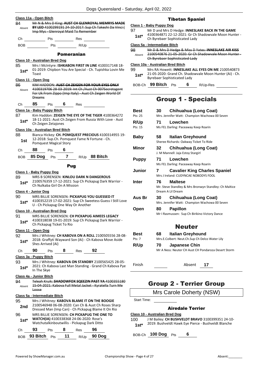| 84<br>Absent  | Mr N & Mrs D King: AUST CH GLENROYAL MEMRYS MADE<br>BY LEO 4100299191 24-10-2017: Sup Ch Takeshi Da Vinci (<br>Imp Mys - Glenroyal Maid To Remember                                                        |  |
|---------------|------------------------------------------------------------------------------------------------------------------------------------------------------------------------------------------------------------|--|
| Ch            | <u>___</u> Pts<br>Res                                                                                                                                                                                      |  |
| BOB           | Pts R/Up                                                                                                                                                                                                   |  |
|               | <b>Pomeranian</b>                                                                                                                                                                                          |  |
| 85<br>$1st*$  | Class 10 - Australian Bred Dog<br>Mrs I McIntyre: ISHKABON FIRST IN LINE 4100317148 18-<br>01-2019: Chipbon You Are Special - Ch. Tupishka Lovin Me<br>Toast                                               |  |
| 86<br>Absent  | Class 11 - Open Dog<br>KIM HADDON: AUST CH ZEIGEN FOR YOUR EYES ONLY<br>4100319706 28-03-2019: Int Ch / Aust Ch 007Secretagent<br>For Uk From Zippo (Imp Italy) - Aust Ch Zeigen World Of<br><b>Dreams</b> |  |
| Сh            | 85<br>$6$ Res<br><b>Pts</b>                                                                                                                                                                                |  |
|               | Class 1a - Baby Puppy Bitch                                                                                                                                                                                |  |
| 87<br>1st*    | Kim Haddon: ZEIGEN THE EYE OF THE TIGER 4100364272<br>18-11-2021: Aust Ch Zeigen From Russia With Love - Aust<br>Ch Zeigen Zetajones                                                                       |  |
|               | Class 10a - Australian Bred Bitch                                                                                                                                                                          |  |
| 88<br>1st     | Bianca Hickey: CH. POMQUEST PRECIOUS 4100314955 19-<br>12-2018: Sup.Ch. Pomquest Fame N Fortune - Ch.<br><b>Pomquest Magical Story</b>                                                                     |  |
| Сh            | <b>88</b> Pts 6                                                                                                                                                                                            |  |
| BOB           | 85 Dog Pts 7 R/Up 88 Bitch                                                                                                                                                                                 |  |
|               | Pug                                                                                                                                                                                                        |  |
| 89<br>1st*    | Class 1 - Baby Puppy Dog<br>MRS B SORENSEN: KINLOU DARK N DANGEROUS<br>2100576359 17-12-2021: Sup Ch Pickapug Dark Warrior -<br>Ch Nulkaba Girl On A Mission                                               |  |
|               | Class 4 - Junior Dog                                                                                                                                                                                       |  |
| 90<br>$1st^*$ | MRS BILLIE SORENSEN: PICKAPUG YOU GUESSED IT<br>4100352219 17-02-2021: Sup Ch Sweetess Guess I Still Love<br>U - Ch Pickapug One Way Or Another                                                            |  |
|               | Class 10 - Australian Bred Dog                                                                                                                                                                             |  |
| 91<br>$1st*$  | MRS BILLIE SORENSEN: <b>CH PICKAPUG AIMEES LEGACY</b><br>4100318038 19-01-2019: Sup Ch Pickapug Dark Warrior -<br>Ch Pickapug Ticket To Rio                                                                |  |
|               | Class 11 - Open Dog                                                                                                                                                                                        |  |
| 92<br>$1st*$  | Mrs J Whitney: CH KABOVA ON A ROLL 2100505556 28-08-<br>2018: Graffyti Wayward Son (Ai) - Ch Kabova Move Aside<br>Shes Arrived (Ai)                                                                        |  |
| Сh            | 90<br>8<br>92<br>Pts<br><b>Res</b>                                                                                                                                                                         |  |
| 93<br>1st*    | <u> Class 3a - Puppy Bitch</u><br>Mrs J Whitney: KABOVA ON STANDBY 2100565425 28-05-<br>2021: Ch Kabova Last Man Standing - Grand Ch Kabova Pye<br>In The Skye                                             |  |
| 94<br>Absent  | Class 4a - Junior Bitch<br>Teleah Kruik: SHADOWFOX SQEEZIN PAST YA 4100355180<br>15-04-2021: Kabova Full Metal Jacket - Kyratella Turn Me<br><del>Loose</del>                                              |  |
|               | Class 5a - Intermediate Bitch                                                                                                                                                                              |  |
| 95<br>2nd     | Mrs J Whitney: KABOVA BLAME IT ON THE BOOGIE<br>2100546948 06-08-2020: Can Ch & Aust Ch Roses Sharp<br>Dressed Man (Imp Can) - Ch Pickapug Blame It On Rio                                                 |  |
|               |                                                                                                                                                                                                            |  |
| 96<br>1st*    | MRS BILLIE SORENSEN: CH PICKAPUG THE ONE TO<br>WATCH(IA) 4100338368 24-06-2020: Rose's<br>Watchutalkinboutwillis - Pickapug Dark Ditto                                                                     |  |
| Сh            | 93<br>8<br>96<br>Pts<br>Res                                                                                                                                                                                |  |

### Tibetan Spaniel

### **Class 1 - Baby Puppy Dog**

- 97 Mr D and Mrs D Hedge: **INNESLAKE BACK IN THE GAME** 4100364871 22-12-2021: Gr Ch Shadowvale Moon Hunter -
	- **1st**\* 4100364871 22-12-2021: Gr Ch<br>Ch Byrebaer Sophisticated Lady

### **Class 5a - Intermediate Bitch**

| 98     | Mr D & Mrs D Hedge & Miss D Yates: INNESLAKE AIR KISS |
|--------|-------------------------------------------------------|
| Absent | 2100540876 21-05-2020: Gr Ch Shadowvale Moon Hunter - |
|        | Ch Byrebaer Sophisticated Lady                        |

### **Class 10a - Australian Bred Bitch**

| 99<br>$1st*$ | <b>Byrebaer Sophisticated Lady</b> |            |   |          | Mrs RA Howett: <b>INNESLAKE ALL EYES ON ME 2100540873</b><br>21-05-2020: Grand Ch. Shadowvale Moon Hunter (Ai) - Ch. |
|--------------|------------------------------------|------------|---|----------|----------------------------------------------------------------------------------------------------------------------|
|              | BOB-Ch 99 Bitch                    | <b>Pts</b> | 6 | R/Up-Res |                                                                                                                      |

# Group 1 - Specials

| Best         | 30. | Chihuahua (Long Coat)                                                        |
|--------------|-----|------------------------------------------------------------------------------|
| Pts: 25      |     | Mrs. Jennifer Watt: Champion Wachowa 00 Seven                                |
| <b>R/Up</b>  | 71  | Lowchen                                                                      |
| Pts: 15      |     | Ms FEL Darling: Paceaway Keep Roarin                                         |
| Baby         | 58. | Italian Greyhound                                                            |
|              |     | Sheree Richards: Oakway Ticket To Ride                                       |
| Minor        | 32  | Chihuahua (Long Coat)<br>J. M Mannell: Jaja Estoy Stargirl                   |
| <b>Puppy</b> | 71  | Lowchen                                                                      |
|              |     | Ms FEL Darling: Paceaway Keep Roarin                                         |
| Junior       | 7   | <b>Cavalier King Charles Spaniel</b><br>Mrs J Ireland: CUDYNCAE NOBODYS FOOL |
| Inter        | 76  | <b>Maltese</b>                                                               |
|              |     | Mr. Steve Standley & Mrs Bronwyn Standley: Ch Maltice<br>Dream A Lil Dream   |
| Aus Br       | 30  | Chihuahua (Long Coat)                                                        |
|              |     | Mrs. Jennifer Watt: Champion Wachowa 00 Seven                                |
| Open         | 80  | <b>Papillon</b>                                                              |
|              |     | Mr I Rasmussen: Sup Ch Birikino Victory Dance                                |
|              |     | <b>Neuter</b>                                                                |
| <b>Best</b>  | 68. | <b>Italian Greyhound</b>                                                     |
| Pts: 7       |     | Mrs.E.Colbert: Neut.Ch.Sup Ch Delco Water Lily                               |
| R/Up         | 70  | <b>Japanese Chin</b>                                                         |
|              |     | Mr A Ness: Neuter CH Aust CH Pondaroza Desert Storm                          |

Finish Absent **17**

# Group 2 - Terrier Group

Mrs Carole Doherty (NSW)

Start Time:

### Airedale Terrier

### **Class 10 - Australian Bred Dog**

100 J M Bailey: **CH BUSHVELDT BRAVO** 3100399351 24-10- 2019: Bushveldt Hawk Eye Pierce - Bushveldt Blanche **1st\***

BOB-Ch **100 Dog** Pts **6**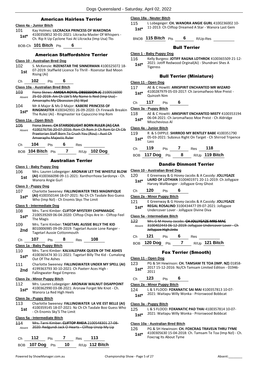### American Hairless Terrier

|                | Class 4a - Junior Bitch                  |       |                           |                                                                                                                                                                 |                                                              |
|----------------|------------------------------------------|-------|---------------------------|-----------------------------------------------------------------------------------------------------------------------------------------------------------------|--------------------------------------------------------------|
| 101            |                                          |       |                           | Kay Holmes: LILCRACKA PRINCESS OF WAKONDA<br>4100350852 30-01-2021: Lilcracka Master Of Whispers -                                                              |                                                              |
| $1st*$         |                                          |       |                           | Ch. Rip It Up Cyclone Yasi At Lilcracka (Imp Usa) Tks                                                                                                           |                                                              |
|                | BOB-Ch 101 Bitch Pts                     | 6     |                           |                                                                                                                                                                 |                                                              |
|                |                                          |       |                           | <b>American Staffordshire Terrier</b>                                                                                                                           |                                                              |
|                | Class 10 - Australian Bred Dog           |       |                           |                                                                                                                                                                 |                                                              |
| 102            |                                          |       |                           | S. McKenzie: RIZENSTAR THE SINNERMAN 4100325072 18-                                                                                                             |                                                              |
| 1st            | Rising (Ai)                              |       |                           | 07-2019: Staffwild Licence To Thrill - Rizenstar Bad Moon                                                                                                       |                                                              |
| Ch             | 102<br>Pts                               | 6     |                           |                                                                                                                                                                 |                                                              |
|                | Class 10a - Australian Bred Bitch        |       |                           |                                                                                                                                                                 |                                                              |
| 103<br>Absent  | Amseraphs My Obsession (Ai) Wpd          |       |                           | Fiona Skews: AMDEA ROYAL OBSESSION JC 2100516000<br>25-02-2019: Am Ch Lbk'S My Name Is Ned (Imp Usa) -                                                          |                                                              |
| 104<br>1st*    |                                          |       |                           | Mr A Major & Ms D Major: KABERE PRINCESS OF<br>The Rulez (Ai) - Ringmaster Ice Capuccino Imp Rom                                                                | <b>RINGMASTER 4100342931 26-09-2020: Ch Firewalk Breakin</b> |
|                | Class 11a - Open Bitch                   |       |                           |                                                                                                                                                                 |                                                              |
| 105<br>Absent  |                                          |       |                           | Fiona Skews: CH STARSDELIGHT BORN RULER (AI) CAA<br>4100276756 20-07-2016: Rom Ch Rom Jr Ch Rom Gr Ch Cib<br>Praetorian Staff Born To Crush You (Rou) - Aust Ch |                                                              |
|                | Amseraphs Majestic Ruler                 |       |                           |                                                                                                                                                                 |                                                              |
| Ch             | 104<br>Pts                               | 6 Res |                           |                                                                                                                                                                 |                                                              |
|                | BOB 104 Bitch Pts                        |       |                           | 7 R/Up 102 Dog                                                                                                                                                  |                                                              |
|                |                                          |       | <b>Australian Terrier</b> |                                                                                                                                                                 |                                                              |
|                | Class 1 - Baby Puppy Dog                 |       |                           |                                                                                                                                                                 |                                                              |
| 106            |                                          |       |                           |                                                                                                                                                                 | Mrs. Lauren Lobegeiger: ARONAW LET THE WHISTLE BLOW          |
| 1st            | Wanora Angie Gurl                        |       |                           | (AI) 4100366098 09-11-2021: Xanthorrhoea Sardonyx - Ch.                                                                                                         |                                                              |
|                | Class 3 - Puppy Dog                      |       |                           |                                                                                                                                                                 |                                                              |
| 107<br>$1st^*$ | Who (Imp NzI) - Ch Enomis Skys The Limit |       |                           | Charlotte Sweeney: FALLINGWATER TRES MAGNIFIQUE<br>(AI) 4100350144 18-07-2021: Nz Ch Ch Tasdale Boo Guess                                                       |                                                              |
|                | Class 5 - Intermediate Dog               |       |                           |                                                                                                                                                                 |                                                              |
| 108            |                                          |       |                           | Mrs. Tarni Kimber: CLIFTOP MYSTERY CHIPNMAGIC                                                                                                                   |                                                              |
| $1st*$         | The Magis                                |       |                           | 2100539269 06-04-2020: Cliftop Chips Are In - Cliftop Feel                                                                                                      |                                                              |
| 109            |                                          |       |                           | Mrs. Tarni Kimber: TAGETARL AUSSIE BILLY THE KID                                                                                                                |                                                              |
| 2nd            | <b>Tagetarl Aussie Cottonmouth</b>       |       |                           | 8010006985 09-09-2019: Tagetarl Aussie Lone Ranger -                                                                                                            |                                                              |
| Сh             | 107<br>Pts                               | 8     | <b>Res</b>                | 108                                                                                                                                                             |                                                              |
|                | Class 1a - Baby Puppy Bitch              |       |                           |                                                                                                                                                                 |                                                              |
| 110            |                                          |       |                           | Mrs. Tarni Kimber: KALVALEPARK QUEEN OF THE ASHES                                                                                                               |                                                              |
| 1st*           | Out Of The Ashes                         |       |                           | 4100365474 30-11-2021: Tagetarl Billy The Kid - Cumalong                                                                                                        |                                                              |
| 111            |                                          |       |                           | Charlotte Sweeney: FALLINGWATER UNDER MY SPELL (AI)                                                                                                             |                                                              |
| 2nd            | <b>Fallingwater Regal Empress</b>        |       |                           | 4199363793 30-10-2021: Ch Paxterr Aces High -                                                                                                                   |                                                              |
|                | Class 2a - Minor Puppy Bitch             |       |                           |                                                                                                                                                                 |                                                              |
| 112            |                                          |       |                           | Mrs. Lauren Lobegeiger: ARONAW WALNUT DISAPPOINT                                                                                                                |                                                              |
| $1st^*$        | Wanora La Red High Heels                 |       |                           | 4100362990 03-08-2021: Aronaw Forget Me Knot - Ch.                                                                                                              |                                                              |
|                | Class 3a - Puppy Bitch                   |       |                           |                                                                                                                                                                 |                                                              |
| 113            |                                          |       |                           | Charlotte Sweeney: FALLINGWATER LA VIE EST BELLE (AI)                                                                                                           |                                                              |
| 1st            | - Ch Enomis Sky'S The Limit              |       |                           | 4100359145 18-07-2021: Nz Ch Ch Tasdale Boo Guess Who                                                                                                           |                                                              |
|                | Class 5a - Intermediate Bitch            |       |                           |                                                                                                                                                                 |                                                              |
| 114            |                                          |       |                           | Mrs. Tarni Kimber: CLIFTOP RHEIA 2100548301 27 08-                                                                                                              |                                                              |
| Absent         |                                          |       |                           | 2020: Redgundi Jack O Hearts - Cliftop Unzip My Lip                                                                                                             |                                                              |

| Ch | 112 | Pts 7 | $\mathsf{Res}$ 113 |                                   |
|----|-----|-------|--------------------|-----------------------------------|
|    |     |       |                    | BOB 107 Dog Pts 10 R/Up 112 Bitch |

#### **Class 18a - Neuter Bitch**

115 L Lobegeiger: **CH. WANORA ANGIE GURL** 4100236002 10- 1st\* 11-2013: Ch Cliftop Dreamed A Star - Wanora Last Gem

BNOB **115 Bitch** Pts **6** R/Up-Res

Bull Terrier

### **Class 1 - Baby Puppy Dog**

### Bull Terrier (Miniature)

**Class 11 - Open Dog**

- 117 AE & C Howitt: **ARKSPIRIT ENCHANTED MR WIZARD** 4100287979 05-03-2017: Ch Jaromaifwoo Moe Preist - 1st<sup>\*</sup> <sup>4100287979</sup><br>Quinzeh Nim
- Ch **117** Pts **6**

#### **Class 3a - Puppy Bitch**

| 118    | AE & C Howitt: ARKSPIRIT ENCHANTED MISTY 4100353194 |
|--------|-----------------------------------------------------|
| $1st*$ | 06-04-2021: Ch Jaromaifwoo Moe Preist - Ch Aldridge |
|        | Misschevious Al                                     |

#### **Class 4a - Junior Bitch**

119 R & S DIPPLE: **SHIRROD MY BENTLEY BABE** 4100351790 05-03-2021: Subzeus Right On Target - Ch Shirrod Tripence **1st**\*  $\frac{05-0}{1}$ 

| Ch | 119             | <b>Pts</b> |     | Res | - 118          |
|----|-----------------|------------|-----|-----|----------------|
|    | BOB 117 Dog Pts |            | - 8 |     | R/Up 119 Bitch |

### Dandie Dinmont Terrier

### **Class 10 - Australian Bred Dog**

- 120 E Greenway & G Hovey-Jacobs & A Cassidy: **JOLLYGAZE LAIRD OF LOTHIAN** 3100401971 20-11-2019: Ch Jollygaze
- Harvey Wallbanger Jollygaze Grey Ghost **1st\***

### Ch **120** Pts **6**

### **Class 2a - Minor Puppy Bitch**

121 E Greenway & G Hovey-Jacobs & A Cassidy: **JOLLYGAZE REGAL ROSALIND** 3100434477 09-07-2021: Jollygaze Undercover Lover - Jollygaze Divine Diva **1st\***

### **Class 5a - Intermediate Bitch**

122 Mrs G M Hovey-Jacobs: **CH JOLLYGAZE MRS MAC** 3100402443 06-12-2019: Jollygaze Undercover Lover - Ch Jollygaze High Jinks Absent

Ch **121** Pts **6** Res

### BOB **120 Dog** Pts **7** R/Up **121 Bitch**

### Fox Terrier (Smooth)

### **Class 11 - Open Dog**

- 123 PG & SH Hewinson: **CH. TAMSAM TE TOA (IMP. NZ)** 01858- 2017 15-12-2016: Nz/Ch Tamsam Limited Edition - 01946- <sup>2011</sup> **1st\***
- Ch **123** Pts **6**

**Class 2a - Minor Puppy Bitch**

- 124 L & S FLOOD: **FOXANATIC SAI MAI** 4100357813 10-07-
- 2021: Waitapu Willy Wonka Priorswood Bobbcat **1st\***

### **Class 3a - Puppy Bitch**

- 125 L & S FLOOD: **FOXANATIC PAD THAI** 4100357814 10-07-
	- 2021: Waitapu Willy Wonka Priorswood Bobbcat **1st\***

#### **Class 10a - Australian Bred Bitch**

126 PG & SH Hewinson: **CH. FOXCRAG TRAVELN THRU TYME** 4100305630 15-04-2018: Ch. Tamsam Te Toa (Imp Nzl) - Ch. Foxcrag Its About Tyme **1st\***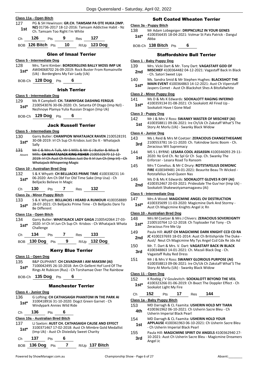### **Class 11a - Open Bitch**

127 PG & SH Hewinson: **GR.CH. TAMSAM PA OTE HUKA (IMP. NZ)** 01736-2017 18-12-2016: Tamsam Addictive Habit - Nz **1st** N2J 01750-2017 16-12-2010. Tall

| €.n | 26 |  | ۰<br>э | −95 |  |  |
|-----|----|--|--------|-----|--|--|
|-----|----|--|--------|-----|--|--|

BOB **126 Bitch** Pts **10** R/Up **123 Dog**

### Glen of Imaal Terrier

### **Class 5 - Intermediate Dog**

128 Mrs. Tarni Kimber: **BORDERGLENS BALLY MOSS IMP UK** AW04068702 26-09-2019: Rock Buster From Romainville (Uk) - Borderglens My Fair Lady (Uk) **1st\***

BOB-Ch **128 Dog** Pts **6**

### Irish Terrier

#### **Class 5 - Intermediate Dog**

- 129 Ms R Campbell: **CH. TAWNYOAK DASHING FERGUS**
- 2100543076 30-06-2020: Ch. Setanta Of Otago (Imp Nzl) Nezhnoye Plamya Yulia Russian Dragon (Imp Uk) **1st\***

BOB-Ch **129 Dog** Pts **6**

### Jack Russell Terrier

#### **Class 5 - Intermediate Dog**

- 130 Garry Butler: **CHAMPION WHATAJACK RAVEN** 2100528191 30-08-2019: Irl Ch Sup Ch Krisbos Just Do It - Whatajack
- 1st<sup>\*</sup> <sup>3U-U</sup><br>Sally 131 Mr C & Mrs A Tulk, Mr S Mills & Mr G J Butler & Miss B Mills: **CH WHATAJACK KING FISHER** 2100532670 12-12- 2019: Irl Ch Aust Ch Krisbos Just Do It Irl Jun Ch (Imp Irl) - Ch Absent
- Whatajack Whispering Magic

### **Class 10 - Australian Bred Dog**

- 132 S & K Whyatt: **CH BELLJACKS PRIME TIME** 4100338231 14- 06-2020: Am Ch Dbf For Old Time Sake (Imp Usa) - Ch **1st**\* UD-2020: Am Ch DDT FOR C<br>Belljacks Believe In Magic
- Ch **130** Pts **7** Res **132**

### **Class 2a - Minor Puppy Bitch**

133 S & K Whyatt: **BELLJACKS I HEARD A RUMOUR** 4100358889 28-07-2021: Ch Belljacks Prime Time - Ch Belljacks Dare To 1st<sup>\*</sup> <sup>28-U7-2021:</sup><br>Be Different

#### **Class 11a - Open Bitch**

134 Garry Butler: **WHATAJACK LADY GAGA** 2100542064 27-03- 2020: Irl Ch Irl Jun Ch Sup Ch Krisbos - Ch Whatajack Whata 1st<sup>\*</sup> <sup>2020:</sup> Iri Challenge

| Ch. | - 134             | <b>Pts</b> |   | Res | -133         |
|-----|-------------------|------------|---|-----|--------------|
|     | BOB $130$ Dog Pts |            | 9 |     | R/Up 132 Dog |

### Kerry Blue Terrier

#### **Class 11 - Open Dog**

- 135 B&P OLIPHANT: **CH CAVADHAR I AM MAKSIM (AI)**
- 7100042495 26-10-2018: Am Ch Gellent Hof Lord Of The 1st\* /100042495 26-10-2018: Am Ch Gelient Hof Lord Of The<br>Rings At Rubicon (Rus) - Ch Torshamae Over The Rainbow

BOB-Ch **135 Dog** Pts **6**

### Manchester Terrier

### **Class 4 - Junior Dog**

136 G Lofting: **CH CATHASAIGH PHANTOM IN THE PARK AI** 3100418916 31-10-2020: Dogct Green Garnet - Ch Windypark Annies Wild Ride **1st\***

Ch **136** Pts **6**

### **Class 10a - Australian Bred Bitch**

- 137 LJ Saxton: **AUST CH. CATHASAIGH CAUSE AND EFFECT** 3100371467 17-02-2018: Aust Ch Mimbre Gold Medallist (Imp Uk) - Aust Ch Dixiedaly Sweet Charity **1st\*** Ch **137** Pts **6**
- BOB **136 Dog** Pts **7** R/Up **137 Bitch**

### Soft Coated Wheaten Terrier

### **Class 3a - Puppy Bitch**

138 Mr Adam Lobegeiger: **DRIPNCURLZ IN YOUR GENES** 4100356435 18-04-2021: Volmar St Pats Patrick - Dangul **1st**\*  $\frac{4100}{\text{Abba}}$ 

BOB-Ch **138 Bitch** Pts **6**

### Staffordshire Bull Terrier

### **Class 1 - Baby Puppy Dog**

- 139 Mrs. Vicki Dart & Mr. Tony Dart: **VAGASTAFF GOD OF**
- **MISCHIEF** 4100364482 04-12-2021: Vagastaff Back In Black 2nd **MISCHIEF 4100364484**<br>Ch. Satori Sweet Lips
- 140 Ms. Sandra Smid & Mr Stephen Hughes: **BLACKSHOT THE MAIN EVENT** 4100364863 14-12-2021: Aust Ch Viperstaff
- Jaspers Comet Aust Ch Blackshot Shes A Bitofallwhite **1st\***

### **Class 2 - Minor Puppy Dog**

- 141 Ms D & Ms K Edwards: **SOOKALOTT RAGING INFERNO**
- 4100359134 01-08-2021: Ch Sookalott All Fired Up Sookalott Have I Gone Mad **1st\***

#### **Class 3 - Puppy Dog**

- 142 Mr J & Mrs V Ross: **SWANKY MASTER OF MISCHIEF (AI)**
	- 4100358811 09-06-2021: Ire Ch/Uk Ch Zakstaff What'S The **1st** 4100338811 09-06-2021: If Chronical Care Story At Morlu (Uk) - Swanky Black Widow
	-

### **Class 4 - Junior Dog**

- 143 Ms L Reid & Mrs M Coetzer: **ZERACIOUS CHANGETHEGAME** 2100553781 16-11-2020: Ch. Yakindow Sonic Boom - Ch. **3rd Exercise 2100333761 10-11-2020.**<br>Zeracious Wit Supremacy
- 144 MS S L BYRNE: **LESARA COOL ASSASSIN** 4100346093 29-11- 2020: Nz Grd Ch. Nz Spl Gr Ch Sup. Ch. Swanky The Enforcer - Lesara Road To Ransom **1st**
- 145 Mrs T Conelius. & Mr C Drury: **ROTSTAFELIUS DEMONIC FIRE** 4100349481 24-01-2021: Beaurite Beau Th Wicked - Rotstafelius Sand Queen Nas
- 146 Ms D & Ms K Edwards: **SOOKALOTT GLOVES R OFF (AI)**
	- 4100352467 20-03-2021: Pridesdale The Guv'nor (Imp Uk) **2nd** 4100352467 20-03-2021: Pridesdale Transport Shakewotyamamagaveu (Ai)

### **Class 5 - Intermediate Dog**

### 147 Mrs A Wood: **MAGICMINE ANGEL OV DESTRUCTION**

4100335699 11-03-2020: Magicmine Dark And Stormy - **1st** 4100335699 11-03-2020: Magicmine Dangel Jc Rn Aust Ch Magicmine Knights Angel Jc Rn

#### **Class 10 - Australian Bred Dog**

- 148 Mrs M Coetzer & Mrs J Chivers: **ZERACIOUS SOVEREIGNTY** 2100510764 12-12-2018: Ch Toploader Fat Tony - Ch 1st\* <sup>2100510764</sup> 12-12-20<br>Zeracious Fire Me Up
- 149 Paula Hill: **AUST CH MAGICMINE DARK KNIGHT CCD CD RA**
- **JC** 4100237693 18-01-2014: Aust Ch Britishpride The Duke 2nd JC 4100237693 18-01-2014: Aust Ch Britishpride The Duke<br>Aust/ Neut Ch Magicmine My Tys Angel Ccd Cdx Re Jdx Ad
- 150 Mr. T. Dart & Mrs. V. Dart: **VAGASTAFF BACK IN BLACK** 4100348863 14-01-2021: Ch. Mazali Black Dog - Ch. Vagastaff Ruby Red Dress **3rd**
- 151 Mr J & Mrs V Ross: **SWANKY GLORIOUS PURPOSE (AI)** 4100358813 09-06-2021: Ire Ch/Uk Ch Zakstaff What'S The Story At Morlu (Uk) - Swanky Black Widow

### **Class 11 - Open Dog**

- 152 K Roebig / V Goulevitch: **SOOKALOTT BEYOND THE VEIL** 4100323266 01-06-2019: Ch Bxact The Doppler Effect - Ch **1st**\*  $\leftarrow$  4100323266 01-06-20.
- Ch **152** Pts **17** Res **144**

**Class 1a - Baby Puppy Bitch**

- 153 MD Darragh & CL Faamita: **USHERIN HOLD MY TIARA** 4100361962 06-10-2021: Ch Usherin Sacre Bleu - Ch
- 4th 4100361962 06-10-2021: Ch
- 154 MD Darragh & CL Faamita: **USHERIN HOLD YOUR APPLAUSE** 4100361963 06-10-2021: Ch Usherin Sacre Bleu - Ch Usherin Imperial Black Pearl **1st**
- 155 Paula Hill: **MAGICMINE SPIRIT OV ANGELS** 4100362940 27- 10-2021: Aust Ch Usherin Sacre Bleu - Magicmine Dreamers  $3rd$   $\frac{10-2021}{\text{Angle}}$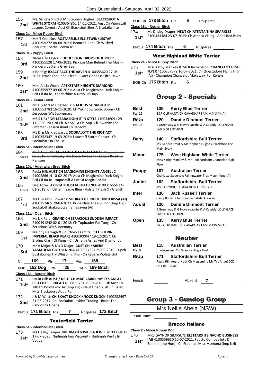|               | $\sim$ go aaoonomina                                                                                                                                                |                     |
|---------------|---------------------------------------------------------------------------------------------------------------------------------------------------------------------|---------------------|
| 156<br>2nd    | Ms. Sandra Smid & Mr Stephen Hughes: BLACKSHOT A<br>WHITE STORM 4100364862 14-12-2021: Aust Ch Viperstaff<br>Jaspers Comet - Aust Ch Blackshot Shes A Bitofallwhite | <b>BOB</b><br>Class |
|               | Class 2a - Minor Puppy Bitch                                                                                                                                        | 174                 |
| 157           | Mrs T Conelius: ROSTAFELIUS ELLIETWINKLESTAR                                                                                                                        | 1s                  |
| 1st           | 4100359272 08-08-2021: Beaurite Beau Th Wicked -<br>Beaurite Charlie Brown Jc                                                                                       | <b>BNO</b>          |
|               | Class 3a - Puppy Bitch                                                                                                                                              |                     |
| 158           | Natalie M Taylor: CUDDLESTON DROPS OF JUPITER<br>4100355128 17-06-2021: Pickaxe Man Behind The Mask -                                                               | <b>Class</b>        |
| 3rd           | Xanderblue Xena Grey Bear                                                                                                                                           | 175                 |
| 159           | K Roebig: BXACT FACE THE RAVEN 4100355620 27-05-                                                                                                                    | 1s                  |
| 2nd           | 2021: Bxact The Rebel Flesh - Bxact Goddess Ofth Dawn                                                                                                               |                     |
| 160           | Mrs. Alicia Wood: APEXSTAFF KNIGHTS DIAMOND                                                                                                                         | <b>BOB</b>          |
| $1st*$        | 4100355977 09-06-2021: Aust Ch Magicmine Dark Knight<br>Ccd Cd Ra Jc - Xanderblue A Drop Of Onyx                                                                    |                     |
|               | Class 4a - Junior Bitch                                                                                                                                             |                     |
| 161           | Mr F & Mrs M Coetzer: ZERACIOUS STRAIGHTUP                                                                                                                          |                     |
| 2nd           | 2100553783 16-11-2020: Ch Yakindow Sonic Boom - Ch<br>Zeracious Wit Supremacy                                                                                       | Bes<br>Pts: 2       |
| 162           | MS S L BYRNE: LESARA DOIN IT IN STYLE 4100346091 29-                                                                                                                | R/U                 |
| $1st*$        | 11-2020: Nz Grd Ch. Nz Spl Gr Ch Sup. Ch. Swanky The<br>Enforcer - Lesara Road To Ransom                                                                            | Pts: 1              |
| 163           | Ms D & Ms K Edwards: <b>SOOKALOTT THE RIOT ACT</b>                                                                                                                  |                     |
|               | 4100352347 19-03-2021: Lotastaff Storm Chaser - Ch                                                                                                                  |                     |
| 3rd           | Sookalott On The Ot                                                                                                                                                 | <b>Bat</b>          |
|               | Class 5a - Intermediate Bitch                                                                                                                                       |                     |
| 164           | MS S L BYRNE: CH.LESARA A LIL BIT FOXY 4100323629 28-                                                                                                               | Min                 |
| Absent        | 06-2019: Ch.Swanky The Force Awakens - Lesara Road To<br>Ransom                                                                                                     |                     |
|               | <b>Class 10a - Australian Bred Bitch</b>                                                                                                                            |                     |
| 165           | Paula Hill: AUST CH MAGICMINE KNIGHTS ANGEL JC                                                                                                                      | Pur                 |
| 2nd           | 4100286614 10-02-2017: Aust Ch Magicmine Dark Knight                                                                                                                |                     |
|               | Ccd Cd Ra Jc - Hapustaff A Pot Of Magic Ccd Ra<br>Dee Tozer: AXLSTAFF JUSTALILPATIENCE 4100316664 14-                                                               | Jun                 |
| 166<br>Absent | 01-2019: Ch Usherin Sacre Bleu Axistaff Flash Ov Grafitti                                                                                                           |                     |
|               |                                                                                                                                                                     | Inte                |
| 167           | Ms D & Ms K Edwards: SOOKALOTT RIGHT ONTH KISSA (AI)                                                                                                                |                     |
| 1st           | 4100352465 20-03-2021: Pridesdale The Guv'nor (Imp Uk) -<br>Sookalott Shakewotyamamagaveu (Ai)                                                                      | Aus                 |
|               | Class 11a - Open Bitch                                                                                                                                              |                     |
| 168           | Ms L K Reid: GRAND CH ZERACIOUS SUDDEN IMPACT                                                                                                                       |                     |
| 2nd           | 2100491242 02-01-2018: Ch Toploader Fat Tony - Ch<br>Zeracious Wit Supremacy                                                                                        | <b>Ope</b>          |
| 169           | Melody Darragh & Courtney Faamita: CH USHERIN                                                                                                                       |                     |
| 1st           | <b>IMPERIAL BLACK PEARL 4100300047 19-12-2017: Ch</b><br>Brohez Clash Of Kings - Ch Usherin Ashes And Diamonds                                                      |                     |
| 170           | Mr A Major & Ms D Major: AUST CH KABERE                                                                                                                             | Bes                 |
| 3rd           | YAMADEMEGOFULLNINJA 4100327327 25-09-2019: Supch                                                                                                                    | Pts: 9              |
|               | Bustabones Try Whistling This - Ch Kabere Violets Girl                                                                                                              | R/U                 |
| Ch            | 169<br>17<br>168<br>Pts<br>Res                                                                                                                                      |                     |
| BOB           | 25<br>R/Up 169 Bitch<br>152 Dog<br>Pts                                                                                                                              |                     |
|               | Class 18a - Neuter Bitch                                                                                                                                            |                     |
| 171           | Paula Hill: AUST / NEUT CH MAGICMINE MY TYS ANGEL<br><b>CCD CDX RE JDX AD 4100195281 29-01-2011: Uk Aust Ch</b>                                                     | Finis               |
| 1st*          | Tillcarr Pyroteknic Jw (Imp Uk) - Neut Obed Aust Ch Bajed<br>Miss Blackberry Ad Jd Re                                                                               |                     |
| 172           | J & M Watt: CH BXACT KNOCK KNOCK KNOCK 4100288497                                                                                                                   |                     |
| 2nd           | 21-03-2017: Ch. Sookalott Insider Trading - Bxact The                                                                                                               |                     |
|               | Pandorica Opens                                                                                                                                                     |                     |
| <b>BNOB</b>   | 171 Bitch $P$ ts<br>R/Up-Res 172 Bitch<br>7                                                                                                                         |                     |
|               |                                                                                                                                                                     |                     |

### Tenterfield Terrier

### **Class 5a - Intermediate Bitch**

173 Ms Desley Draper: **NUDIMAH JOSIE ISA JEWEL** 4100339408 17-07-2020: Nudimah Ima Viscount - Nudimah Verity In Vogue **1st\***

### B-Ch 173 Bitch Pts 6 R/Up-Res

### **Class 18a - Neuter Bitch**

174 Ms Desley Draper: **NEUT CH ATENTA TINA SPARKLES** 2100433384 23-07-2015: Ch Atenta Viking - Adail Red Ruby **1st\***

B **174 Bitch** Pts **6** R/Up-Res

### West Highland White Terrier

**Class 2a - Minor Puppy Bitch** 175 Miss Kathy Mankey & Mr R Richardson: **CHANCELOT HIGH FLYER** 4100357379 10-07-2021: Ch Questadore Flying High (Ai) - Champion Chancelot Makeway For Kenzie **1st\*** BOB-Ch **175 Bitch** Pts **6**

# Group 2 - Specials

| Best<br>Pts: 25 | <b>Kerry Blue Terrier</b><br>135<br>B&P OLIPHANT: CH CAVADHAR I AM MAKSIM (AI)                                        |
|-----------------|-----------------------------------------------------------------------------------------------------------------------|
| R/Up<br>Pts: 15 | <b>Dandie Dinmont Terrier</b><br>120<br>E Greenway & G Hovey-Jacobs & A Cassidy: JOLLYGAZE<br><b>LAIRD OF LOTHIAN</b> |
| Baby            | <b>Staffordshire Bull Terrier</b><br>140<br>Ms. Sandra Smid & Mr Stephen Hughes: Blackshot The<br>Main Event          |
| Minor           | <b>West Highland White Terrier</b><br>175<br>Miss Kathy Mankey & Mr R Richardson: Chancelot High<br>Flyer             |
| <b>Puppy</b>    | <b>Australian Terrier</b><br>107<br>Charlotte Sweeney: Fallingwater Tres Magnifique (AI)                              |
| <b>Junior</b>   | <b>Staffordshire Bull Terrier</b><br>162<br>MS S L BYRNE: LESARA DOIN IT IN STYLE                                     |
| Inter           | 130<br><b>Jack Russell Terrier</b><br>Garry Butler: Champion WhataJack Raven                                          |
| Aus Br          | <b>Dandie Dinmont Terrier</b><br>120<br>E Greenway & G Hovey-Jacobs & A Cassidy: JOLLYGAZE<br><b>LAIRD OF LOTHIAN</b> |
| Open            | <b>Kerry Blue Terrier</b><br>135<br>B&P OLIPHANT: CH CAVADHAR I AM MAKSIM (AI)                                        |
|                 | <b>Neuter</b>                                                                                                         |
| Best<br>Pts: 9  | <b>Australian Terrier</b><br>115<br>L Lobegeiger: Ch. Wanora Angie Gurl                                               |
| R/Up            | <b>Staffordshire Bull Terrier</b><br>171<br>Paula Hill: Aust / Neut Ch Magicmine My Tys Angel CCD<br>CDX RE JDX AD    |

Finish Absent **7**

# Group 3 - Gundog Group

### Mrs Nellie Abela (NSW)

Start Time:

### Bracco Italiano

### **Class 2 - Minor Puppy Dog**

176 MRS GAYNOR SIMPSON: **ELETTARS ITS NACHO BUSINESS (AI)** 4100359650 10-07-2021: Fausto Compatriota Di Bonfini (Imp Hun) - Ch Freeman Miss Momona (Imp Nzl) **1st\***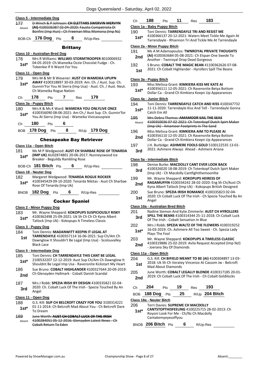| 177        | Class 5 - Intermediate Dog<br>D Winch & P Johnson: CH ELETTARS SWERVIN MERVYN                                                                   | Ch                      |
|------------|-------------------------------------------------------------------------------------------------------------------------------------------------|-------------------------|
| Absent     | (AI) 4100336387 02-04-2020: Fausto Compatriota Di                                                                                               | Class 1                 |
|            | Bonfini (Imp Hun) - Ch Freeman Miss Momona (Imp Nz)                                                                                             | 190.                    |
|            | BOB-Ch 176 Dog Pts 6 R/Up-Res                                                                                                                   | 1st <sup>®</sup>        |
|            | <b>Brittany</b>                                                                                                                                 | Class 2                 |
|            | Class 10 - Australian Bred Dog                                                                                                                  | 191                     |
| 178        | Mrs R Williams: WILLWEI STORMTROOPER 8010006932                                                                                                 | 2nc                     |
| 1st*       | 04-05-2019: Ch. Wameika Ozzie Chocolat Fudge - Ch.<br>Tobenlee If It Wasnt For You                                                              | 192<br>1st              |
|            | Class 11 - Open Dog                                                                                                                             |                         |
| 179        | Mrs M & Mr B Wesener: AUST CH WAMEIKA UPUPN                                                                                                     | Class 3                 |
| $1st*$     | AWAY 4100318897 30-03-2019: Am. Ch. / Aust. Sup. Ch.<br>Gunnin'For You At Sierra (Imp Usa) - Aust. Ch. / Aust. Neut.<br>Ch Wameika Rogue Nation | 193<br>1st              |
| Ch         | Pts 7 Res 179<br>178                                                                                                                            | Class <sup>4</sup>      |
|            | Class 3a - Puppy Bitch                                                                                                                          | 194                     |
| 180        | Mrs K & Ms K Ward: WAMEIKA YOU ONLYLIVE ONCE                                                                                                    | 1st                     |
| $1st*$     | 4100356090 08-06-2021: Am Ch./ Aust Sup. Ch. Gunnin'for<br>You At Sierra (Imp Usa) - Wameika Vivicaouspixie                                     |                         |
|            |                                                                                                                                                 | 195<br>Abser            |
| Ch         | 180 Pts 6                                                                                                                                       |                         |
|            | BOB 178 Dog Pts 8 R/Up 179 Dog                                                                                                                  | 196                     |
|            | <b>Chesapeake Bay Retriever</b>                                                                                                                 | 2nc                     |
|            | Class 11a - Open Bitch                                                                                                                          | 197                     |
| 181        | Ms M P Wedgwood: AUST CH SHARBAE ROSE OF TENARDA                                                                                                | 3rd                     |
| $1st*$     | (IMP UK) AU02874801 20-06-2017: Nunneyswood Ice                                                                                                 |                         |
|            | Breaker - Beguildy Rambling Rose                                                                                                                | Class !                 |
|            | BOB-Ch 181 Bitch Pts 6 R/Up-Res                                                                                                                 | 198                     |
|            | Class 18 - Neuter Dog                                                                                                                           | 3rd                     |
| 182        | Margaret Wedgwood: TENARDA ROGUE ROCKER<br>4100345429 09-10-2020: Tenarda Nikitas - Aust Ch Sharbae                                             | 199                     |
| $1st*$     | Rose Of Tenarda (Imp Uk)                                                                                                                        | 2nc                     |
|            | BNOB 182 Dog Pts 6 R/Up-Res                                                                                                                     | 200                     |
|            | <b>Cocker Spaniel</b>                                                                                                                           | 1 <sub>st</sub>         |
|            | Class 2 - Minor Puppy Dog                                                                                                                       | Class 1                 |
| 183        | Mr. Wayne Sheppard: KOKOPUPS SUSPICIOUSLY RISKY                                                                                                 | 201                     |
| $1st*$     | 4100362498 25-09-2021: Uk Sh Ch Ch Ch Kyna Albert                                                                                               | 3rd                     |
|            | Tatlock (Imp Uk) - Kokopups A Timeless Classic                                                                                                  |                         |
|            | <u> Class 3 - Puppy Dog</u>                                                                                                                     | 202<br>1st <sup>®</sup> |
| 184        | Toni Dennis: MADANWITT KEEPIN IT LEGAL AT<br>TARRENDAYLE 4100357114 16-06-2021: Sup Ch/Am Ch                                                    |                         |
| 1st        | Dawnglow It Shouldn't Be Legal (Imp Usa) - Scolouvalley                                                                                         | 203                     |
|            | <b>Black Lace</b>                                                                                                                               | 2nc                     |
|            | Class 5 - Intermediate Dog                                                                                                                      | Class 1                 |
| 185        | Toni Dennis: CH TARRENDAYLE THIS CANT BE LEGAL<br>2100532207 12-12-2019: Aust Sup Ch/Am Ch Dawnglow It                                          | 204                     |
| $1st*$     | Shouldnt Be Legal Imp Usa - Ravensnite Kickstart My Heart                                                                                       | 1st                     |
| 186        | Sue Bruno: COBALT HIGHLANDER 4100327644 20-09-2019:                                                                                             |                         |
| 2nd        | Ch Glenayden Hallmark - Cobalt Danish Scandal                                                                                                   | 205                     |
| 187        | Mrs J Robb: SPEZIA IRISH BY DESIGN 4100335821 02-04-                                                                                            | 2nc                     |
| 3rd        | 2020: Ch. Cobalt Luck Of The Irish - Spezia Touched By An                                                                                       | Сh                      |
|            | Angel                                                                                                                                           | BOB.                    |
|            | Class 11 - Open Dog                                                                                                                             | Class 1                 |
| 188        | G.S. Kill: SUP CH BELCROFT CRAZY FOR YOU 3100314221<br>01-11-2014: Ch Belcroft Mad About You - Ch Belcroft Dare                                 | 206                     |
| $1st^*$    | To Dream                                                                                                                                        | 1st <sup>.</sup>        |
| <b>189</b> | June Worth: AUST CH COBALT LUCK OF THE IRISH                                                                                                    |                         |
|            |                                                                                                                                                 |                         |
| Absent     | 4100284051 05-12-2016: Glenayden Latest News - Ch<br>Cobalt Return To Eden                                                                      | <b>BNOE</b>             |

| C.h | 188 | J†C | 2AS | 183 |
|-----|-----|-----|-----|-----|
|     |     |     |     |     |

### **Class 1a - Baby Puppy Bitch**

- 190 Toni Dennis: **TARRENDAYLE TRI AND RESIST ME**
- 4100366137 20-12-2021: Waters Meet Tickle Me Again At Tarrendayle - Rhiannon Tri And Tickle Me At Tarrendayle **1st\***

#### **Class 2a - Minor Puppy Bitch**

- 191 Ms A M Adamopoulos: **TWNROYAL PRIVATE THOUGHTS (AI)** 4100363684 05-08-2021: Ch Elspan One Swede To Another - Twnroyal Drop Dead Gorgeous
- 192 S Bruno: **COBALT THE MAGIC BEAN** 41100362626 07-08-
- 2021: Ch Cobalt Highlander Hyrollers Spill The Beans

### **Class 3a - Puppy Bitch**

- 193 Miss Melissa Grant: **KIMKIERA KISS ME KATE AI**
- 4100356111 12-05-2021: Ch Ravensnite Betya Bottom Dollar Ca - Grand Ch Kimkiera Keepn Up Appearances

## **Class 4a - Junior Bitch**

- 
- Toni Dennis: **TARRENDAYLE CATCH AND KISS** 4100347732 11-11-2020: Tarrendayle Kiss And Tell - Tarrendayle Gonna **Catch Em All**
- 195 Mrs Debra Thomas: **AMAMOOR SAIL THE SEAS**
- Absent 4100350036 07-02-2021: Ch Totenkopf Dutch Spirt Maker (Imp Uk) - Amamoor Footprints In The Sand
- 196 Miss Melissa Grant: **KIMKIERA AIM TO PLEASE AI** 4100356110 12-05-2021: Ch Ravensnite Betya Bottom Dollar Ca - Grand Ch Kimkiera Keepn Up Appearances **2nd**
- 197 J.H. Burbidge: **ASHMERE FOOLS GOLD** 5100122535 13-01- 2021: Ashmere Always Ahead - Ashmere Ariana

### **Class 5a - Intermediate Bitch**

| 198<br>3rd | Denise Burke: MACDOLLY CANT EVER LOOK BACK<br>4100326020 18-08-2019: Ch Totenkopf Dutch Spirt Maker             |
|------------|-----------------------------------------------------------------------------------------------------------------|
|            | (Imp Uk) - Ch Macdolly Cantfightthemoonlite                                                                     |
| 199        | Mr. Wayne Sheppard: KOKOPUPS HEIRESS OF                                                                         |
| 2nd        | RAGAMUFFIN 4100334242 28-02-2020: Eng Sh Ch/Aust Ch<br>Kyna Albert Tatlock (Imp Uk) - Kokopups British Designed |
| 200        | Sue Bruno: SPEZIA IRISH ROMANCE 4100335823 02-04-                                                               |

2020: Ch Cobalt Luck Of The Irish - Ch Spezia Touched By An Angel

### **Class 10a - Australian Bred Bitch**

- 201 Nadine Siemon And Kylie Zimmerle: **AUST CH HYROLLERS SPILL THE BEANS** 4100314344 25-11-2018: Ch Cobalt Luck Of The Irish - Cobalt Sensation In Blue
- 202 Mrs J Robb: **SPEZIA WALTZ OF THE FLOWERS** 4100319252 16-03-2019: Ch. Ashmere All Too Sweet - Ch. Spezia Lady **Plays The Fool**
- 203 Mr. Wayne Sheppard: **KOKOPUPS A TIMELESS CLASSIC**
- 4100319886 25-02-2019: Avila Request Accepted (Imp Nzl) - Joerana Sky Of Diamonds

### **Class 11a - Open Bitch**

- 204 G.S. Kill: **CH BIFIELD MEANT TO BE (AI)** 4100304897 13-03- 2018: Uk Sh Ch Veratey Vincenzo At Cassom Jw - Belcroft **Mad About Diamonds**
- 205 June Worth: **COBALT LEGALLY BLONDE** 4100317185 20-01- 2019: Ch Cobalt Luck Of The Irish - Ch Cobalt Goldilocks

| Сh | 204                      | <b>Pts</b> | 19 | <b>Res</b> | 193              |
|----|--------------------------|------------|----|------------|------------------|
|    | BOB 188 Dog Pts          |            | 25 |            | $R/Up$ 204 Bitch |
|    | Class 18a - Neuter Bitch |            |    |            |                  |

#### 206 Terri Davies: **SUPREME CH MACDOLLY**

**CANTSTOPTHISFEELING** 4100225715 28-02-2013: Ch Royoni Look For Me - Ch/Nz Ch Macdolly Cantakemyeyesoffyou **1st\***

**206 Bitch** Pts **6** R/Up-Res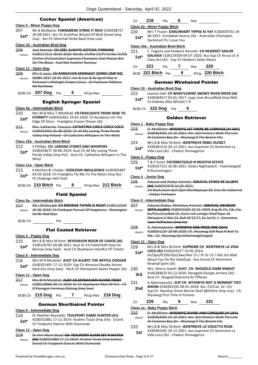### Cocker Spaniel (American)

### **Class 2 - Minor Puppy Dog**

207 Ms B McAlpine: **FARNSMERE STRIKE IT RICH** 3100438727 20-08-2021: Am Ch Scottfree Wizard Of Wall Street (Imp Usa) - Am Ch Silverhall Strike Back (Imp Usa) **1st\***

### **Class 10 - Australian Bred Dog**

| 208    | Azel Kennels: CH AZEL ALWAYS GOTCHA THINKING          |
|--------|-------------------------------------------------------|
| Absent | 5100117213 18-02-2020: Nordic Ch/Nw Ch/Pt Ch/Sw Ch/Dk |
|        | Ch/Am Ch/Australian Supreme Champion Azel Always Bet  |
|        | On The Black Azel Not Another Rumour                  |

#### **Class 11 - Open Dog**

209 Mrs G Lazar: **CH PARKAVON MIDNIGHT ZORRO (IMP NZ)** 05884-2017 19-05-2017: Am & Can & Nz Sprch Mar-K Parkavon's Midnight Eclipse (Usa) - Ch Parkavon Ribbons Nd Rainbows Absent

BOB-Ch **207 Dog** Pts **6** R/Up-Res

### English Springer Spaniel

### **Class 5a - Intermediate Bitch**

- 210 Mrs M & Miss T Whitfield: **CH FRAELIGHTE FROM HERE TO ETERNITY** 4100332461 19-01-2020: Ch Azudance On The
- Edge Of Glory Fraelighte Frozen Dream (Ai) **1st\***
- 211 Mrs. Catherine Toscano: **CATHATINA CHICA CHICA COCO** 4100342465 05-09-2020: Ch All My Loving Three Ponds Valley Imp Poland - Ch Cathatina Whispers In The Wind Absent

#### **Class 10a - Australian Bred Bitch**

- 212 S Phillips: **CH. LARONA STARES AND WHISPERS**
- 4100324677 30-06-2019: Aust Ch All My Loving Three Ponds Valley (Imp Pol) - Aust Ch. Cathatina Whispers In The Wind **1st\***

#### **Class 11a - Open Bitch**

213 K McGhie & J Huber: **OZDEZIGN INDULGENCE** 4100305487 03-04-2018: Ch Fraelighte Fly Me To The Moon (Imp Nz) - 1st<sup>\*</sup> U3-04-2018: Ch Praelign Hell Yeah

| BOB-Ch 210 Bitch Pts |  |  |  | R/Up-Res 212 Bitch |
|----------------------|--|--|--|--------------------|
|----------------------|--|--|--|--------------------|

#### Field Spaniel

### **Class 5a - Intermediate Bitch**

214 Ms J McDonald: **CH BIRDRISE THYME IS RIGHT** 5100113230 26-06-2019: Ch Fieldspan Pursuit Of Happiness - Shevington Ovrlks Red Skye Absent

BOB-Ch Pts

### Flat Coated Retriever

### **Class 3 - Puppy Dog**

- 215 Mrs B & Miss M Kent: **SKYEHAVEN REIGN OF CHAOS (AI)** 5100126791 04-08-2021: Aust Gr Ch Flatterhaft Steal Or
	- Borrow (Imp Swd) Aust Ch Skyehaven Handful Of Tickets **1st\***

### **Class 5 - Intermediate Dog**

- 216 Mrs M N Morphet: **AUST CH ALUBYC THE ARTFUL DODGER** 4100331491 17-12-2019: Sup Ch Almanza Double Action
- Dark Kiss (Imp Swe) Nzch Ch Sherepoint Sweet Pepper (Ai) **1st\***

### **Class 11 - Open Dog**

217 Mrs M N Morphet: **AUST CH SKYEHAVEN OLIVER TWIST** 5100110069 30-12-2018: Gr Ch Skyehaven Man Of Fire - Ch O'Flanagan Formosa Oolong (Imp Swe) Absent

BOB-Ch **215 Dog** Pts **7** R/Up-Res **216 Dog**

### German Shorthaired Pointer

### **Class 5 - Intermediate Dog**

- 218 Dr Heather Reynolds: **TEALPOINT GAME HUNTER (A1)** 4100331881 17-12-2019: Avaline Tissot (Imp Srb) - Grand
- **1st** 4100331881 17-12-2019: Avaline Tist<br>Ch Tealpoint Dances With Diamonds

### **Class 11 - Open Dog**

219 Dr Ann-Marie Boyd: **CH. TEALPOINT GAME SET N MATCH (AI)** 4100331880 17-12-2019: Avaline Tissot (Imp Serbia) - Grand Ch Tealpoint Dances With Diamonds Absent

### Ch **218** Pts **6** Res

### **Class 2a - Minor Puppy Bitch**

220 Mrs T Fraser: **DARLINHART YIPPEE KI YAY** 4100359702 19- 08-2021: Vundabah Azarus (Ai) - Australian Champion Darlinhart Ps I Love You **1st\***

### **Class 10a - Australian Bred Bitch**

| 221    | C. Fogarty and Heiderst Kennels: CH HEIDERST SAILOR                                                  |
|--------|------------------------------------------------------------------------------------------------------|
| $1st*$ | GALAXIA 5100119209 04-07-2020: Aus Sup Ch Arosa Ur A<br>Class Act (Ai) - Sup Ch Heiderst Sailor Moon |
|        |                                                                                                      |

| Ch — | 221                  | Pts | Res | - 220            |
|------|----------------------|-----|-----|------------------|
|      | BOB 221 Bitch $P$ ts |     |     | $R/Up$ 220 Bitch |

### German Wirehaired Pointer

#### **Class 10 - Australian Bred Dog**

- 222 Leanne Hall: **CH WHISTLEWIRE SNOWY RIVER RIDER (AI)** 4100284517 03-01-2017: Jupp Vom Brundlfeld (Imp Nld) - 1st\* 4100284517 03-01-2017: Ju<br>Ch Kobnko Allie Whistle Y R
- BOB-Ch **222 Dog** Pts **6**

### Golden Retriever

#### **Class 1 - Baby Puppy Dog**

- 223 D. McAllister: **WYSIWYG LET THERE BE CARNAGE (AI USA)** 4100363501 23-10-2021: Am. Gch Emery's Walk The Line At Cinamon Bay Dn - Wysiwyg If The Broom Fits Absent 224 Mrs B & Miss M.Kent: **IKENTRIEVE REBEL RUSSET**
- 4100365210 20-12-2021: Aus Supreme Ch Ikentrieve La Vida Loca (Ai) - Chaleur Xtravaganza **1st\***

#### **Class 3 - Puppy Dog**

- 225 T & P Kurtz: **PATERBETGOLD N MOOTHI ESTATE**
- 4100357312 26-06-2021: Dobro Nightwatch Paterbetgold 1st<sup>\*</sup> 4100357312 26<br>N Bunnamagoo

### **Class 4 - Junior Dog**

226 Askaval and Alubyc Kennels: **ASKAVAL ETHOS DE ALUBYC (AI)** 4100352678 16-03-2021: Ich.Roch.Hsch.Hjch.Öjch.Worldspecjw'18. Eros De Vallserrat - Alubyc Fonteyne Absent

### **Class 5 - Intermediate Dog**

|        | Askaval, Alubyc, Wembury Kennels: ASKAVAL ANARCHY              |
|--------|----------------------------------------------------------------|
| Ahsent | <b>WITH ALUBYC</b> 4100333264 22-01-2020: Eng Sh Ch, Cib, Cie, |
|        | Ee/Fi/Lv/Ltu/Balt Ch, Ee/Lv Jch Linirgor Pied Piper At         |
|        | Meiepere V-Ww'14, Balt W'15'17, Ee Jw'13 ( - Zenevieva         |
|        | Upon Reflection (Imp Ire)                                      |
|        | .                                                              |

- 228 A. Adamopoulos: **WYSIWYG ONE PRIZE ONE GOAL** 4100341124 18-08-2020: Ch. Wysiwyg Still Rock N Roll To Absent
	- Me Ch. Wysiwyg Sprinkleshineglimrgold

#### **Class 11 - Open Dog**

- 229 Mrs B & Miss M.Kent: **SUPREME CH IKENTRIEVE LA VIDA LOCA (AI)** 4100243227 19-05-2014: **1st\***
	- Int/Spa/Pt/Dk/Gbz/Swe/Nor Ch / Pt Gr Ch / Gbz Jch Mad About You De Ria Vela(Esp) - Aus Grand Ch Ikentrieve Kindred Spirit (Ai)
- 230 Mrs. Sherry Jewell: **AUST. CH. SHOGOLD DARK KNIGHT** 4100284633 02-12-2016: Naragold Giorgio Armani [Ai] - Aust Ch. Shogold Diamond At Tiffanys **3rd**
- 231 A.Adamopoulos: **SUP CH. WYSIWYG NOT A MOMENT TOO MOON** 4100301295 06-01-2018: Am. Ch/Can. Gr. Ch/ **2nd**
	- Sup.Ch. Nautilus Great Barrier Reef @Online (Imp Usa) Ch. Wysiwyg First Time In Forever
- Ch **229** Pts **9** Res **231**

#### **Class 1a - Baby Puppy Bitch**

| 232    | D. McAllister: WYSIWYG DIVIDE AND CONQUER (AI USA)   |
|--------|------------------------------------------------------|
| Absent | 4100363502 23-10-2021: Am. Gch Emery's Walk The Line |
|        | At Cinamon Bay Dn - Wysiwyg If The Broom Fits        |

233 Mrs B & Miss M.Kent: **IKENTRIEVE LA VIOLETTA ROSE** 4100365205 20-12-2021: Aus Supreme Ch Ikentrieve La Vida Loca (Ai) - Chaleur Xtravaganza **1st**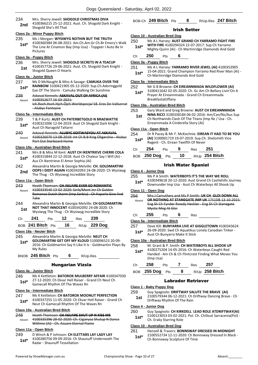### 234 Mrs. Sherry Jewell: **SHOGOLD CHRISTMAS DIVA**

4100366215 25-12-2021: Aust. Ch. Shogold Dark Knight - **2nd** <sup>4100366215</sup> 25-12-20

### **Class 2a - Minor Puppy Bitch**

235 Ms J Morgan: **WYSIWYG NOTHIN BUT THE TRUTH** 4100360384 06-08-2021: Am.Ch.Am.Gr Ch.Br Emery's Walk The Line At Cinamon Bay (Imp Usa) - Topgeer I Auto Be In Pictures **1st\***

#### **Class 3a - Puppy Bitch**

236 Mrs. Sherry Jewell: **SHOGOLD SECRETS IN A TEACUP** 4100357726 29-06-2021: Aust. Ch. Shogold Dark Knight - Shogold Queen O Hearts **1st**

#### **Class 4a - Junior Bitch**

- 237 Ms D McNaught & Miss A Savage: **CAMUKA OVER THE RAINBOW** 3100421905 05-12-2020: Sup.Ch.Adoringgold Eye Of The Storm - Camuka Walking On Sunshine **1st\***
- 238 Askaval Kennels: **ASKAVAL OUT OF AFRICA (AI)** 4100352677 16-03-2021: Ich.Roch.Hsch.Hjch.Öjch.Worldspecjw'18. Eros De Vallserrat - Alubyc Fonteyne Absent

#### **Class 5a - Intermediate Bitch**

### 239 T & P Kurtz: **AUST CH PATERBETGOLD N BRAEWATTIE**

- 4100321006 12-04-2019: Aust Ch Shogold Dark Knight Aust Ch Naragold Taltarni **1st\***
- 240 Askaval Kennels: **ALUBYC SOITWASYOU AT ASKAVAL** 4100326070 13-08-2019: Int Ch B.B King Oligarchia - Alubyc Port Out Starboard Home Absent

### **Class 10a - Australian Bred Bitch**

- 241 Mrs B & Miss M Kent: **AUST CH IKENTRIEVE CHERRI COLA**
- 4100315844 22-12-2018: Aust Ch Chaleur Say I Will (Ai) **1st**\* 4100315844 22-12-2018: Aust Ch Cha<br>Aus Ch Ikentrieve El Amor Sophia (Ai)
- 242 Alexandria Martin & Georgia Melville: **CH. GOLDMARTINI OOPS I DIDIT AGAIN** 4100342093 24-08-2020: Ch Wysiwyg **2nd DUPS I DIDIT AGAIN** 4100542095 24-06<br>The Thug - Ch Wysiwyg Incredible Story

### **Class 11a - Open Bitch**

- 243 Heath Thomson: **CH ASUARE EVER SO ROMANTIC** 4100333540 13-02-2020: Serb/Mont Jnr Ch Golden Romance Dutch Storm (Imp Serbia) - Ch Kaparla Give And Take Absent 244 Alexandria Martin & Georgia Melville: **CH GOLDMARTINI**
- **NOT THAT INNOCENT** 4100342092 24-08-2020: Ch Wysiwyg The Thug - Ch Wysiwyg Incredible Story **1st**

|    | $0.44$ DH.L. | <i></i> | _ _ | $0.00 \, \text{m}$ |
|----|--------------|---------|-----|--------------------|
| Сh |              |         |     | 239.               |

| BOB 241 Bitch Pts 16 R/Up 229 Dog |  |  |
|-----------------------------------|--|--|
|                                   |  |  |

### **Class 18a - Neuter Bitch**

- 245 Alexandria Martin & Georgia Melville: **NEUT CH GOLDMARTINI GET OFF MY KLOUD** 5100096523 20-09- 2016: Ch Goldmartini Say It Like It Is - Goldmartini Playn By **1st\***
	- My Rules
- BNOB **245 Bitch** Pts **6** R/Up-Res

### Hungarian Vizsla

#### **Class 4a - Junior Bitch**

246 Ms K Kettleton: **BATOROK MULBERRY AFFAIR** 4100347030 27-12-2020: Ch Ekvar Hell Raiser - Grand Ch Neut Ch Gamecall Rhythm Of The Waves Rn **1st\***

### **Class 5a - Intermediate Bitch**

#### 247 Ms K Kettleton: **CH BATOROK MOONLIT PERFECTION**

4100337255 11-05-2020: Ch Ekvar Hell Raiser - Grand Ch **1st** <sup>4100337255 11-05-2020: Ch Ekvar Hell Raise<br>Neut Ch Gamecall Rhythm Of The Waves Rn</sup>

### **Class 10a - Australian Bred Bitch**

248 Heath Thomson: **CH ASUARE SHUT UP N KISS ME** 4100335396 28-02-2020: Ch. Ciganyoz Shutup N Dance Withme (Ai) - Ch. Asuare Eternal Flame Absent

### **Class 11a - Open Bitch**

249 D Winch & P Johnson: **CH ELETTARS LAY LADY LAY** 4100280756 09-09-2016: Ch Shaunuff Underneath The 1st\* 4100280756 09-09-2016: Ch

### BOB-Ch **249 Bitch** Pts **8** R/Up-Res **247 Bitch**

### Irish Setter

#### **Class 10 - Australian Bred Dog**

- 250 Ms A L Harvey: **AUST GRAND CH YARRAMO FIGHT FIRE**
- **WITH FIRE** 4100294324 22-07-2017: Sup Ch Yarramo **1st\*** WITH FIRE 4100294324 22-07-2017: Sup Ch Yarramo<br>Mighty Quinn (Ai) - Ch Martinridge Diamonds And Gold

## Ch **250** Pts **6**

### **Class 3a - Puppy Bitch**

251 Ms A L Harvey: **YARRAMO RIVER JEWEL (AI)** 4100353905 15-04-2021: Grand Champion Yarramo Red River Man (Ai) - 1st\* 15-04-2021: Grand Champion Yarrar<br>Ch Martinridge Diamonds And Gold

### **Class 5a - Intermediate Bitch**

```
252 Mr G B Browne: CH EIREANNMADA WILDFLOWER (AI)
```
3100411642 02-05-2020: Ch. Gc Am Ch Bellary Livin'On A Prayer At Eireannmada - Grand Ch Eireannmada Breakfastattiffany **1st\***

#### **Class 10a - Australian Bred Bitch**

**NINA RICCI** 3100338184 06-02-2016: Am/Can/Nz/Aus Sup Ch Northwinds Clash Of The Titans (Imp Nz / Usa - Ch. Eireannmada A Cinderella Story (Ai) **1st**

#### **Class 11a - Open Bitch**

| 254    | Dr R Pacey & Mr F. McKechnie: EIREAN IT HAD TO BE YOU |
|--------|-------------------------------------------------------|
| $1st*$ | (AI) 3100001719 19-07-2019: Sup.Ch. Shelomith Vice    |
|        | Regent - Ch. Eirean Twelfth Of Never                  |

| Ch <b>254</b> Pts  | - 9 | Res <b>251</b> |                  |
|--------------------|-----|----------------|------------------|
| BOB 250 Dog Pts 10 |     |                | $R/Up$ 254 Bitch |

### Irish Water Spaniel

#### **Class 4 - Junior Dog**

- 255 Ms P A Smith: **WATERBOYS IT'S THE WAY WE ROLL**
- 4100349618 20-12-2020: Aust Grand Ch Castlehills Journey Downunder Imp Usa - Aust Ch Waterboys All Shook Up **1st\***

#### **Class 11 - Open Dog**

256 Mrs J Carruthers and Ms P Smith: **UK CH GLOI DONN ALL OR NOTHING AT STANEGATE IMP UK** 1751DB 13-10-2015: Eng Sh Ch Fynder Rowdy Heckler - Eng Sh Ch Stanegate Mystic Meg At Gloi Absent

Ch **255** Pts **6** Res

### **Class 5a - Intermediate Bitch**

257 Dave Kill: **BUNYARRA LIVE AT GIGGLETOWN** 4100343624 26-09-2020: Swd Ch Aquatikus Lonely Canadian Tinker - **1st** <sup>2b-09-2020: Swd Ch Aquatikus<br>Aust Ch Bunyarra Make It Stick</sup>

#### **Class 10a - Australian Bred Bitch**

258 M. Grant & P. Smith: **CH WATERBOYS ALL SHOOK UP** 4100275204 14-05-2016: Ch Waterboys Caught Red

Handed - Am Ch & Ch Flintcrest Finding What Moves You (Imp Usa) **1st\***

### Ch **258** Pts **7** Res **257** BOB **255 Dog** Pts **8** R/Up **258 Bitch**

### Labrador Retriever

#### **Class 1 - Baby Puppy Dog**

- 259 Guy Spagnolo: **DRIFTWAY SALUTE THE BRAVE (AI)**
	- 2100579344 06-12-2021: Ch Driftway Dancing Brave Ch 1st 2100579344 06-12-2021: Chi

#### **Class 4 - Junior Dog**

### 260 Guy Spagnolo: **CH KIRKDELL LEAD ROLE ATDRIFTWAY(AI)**

5100123053 03-02-2021: Pol. Ch. Chillout Sarracenia(Pol) - Ch. Eraky Starring Role **1st\***

### **Class 10 - Australian Bred Dog**

- 261 Henzell & Travers: **BONNSWAY DRESSED IN MIDNIGHT**
- 2100552734 12-11-2020: Ch Bonnsway Dressed In Black **1st**\* 2100552754 12-11-2020. CH Bonnsway Sculpture Of Time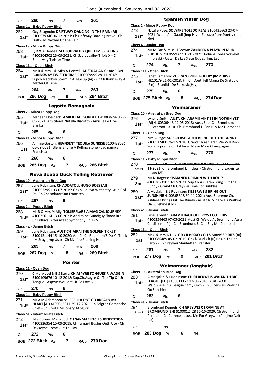|                         | 260                              | <b>Pts</b>                       | $7$ and $\sim$ | Res                                      | 261                                                                                                             |                | <b>Spanisl</b>                                                        |
|-------------------------|----------------------------------|----------------------------------|----------------|------------------------------------------|-----------------------------------------------------------------------------------------------------------------|----------------|-----------------------------------------------------------------------|
|                         | Class 1a - Baby Puppy Bitch      |                                  |                |                                          |                                                                                                                 |                | <b>Class 2 - Minor Puppy Dog</b>                                      |
| 262<br>$1st^*$          |                                  | Driftway Rhythm Of The Rain      |                |                                          | Guy Spagnolo: DRIFTWAY DANCING IN THE RAIN (AI)<br>2100579346 06-12-2021: Ch Driftway Dancing Brave - Ch        | 273.<br>$1st*$ | Natalie Rose: SOLYKK<br>2021: Wau I Am Gaud<br>Hrv)                   |
|                         | Class 2a - Minor Puppy Bitch     |                                  |                |                                          |                                                                                                                 |                | Class 4 - Junior Dog                                                  |
| 263                     |                                  |                                  |                |                                          | L, R & A Henzell: SCOLOUVALLEY QUIET IM SPEAKING                                                                | 274            | Ms M Fox & Miss H B                                                   |
| $1st^*$                 |                                  | <b>Bonnsway Twister Time</b>     |                |                                          | 4100364502 23-09-2021: Ch Scolouvalley Triple X - Ch                                                            | $1st*$         | <b>PUDDLES 210055932</b><br>(Imp Svk) - Qatar De I                    |
|                         | Class 11a - Open Bitch           |                                  |                |                                          |                                                                                                                 | Ch             | 274<br>7<br>Pts                                                       |
| 264                     |                                  |                                  |                |                                          | Mr R & Mrs L & Miss A Henzell: <b>AUSTRALIAN CHAMPION</b>                                                       |                | Class 11a - Open Bitch                                                |
| $1st^*$                 | Matter Of Time                   |                                  |                |                                          | <b>BONNSWAY TWISTER TIME 2100509995 28-11-2018:</b><br>Supch Blackboy Storm In A Teacup (Ai) - Gr Ch Bonnsway A | 275<br>$1st*$  | Janet Cameron: ZORF<br>HR10179 21-01-2018<br>(Fin) - Brunilda De Sin  |
| Ch                      | 264                              | Pts                              | $\mathbf{7}$   | <b>Res</b>                               | 263                                                                                                             | Ch             | 275<br>6<br>Pts                                                       |
|                         | BOB 260 Dog Pts                  |                                  | $\mathbf{9}$   |                                          | R/Up 264 Bitch                                                                                                  |                | BOB 275 Bitch Pts                                                     |
|                         |                                  |                                  |                | <b>Lagotto Romagnolo</b>                 |                                                                                                                 |                | Wei                                                                   |
|                         | <b>Class 2 - Minor Puppy Dog</b> |                                  |                |                                          |                                                                                                                 |                | Class 10 - Australian Bred Dog                                        |
| 265                     |                                  |                                  |                |                                          | Maneah Eberbach: AMICILEALE SONDELLI 4100362429 27-                                                             | 276            | Lynelle Smith: AUST.                                                  |
| $1st^*$                 | <b>Bianka</b>                    |                                  |                |                                          | 09-2021: Amicileale Nutella Biscotto - Amicileale Diva                                                          | $1st*$         | (AI) 4100306443 12-0<br>Bulletproof - Aust. Ch                        |
| Ch                      | 265                              | Pts                              | 6              |                                          |                                                                                                                 |                | Class 11 - Open Dog                                                   |
|                         | Class 2a - Minor Puppy Bitch     |                                  |                |                                          |                                                                                                                 | 277            | Mrs A Page: SUP CH /                                                  |
| 266<br>1st              |                                  |                                  |                |                                          | Ammie Gorton: HEVNSENT TEQUILA SUNRISE 3100438531<br>05-09-2021: Glenstar Like A Rolling Stone - Ladinamica     | $1st^*$        | 2100512400 26-12-20<br>You - Supreme Ch Asl                           |
|                         | Francisca                        |                                  |                |                                          |                                                                                                                 | Ch             | 277<br>7<br>Pts                                                       |
| Ch                      | 266                              | Pts                              | 6              |                                          |                                                                                                                 |                | Class 1a - Baby Puppy Bitch                                           |
| BOB.                    | 265 Dog Pts                      |                                  | 7              |                                          | R/Up 266 Bitch                                                                                                  | 278<br>Absent  | <b>Bromhund Kennels: B</b><br>11-2021: Ch Bromhur                     |
|                         |                                  |                                  |                |                                          | <b>Nova Scotia Duck Tolling Retriever</b>                                                                       |                | Image (Ai)                                                            |
|                         |                                  |                                  |                |                                          |                                                                                                                 |                |                                                                       |
|                         |                                  |                                  |                |                                          |                                                                                                                 | 279            | Ms K. Rogers: KISMA                                                   |
|                         | Class 10 - Australian Bred Dog   |                                  |                |                                          | Julie Robinson: CH ADDATOLL HUGO BOSS (AI)                                                                      | 2nd            | 4100365310 19-12-20<br>Bundy - Grand Ch Gre                           |
| $1st^*$                 |                                  | Et - Ch Anasadatar San Francisco |                |                                          | 2100522951 03-07-2019: Gr Ch Lidlriva Witchetty Grub Ccd                                                        | 280            | A Masjakin & J Robins<br><b>SUNSHINE 41003653</b>                     |
| Ch                      | 267                              | Pts                              | 6              |                                          |                                                                                                                 | $1st*$         | Ashlaren Bring Out Th                                                 |
|                         | <u> Class 3a - Puppy Bitch</u>   |                                  |                |                                          |                                                                                                                 |                | On Sunshine (Lhc)                                                     |
| 1st*                    |                                  |                                  |                | Ch Lidlriva Bittersweet Symphony Rn Tk.S | Mr R & Mrs M Ally: TOLLERFLARE A MAGICAL JOURNEY<br>4100356114 13-06-2021: Aprilraine Gundiguy Skoda Rrd -      | 281<br>$1st*$  | Class 4a - Junior Bitch<br>Lynelle Smith: ARAM<br>4100356465 07-05-20 |
|                         | Class 4a - Junior Bitch          |                                  |                |                                          |                                                                                                                 |                | Cordis (Imp PI) - Ch. B                                               |
|                         |                                  |                                  |                |                                          | Julie Robinson: AUST CH AIRAI THE GOLDEN TICKET                                                                 |                | Class 11a - Open Bitch<br>Mr C & Mrs A Tulk: G                        |
| $1st^*$                 |                                  |                                  |                |                                          | 5100121144 15-10-2020: Am Ch Ch Redmoon'S Do Ya Think<br>I'M Sexy (Imp Usa) - Ch Rivafire Flaming Hot           | 282<br>1st     | 5100086489 05-02-20<br>Baron - Ch Greywei M                           |
| 267<br>268<br>269<br>Ch | 269                              | <b>Pts</b>                       | $\mathbf{7}$   | Res                                      | 268                                                                                                             | Ch             | 281<br><b>7</b><br>Pts                                                |
|                         | BOB 267 Dog Pts                  |                                  | 8              |                                          | R/Up 269 Bitch                                                                                                  |                | BOB 277 Dog Pts                                                       |
|                         |                                  |                                  |                | <b>Pointer</b>                           |                                                                                                                 |                |                                                                       |
|                         | Class 11 - Open Dog              |                                  |                |                                          |                                                                                                                 |                | Weimara                                                               |
|                         |                                  |                                  |                |                                          | C Marwood & B S Barrs: CH ASPYRE TONGUES R WAGGIN                                                               | 283            | <b>Class 10 - Australian Bred Dog</b><br>A Masjakin & J Robins        |
| $1st^*$                 |                                  |                                  |                | Tongue - Asprye Wouldnt Ut Be Lovely     | 5100109676 10-12-2018: Sup.Ch.Aspyre On The Tip Of Ur                                                           | $1st^*$        | LEAGUE [LH] 410031                                                    |
| Ch                      | 270                              | Pts                              | 6              |                                          |                                                                                                                 |                | Waldwiese In A Leagu<br>On Sunshine                                   |
|                         | Class 1a - Baby Puppy Bitch      |                                  |                |                                          |                                                                                                                 |                |                                                                       |
|                         |                                  |                                  |                |                                          | Ms A M Adamopoulos: BREILLA DNT GO BREAKN MY                                                                    | Ch             | 283<br>6<br>Pts                                                       |
| $1st^*$                 |                                  |                                  |                | Chief - Ch Pivotal Visionary At Sgurr    | HEART (AI) 4100365311 29-12-2021: Ch Zelgren Comanche                                                           | 284            | Class 4a - Junior Bitch<br>Bromhund Kennels: C                        |
|                         | Class 5a - Intermediate Bitch    |                                  |                |                                          |                                                                                                                 | Absent         | <b>BROMHUND (LH) 910</b><br>Peri (Lh) - Ch Carnme                     |
| 270<br>271<br>272       |                                  |                                  |                |                                          | Mrs Colleen Marwood: CH SANMARLITCH SUPERSTITION                                                                |                | (Hh)                                                                  |
| $1st^*$                 |                                  | Daykeyne Come Out To Play        |                |                                          | 4100326354 15-09-2019: Ch Tamard Buster Onth Ute - Ch                                                           | Сh             | Pts                                                                   |
| Ch                      | 272                              | Pts                              | 6              |                                          |                                                                                                                 |                | <b>BOB</b> 283 Dog<br>Pts                                             |

### h Water Dog

273 Natalie Rose: **SOLYKKE TOLEDO REAL** 3100435663 23-07 di (Imp Hrv) - Zorrazo Pure Poetry (Imp

| 274    | Ms M Fox & Miss H Brown: <b>ZANDEENA PLAYN IN MUD</b> |
|--------|-------------------------------------------------------|
| $1st*$ | PUDDLES 2100559327 07-01-2021: Indiana Jones Wavelet  |
|        | (Imp Svk) - Qatar De Las Siete Nubes (Imp Esp)        |

| Сh | 274 | Pts |  | Res | 273 |  |
|----|-----|-----|--|-----|-----|--|
|----|-----|-----|--|-----|-----|--|

- **RAZO PURE POETRY (IMP HRV)** 8: Fin.Ch.Dont Tell Mama De Sinkovic  $kovic(Hrv)$ 
	-
	- BOB **275 Bitch** Pts **8** R/Up **274 Dog**

### imaraner

- 276 Lynelle Smith: **AUST. CH. ARAMII AINT SEEN NOTHIN YET**
- 05-2018: Aust. Sup. Ch. Bromhund
- 1. Bromhund U Can Buy Me Diamonds
- **ASHLAREN BRING OUT THE BUNDY** 018: Grand Ch Ashlaren We Will Rock **hlaren Make Mine Champagne** Ch **277** Pts **7** Res **276** 278 Bromhund Kennels: **BROMHUND CAN DO** 3100441080 22 nd Limitless - Ch Bromhund Exquisite **NER DRINKIN WITH DOLLY** 021: Sup Ch Ashlaren Bring Out The eywei Time For Bubbles **280 SON: SILBERWEIS BRING OUT SUNSHINE** 4100365318 30-11-2021: Aust Supreme Ch. he Bundy - Aust Ch. Silberweis Walking

### **III BACK OFF BOYS I GOT THIS**

021: Aust Ch Waldo At Bromhund Atria Bromhund U Can Buy Me Diamonds

| 282 | Mr C & Mrs A Tulk: GR CH BESKO COLLS MANY SPIRITS (AI)                                         |
|-----|------------------------------------------------------------------------------------------------|
| 1st | 5100086489 05-02-2015: Gr Ch Dual Ch (R) Besko Th Red<br>Baron - Ch Greywei Manhattan Transfer |

| Ch 281          | <b>Pts</b> |     | Res 282 |                |
|-----------------|------------|-----|---------|----------------|
| BOB 277 Dog Pts |            | - 9 |         | R/Up 281 Bitch |

### **ner (longhair)**

| Class 10 - Australian Bred Dog |                |     |   |                                           |                                                                                                                                                                |  |
|--------------------------------|----------------|-----|---|-------------------------------------------|----------------------------------------------------------------------------------------------------------------------------------------------------------------|--|
| 283<br>$1st*$                  | On Sunshine    |     |   |                                           | A Masjakin & J Robinson: CH SILBERWEIS WALKN TH BIG<br>LEAGUE [LH] 4100311173 17-08-2018: Aust Gr Ch<br>Waldwiese In A League Ofmy Own - Ch Silberweis Walking |  |
| Ch                             | 283            | Pts | 6 |                                           |                                                                                                                                                                |  |
| Class 4a - Junior Bitch        |                |     |   |                                           |                                                                                                                                                                |  |
| 284                            |                |     |   | Brombund Kennels: CH GREVWEL Y EXAMINE AT |                                                                                                                                                                |  |
| Absent                         | Peri 4h<br>(Lh |     |   |                                           | HUND (UH) 9100012428 16-10-2020; Ch Brombund<br>Ch Carnmellis Just Me For Greywei (Ai) (Imp Nzl)                                                               |  |
|                                |                |     |   |                                           |                                                                                                                                                                |  |

**6** R/Up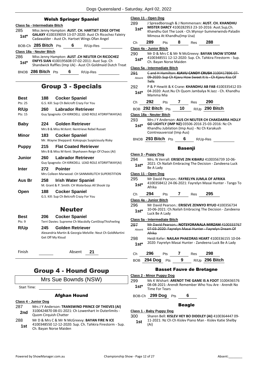|                                                                                                                                                 |     |                                                                                                                                             |                | Class 11 - Open Dog                                                                                                                                                                      |                            |                |            |                                                                                                                                                      |  |
|-------------------------------------------------------------------------------------------------------------------------------------------------|-----|---------------------------------------------------------------------------------------------------------------------------------------------|----------------|------------------------------------------------------------------------------------------------------------------------------------------------------------------------------------------|----------------------------|----------------|------------|------------------------------------------------------------------------------------------------------------------------------------------------------|--|
| Class 5a - Intermediate Bitch<br>285<br>$1st*$                                                                                                  |     | <b>Welsh Springer Spaniel</b><br>Miss Jenny Hampton: AUST. CH. HARTSET EDGE OFTHE<br>GALAXY 4100339059 13-07-2020: Aust Ch Ricochez Faleiry | 289<br>$1st^*$ | J Spreadborough & J Nommensen: AUST. CH. KHANDHU<br>MISTER DARCY 4100282953 23-10-2016: Aust.Sup,Ch.<br>Khandhu Got The Look - Ch. Wynsyr-Summerwinds-Pala<br>Mimosa At Khandhu(Imp Usa) |                            |                |            |                                                                                                                                                      |  |
|                                                                                                                                                 |     | Cadawalder - Aust Ch. Hartset Wings Ofan Angel                                                                                              | Ch             | 289                                                                                                                                                                                      | Pts                        | 8              | Res        | 288                                                                                                                                                  |  |
| BOB-Ch 285 Bitch Pts                                                                                                                            |     | 6<br>R/Up-Res                                                                                                                               |                | Class 4a - Junior Bitch                                                                                                                                                                  |                            |                |            |                                                                                                                                                      |  |
| Class 18a - Neuter Bitch<br>286<br>Miss Jenny Hampton: AUST .CH NEUTER CH RICOCHEZ<br>ENFYS SIAN 4100195608 07-02-2011: Aust Sup. Ch<br>$1st^*$ |     |                                                                                                                                             | 290<br>$1st^*$ |                                                                                                                                                                                          | Ch. Bayan Norse Maiden     |                |            | Mr D & Mrs C & Mr N McGreevy: BAYAN SNOW STORN<br>4100348551 12-12-2020: Sup. Ch. Tahkira Firestorm - Su                                             |  |
|                                                                                                                                                 |     | Shandwick Raffles (Imp Uk) - Aust Ch Goldmaid Dutch Treat                                                                                   |                | Class 5a - Intermediate Bitch                                                                                                                                                            |                            |                |            |                                                                                                                                                      |  |
| BNOB 286 Bitch Pts                                                                                                                              |     | 6<br>R/Up-Res                                                                                                                               | 291<br>Absent  | <b>Tells</b>                                                                                                                                                                             |                            |                |            | Cand H Hamilton: KJAVU CANDY CRUSH 3100417896 0<br>09-2020: Sup Ch Kjavu How Sweet It Is - Ch Kjavu Kiss O                                           |  |
|                                                                                                                                                 |     | <b>Group 3 - Specials</b>                                                                                                                   | 292<br>$1st^*$ | Mamma Mia                                                                                                                                                                                |                            |                |            | P & P Hewitt & K Crane: KHANDHU AB FAB 4100335412<br>04-2020: Aust.Nu Ch Quom Jambalya N Jazz - Ch. Khand                                            |  |
| <b>Best</b><br>Pts: 25                                                                                                                          | 188 | <b>Cocker Spaniel</b><br>G.S. Kill: Sup Ch Belcroft Crazy For You                                                                           | Ch             | 292                                                                                                                                                                                      | Pts                        | $7^{\circ}$    | Res        | 290                                                                                                                                                  |  |
| R/Up                                                                                                                                            | 260 | <b>Labrador Retriever</b>                                                                                                                   |                | BOB 292 Bitch Pts                                                                                                                                                                        |                            | 10             |            | R/Up 290 Bitch                                                                                                                                       |  |
| Pts: 15                                                                                                                                         |     | Guy Spagnolo: CH KIRKDELL LEAD ROLE ATDRIFTWAY(AI)                                                                                          |                | Class 18a - Neuter Bitch                                                                                                                                                                 |                            |                |            |                                                                                                                                                      |  |
| <b>Baby</b>                                                                                                                                     | 224 | <b>Golden Retriever</b><br>Mrs B & Miss M.Kent: Ikentrieve Rebel Russet                                                                     | 293<br>$1st*$  |                                                                                                                                                                                          |                            |                |            | Mrs J Y Anderson: AUS CH NEUTER CH CHAKDARRA HO<br>GO LIGHTLY (IMP NZ) 03506-2016 25-03-2016: Nz Ch<br>Khandhu Jubilation (Imp Aus) - Nz Ch Karakush |  |
| <b>Minor</b>                                                                                                                                    | 183 | <b>Cocker Spaniel</b><br>Mr. Wayne Sheppard: Kokopups Suspiciously Risky                                                                    |                | BNOB 293 Bitch Pts                                                                                                                                                                       | Cointreauversial (Imp Aus) |                | $6 \qquad$ | R/Up-Res                                                                                                                                             |  |
| <b>Puppy</b>                                                                                                                                    | 215 | <b>Flat Coated Retriever</b><br>Mrs B & Miss M Kent: Skyehaven Reign Of Chaos (AI)                                                          |                | Class 3 - Puppy Dog                                                                                                                                                                      |                            | <b>Basenji</b> |            |                                                                                                                                                      |  |
| Junior                                                                                                                                          | 260 | <b>Labrador Retriever</b><br>Guy Spagnolo: CH KIRKDELL LEAD ROLE ATDRIFTWAY(AI)                                                             | 294<br>$1st^*$ |                                                                                                                                                                                          |                            |                |            | Mrs. N Verrall: ERISEVE ZIN KIBARU 4100356739 10-06<br>2021: Ch Nailah Embracing The Decision - Zandeena Luc                                         |  |
| Inter                                                                                                                                           | 272 | <b>Pointer</b>                                                                                                                              |                | Be A Lady                                                                                                                                                                                |                            |                |            |                                                                                                                                                      |  |
| Aus Br                                                                                                                                          | 258 | Mrs Colleen Marwood: CH SANMARLITCH SUPERSTITION<br><b>Irish Water Spaniel</b><br>M. Grant & P. Smith: CH Waterboys All Shook Up            | 295<br>$1st^*$ | Class 11 - Open Dog                                                                                                                                                                      |                            |                |            | Mr David Pearson.: FAYRELYN JUMLA OF AFRIKA<br>4100358412 24-06-2021: Fayrelyn Masai Hunter - Tango                                                  |  |
| Open                                                                                                                                            | 188 | <b>Cocker Spaniel</b>                                                                                                                       |                | Afrika                                                                                                                                                                                   |                            |                |            |                                                                                                                                                      |  |
|                                                                                                                                                 |     | G.S. Kill: Sup Ch Belcroft Crazy For You                                                                                                    | Ch             | 294                                                                                                                                                                                      | Pts                        | 7              | <b>Res</b> | 295                                                                                                                                                  |  |
|                                                                                                                                                 |     | <b>Neuter</b>                                                                                                                               | 296<br>$1st^*$ | Class 4a - Junior Bitch<br>Luck Be A Lady                                                                                                                                                |                            |                |            | Mr David Pearson.: ERISEVE ZENNYO RYUO 410035673<br>10-06-2021: Ch. Nailah Embracing The Decision - Zandee                                           |  |
| <b>Best</b>                                                                                                                                     | 206 | <b>Cocker Spaniel</b>                                                                                                                       |                | Class 5a - Intermediate Bitch                                                                                                                                                            |                            |                |            |                                                                                                                                                      |  |
| Pts: 9<br>R/Up                                                                                                                                  | 245 | Terri Davies: Supreme Ch Macdolly CantStopThisFeeling<br><b>Golden Retriever</b>                                                            | 297            |                                                                                                                                                                                          |                            |                |            | Mr David Pearson.: NOTSYORANALA MIRZAM 4100333                                                                                                       |  |
|                                                                                                                                                 |     | Alexandria Martin & Georgia Melville: Neut Ch GoldMartini<br>Get Off My Kloud                                                               | Absent         | Afrika                                                                                                                                                                                   |                            |                |            | 07-03-2020: Fayrelyn Masai Hunter - Fayrelyn Dream Of                                                                                                |  |
|                                                                                                                                                 |     |                                                                                                                                             | 298<br>$1st^*$ |                                                                                                                                                                                          |                            |                |            | Heidi Kefer: NAILAH PHAEDRAS HEART 4100336155 10<br>2020: Fayrelyn Masai Hunter - Zandeena Luck Be A Lady                                            |  |
| Finish                                                                                                                                          |     | Absent<br>21                                                                                                                                | Ch             | 296                                                                                                                                                                                      | Pts                        | 7              | Res        | 298                                                                                                                                                  |  |
|                                                                                                                                                 |     |                                                                                                                                             |                |                                                                                                                                                                                          |                            |                |            |                                                                                                                                                      |  |

# Group 4 - Hound Group

## Mrs Sue Bownds (NSW)

Start Time:

### Afghan Hound

**Class 4 - Junior Dog**

- 287 Mrs J Y Anderson: **TRANSWIND PRINCE OF THIEVES (AI)** 3100424870 08-01-2021: Ch Lowenhart In Outerlimits - **2nd** 3100424870 08-01-202
- 288 Mr D & Mrs C & Mr N McGreevy: **BAYAN FIRE N ICE** 4100348550 12-12-2020: Sup. Ch. Tahkira Firestorm - Sup. 1st 4100348550 12-12-2020<br>Ch. Bayan Norse Maiden

| 289    | J Spreadborough & J Nommensen: AUST. CH. KHANDHU      |
|--------|-------------------------------------------------------|
| $1st*$ | MISTER DARCY 4100282953 23-10-2016: Aust.Sup,Ch.      |
|        | Khandhu Got The Look - Ch. Wynsyr-Summerwinds-Paladin |

| '∶n<br>$\sim$ $\sim$ | nч | .<br>ເຮ | ≺es<br>__ | - 100 |
|----------------------|----|---------|-----------|-------|
|                      |    |         |           |       |

| 290                           | Mr D & Mrs C & Mr N McGreevy: <b>BAYAN SNOW STORM</b>                              |  |  |  |
|-------------------------------|------------------------------------------------------------------------------------|--|--|--|
| $1st*$                        | 4100348551 12-12-2020: Sup. Ch. Tahkira Firestorm - Sup.<br>Ch. Bayan Norse Maiden |  |  |  |
| Class 5a - Intermediate Bitch |                                                                                    |  |  |  |

## **CANDY CRUSH 3100417896 07**w Sweet It Is - Ch Kjavu Kiss Of

**HANDHU AB FAB 4100335412 03**n Jambalya N Jazz - Ch. Khandhu

| Ch | 292                                 | <b>Pts</b> |      | Res | - 290            |
|----|-------------------------------------|------------|------|-----|------------------|
|    | $_{\rm BOB}$ 292 Bitch $_{\rm Pfs}$ |            | - 10 |     | $R/Up$ 290 Bitch |

- **NEUTER CH CHAKDARRA HOLLY** 
	- 06-2016 25-03-2016: Nz Ch us) - Nz Ch Karakush

### Basenji

|        | Class 3 - Puppy Dog                                                 |
|--------|---------------------------------------------------------------------|
| 294    | Mrs. N Verrall: ERISEVE ZIN KIBARU 4100356739 10-06-                |
| $1st*$ | 2021: Ch Nailah Embracing The Decision - Zandeena Luck<br>Be A Lady |

- 295 Mr David Pearson.: **FAYRELYN JUMLA OF AFRIKA**
- ayrelyn Masai Hunter Tango To
- Ch **294** Pts **7** Res **295**

| 297<br>Absent | Mr David Pearson.: NOTSYORANALA MIRZAM 4100333767<br>07-03-2020: Fayrelyn Masai Hunter - Fayrelyn Dream Of<br>Afrika |
|---------------|----------------------------------------------------------------------------------------------------------------------|
| 298           | Heidi Kefer: NAILAH PHAEDRAS HEART 4100336155 10-04-                                                                 |
| $4 - 1$ *     | 2020: Favrelyn Masai Hunter - Zandeena Luck Be A Lady                                                                |

### Ch **296** Pts **7** Res **298**

BOB **294 Dog** Pts **9** R/Up **296 Bitch**

### Basset Fauve de Bretagne

### **Class 2 - Minor Puppy Dog**

299 Ms K Wishart: **ARENDT THE GAME IS A FOOT** 3100436576 08-08-2021: Arendt Remember Who You Are - Arendt No **1st**\* U<sub>8</sub>-U<sub>8</sub>-2021: And<br>Time For Tears

BOB-Ch **299 Dog** Pts **6**

### Beagle

#### **Class 1 - Baby Puppy Dog**

300 Sharen Bell: **KISLEV HEY BO DIDDLEY (AI)** 4100364447 09- 11-2021: Nz Ch Ch Kislev Piano Man - Kislev Katie Shelby (Ai) **1st**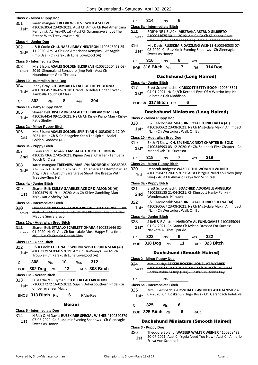### **Class 2 - Minor Puppy Dog**

#### 301 karen mangan: **TREEVIEW STEVE WITH A SLEEVE** 4100363064 23-09-2021: Aust Ch Am Gr Ch Red Americana Kempinski At Argyl(Usa) - Aust Ch Sarangrave Shoot The Breeze With Treeview(Imp Nz) **1st\* Class 4 - Junior Dog**

### 302 J & R Cook: **CH LUNARS JIMMY NEUTRON** 4100346201 25- 11-2020: Am Gr Ch Red Americana Kempinski At Argyle (Imp Usa) - Ch Karakush Luna Lovegood (Ai) **1st\***

#### **Class 5 - Intermediate Dog**

| 303    | Mrs E Ison: ASALEI GOLDEN ELIXIR (AI) 4100325204 29 08 |
|--------|--------------------------------------------------------|
|        |                                                        |
| Absent | 2019: Simonaland Bonacure (Imp Pol) - Aust Ch          |
|        |                                                        |
|        | <b>Houndmaster Gold Threads</b>                        |

#### **Class 10 - Australian Bred Dog**

- 304 Jenny Gray: **CH TAMBALLA TALE OF THE PHOENNIX** 4100306452 06-05-2018: Grand Ch Delrei Under Cover - Tamballa Touch Of Class **1st\***
- Ch **302** Pts **8** Res **304**

#### **Class 1a - Baby Puppy Bitch**

#### 305 Sharen Bell: **KISLEV DREAM ALITTLE DREAMOFME (AI)**

4100364454 09-11-2021: Nz Ch Ch Kislev Piano Man - Kislev 1st<sup>\*</sup> <sup>4100364454</sup><br>Katie Shelby

#### **Class 2a - Minor Puppy Bitch**

306 Mrs E Ison: **ASALEI GOLDEN SPIRIT (AI)** 4100360612 17-09- 2021: Neut Ch & Ch Beagelee Keep The Spirit - Asalei 1st Zuzi: Neut Cri & Cri **1**<br>**1st** Golden Goddess (Ai)

#### **Class 3a - Puppy Bitch**

#### 307 J Gray and R Hyman: **TAMBALLA TOUCH THE MOON**

- 4100357366 27-05-2021: Kijuna Diesel Charger Tamballa 2nd <sup>4100357300</sup><sup>2</sup>
- 308 karen mangan: **TREEVIEW MARILYN MONROE** 4100363065 23-09-2021: Aust Ch Am Gr Ch Red Americana Kempinski At Argyl (Usa) - Aust Ch Sarangrave Shoot The Breeze With Treeview(Imp Nz) **1st\***

#### **Class 4a - Junior Bitch**

### 309 Sharen Bell: **KISLEV GAMBLES ACE OF DIAMONDS (AI)**

4100347915 19-11-2020: Aus Ch Kislev Gambling Man - Kislev Katie Shelby (Ai) **1st**

#### **Class 5a - Intermediate Bitch**

310 Sharen Bell: **KISLEV LEATHER AND LACE** 4100341784 11-08- 2020: Aus Ch Tamballa Tale Of The Phoenix - Aus Ch Kislev Maddie Sierra Bravo Absent

#### **Class 10a - Australian Bred Bitch**

311 Sharen Bell: **STMALO SCARLETT OHARA** 4100331646 02- 01-2020: Nz Ch Aus Ch Burnsdale Most Happy Fella (Imp Nz) Aus Ch Stmalo Danish Diva Absent

#### **Class 11a - Open Bitch**

312 J & R Cook: **CH LUNARS WHENU WISH UPON A STAR (AI)** 4100317924 09-02-2019: Am Ch Ha-Pennys Too Much Trouble - Ch Karakush Luna Lovegood (Ai) **1st\***

| Ch — | 308 | <b>Pts</b> | <b>10</b> | Res 312                           |
|------|-----|------------|-----------|-----------------------------------|
|      |     |            |           | BOB 302 Dog Pts 13 R/Up 308 Bitch |

### **Class 18a - Neuter Bitch**

313 D Beattie & R Hyman: **CH DELREI ALLABOUTME** 7100027272 16-02-2012: Supch Delrei Southern Pride - Gr 1st\* /<sup>100027272</sup>10-02-20<br>Ch Delrei Sheer Magic

BNOB **313 Bitch** Pts **6** R/Up-Res

#### Borzoi

#### **Class 5 - Intermediate Dog**

314 H Rick & M Davis: **RUSSKIMIR SPECIAL WISHES** 4100340579 07-08-2020: Ch Russkimir Evening Shadows - Ch Gleneagle **1st** <sup>07-08-2020: Ch I</sup>

# Ch **314** Pts **6**

### **Class 5a - Intermediate Bitch**

- 315 ROBYNNE L BLACK: **MISTRAKA ASTRUD GILBERTO** 2100044675 30-11-2019: Am Ch Gr Ch Sl. Konza-Plum Creek Bugatti At Elance ( Usa ) - Ch Dolinoff Carmen Mcrae Absent
- 316 M L Davis: **RUSSKIMIR DAZZLING WISHES** 4100340583 07- 08-2020: Ch Russkimir Evening Shadows - Ch Gleneagle **1st**\* U8-2020: Ch Rus<br>Sweet As Honey

Ch **316** Pts **6** Res

BOB **316 Bitch** Pts **7** R/Up **314 Dog**

#### Dachshund (Long Haired)

#### **Class 4a - Junior Bitch**

317 Brett Schonknecht: **KIMSCOTT BETTY BOOP** 4100348591 04-01-2021: Nz Ch/Ch Kernoel Eyes Of A Warrior Imp Nz - **1st**\* U<sup>4-</sup>U1-2021: Nz Ch/Ch Ke<br>Polbathic Dak Maddison

#### BOB-Ch **317 Bitch** Pts **6**

### Dachshund Miniature (Long Haired)

- **Class 2 - Minor Puppy Dog**
- 318 J & T McDonald: **SHASDIN ROYAL TURBO JAFFA (AI)**
- 4100360662 23-08-2021: Nz Ch Mistydale Makin An Impact (Nzl) - Ch Westpriors Walk On By **1st\***

### **Class 10 - Australian Bred Dog**

- 319 BK & YJ Shaw: **CH. SPLENDAK NEXT CHAPTER IN BOLD** 4100346993 03-12-2020: Gr Ch. Splendak First Chapter - Ch Maharlikah Tru Succesor **1st\***
- Ch **318** Pts **7** Res **319**

#### **Class 2a - Minor Puppy Bitch**

| 320 | Deborah Rodgers: WAZEER THE WONDER WEINER                                                            |
|-----|------------------------------------------------------------------------------------------------------|
| 1st | 4100358423 20-07-2021: Aust Ch Ygeia Need You Now (Imp<br>Swe) - Aust Ch Almarjo Freya Von Schnitzel |
|     |                                                                                                      |

### **Class 3a - Puppy Bitch**

| 321 | Brett Schonknecht: BDACHIED ADORABLE ANGELICA    |
|-----|--------------------------------------------------|
| 2nd | 4100355185 21-04-2021: Ch Kimscott Hanky Panky - |
|     | Wonderdachs Nimueh                               |

#### 322 J & T McDonald: **SHASDIN ROYAL TURBO SHEENA (AI)**

4100360667 23-08-2021: Nz Ch Mistydale Makin An Impact (Nzl) - Ch Westpriors Walk On By **1st\***

#### **Class 4a - Junior Bitch**

| 323    | S Bell & R Austen: NAEKOTA AL FUNNGAMES 4100355094   |
|--------|------------------------------------------------------|
| $1st*$ | 01-04-2021: Ch Grand Ch Kyleah Dressed For Success - |
|        | Nookota All That Coarkla                             |

|    |       | <b>INGENULA AIL LIIGL JUALNIC</b> |     |       |  |
|----|-------|-----------------------------------|-----|-------|--|
| Ch | - 323 | Pts                               | Res | - 322 |  |

BOB **318 Dog** Pts **11** R/Up **323 Bitch**

### **Class 2 - Minor Puppy Dog**

324 Mrs J Kerby: **BEKKRI ROCKIN LIONEL AT WYBREK** 4100359947 19-07-2021: Am Gr Ch Aust Ch Joy- Dens Rockin Robin.Ss Imp (Usa) - Boskahun Donna Kay Absent

## Ch Pts

### **Class 5a - Intermediate Bitch**

- 325 Mrs R Gersbach: **GERSNDACH GIVENCHY** 4100342050 23- 07-2020: Ch. Boskahun Hugo Boss - Ch. Gersndach Indelible **1st\***
- Ch **325** Pts **6**
- BOB **325 Bitch** Pts **6** R/Up

### Dachshund Miniature (Smooth Haired)

#### **Class 3 - Puppy Dog**

326 Theodore Boland: **WAZEER WALTER WEINER** 4100358422 20-07-2021: Aust Ch Ygeia Need You Now - Aust Ch Almarjo Freya Von Schnitzel **1st**

Dachshund (Smooth Haired)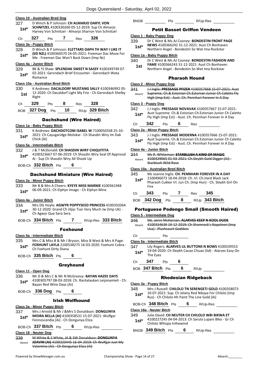| 327           | <b>Class 10 - Australian Bred Dog</b><br>D Winch & P Johnson: CH ALMARJO DARYL VON                      |                                |     |                |                                                           | <b>BNOB</b>   |                                |
|---------------|---------------------------------------------------------------------------------------------------------|--------------------------------|-----|----------------|-----------------------------------------------------------|---------------|--------------------------------|
| $1st*$        | SCHNITZEL 4100330260 05-12-2019: Sup Ch Almarjo<br>Harvey Von Schnitzel - Almarjo Sharron Von Schnitzel |                                |     |                |                                                           |               | Peti                           |
| Ch            | 327<br>Pts                                                                                              | 7                              | Res | 326            |                                                           |               | Class 1 - Baby Pup             |
|               | Class 3a - Puppy Bitch                                                                                  |                                |     |                |                                                           | 339           | Dr C Wes<br>NEWS 41            |
| 328           | D Winch & P Johnson: ELETTARS DAPH TH WAY I LIKE IT                                                     |                                |     |                | (IID NZL) 4100360570 24-05-2021: Freeman Dac Move For     | $1st^*$       | Northern                       |
| $1st*$        | Me - Freeman Dac Won't Back Down (Imp Nz)                                                               |                                |     |                |                                                           | 340           | Class 1a - Baby Pu<br>Dr C Wes |
|               | Class 4a - Junior Bitch                                                                                 |                                |     |                |                                                           | 1st           | FAME 41                        |
| 329<br>$1st*$ | 02-2021: Gersndach Brief Encounter - Gersndach Wata<br>Romance                                          |                                |     |                | BK & YJ Shaw: SPLENDAK SWEET N SASSY 4100349749 07-       |               | Northern                       |
|               | Class 10a - Australian Bred Bitch                                                                       |                                |     |                |                                                           |               | Class 2 - Minor Pu             |
| 330           |                                                                                                         |                                |     |                | K Andrews: DACALDORF MUSTANG SALLY 4100346992 05-         | 341           | <b>J</b> J Inglis:             |
| 1st           | Right                                                                                                   |                                |     |                | 12-2020: Ch Dacaldorf Light My Fire - Ch Gersndach Shelby | Absent        | Supreme<br>High (Im            |
| Ch            | 329<br>Pts                                                                                              | 8                              | Res | 328            |                                                           |               | Class 3 - Puppy Do             |
|               | BOB 327 Dog Pts                                                                                         | 10                             |     | R/Up 329 Bitch |                                                           | 342           | J J Inglis:                    |
|               |                                                                                                         |                                |     |                |                                                           | $1st*$        | Aust Sup<br>Fly High (         |
|               |                                                                                                         | <b>Dachshund (Wire Haired)</b> |     |                |                                                           | Ch            | 342                            |
|               | Class 1a - Baby Puppy Bitch                                                                             |                                |     |                |                                                           |               | Class 2a - Minor Pu            |
| 331           | 2021: Ch Cayugaridge Molokai - Ch Shasdin Wiry Im Dak                                                   |                                |     |                | K Andrews: DACHDOTCOM ISABEL W 7100050338 25-10-          | 343           | J J Inglis:                    |
| $1st^*$       | Chick (Ai)                                                                                              |                                |     |                |                                                           | $1st^*$       | Aust Sup                       |
|               | Class 5a - Intermediate Bitch                                                                           |                                |     |                |                                                           |               | Fly High (                     |
| 332           | J & T McDonald: CH SHASDIN WIRY CHIQUITITA                                                              |                                |     |                |                                                           |               | Class 4a - Junior B            |
| $1st^*$       | Ai - Sup Ch Shasdin Wiry All Shook Up                                                                   |                                |     |                | 4100323667 07-06-2019: Ch Shasdin Wiry Seal Of Approval   | 344<br>Absent | Ms R. Wł<br>3100429            |
|               | BOB-Ch 332 Bitch Pts                                                                                    |                                | 6   |                |                                                           |               | Starblush                      |
|               |                                                                                                         |                                |     |                |                                                           |               | Class 10a - Austral            |
|               | <b>Dachshund Miniature (Wire Haired)</b>                                                                |                                |     |                |                                                           | 345           | Ms Joanr                       |
|               | Class 2a - Minor Puppy Bitch                                                                            |                                |     |                |                                                           | $1st*$        | 2100496<br>Pharaoh             |
| 333           | Mr B & Mrs A Cheers: KYEYE MISS MARNIE 4100361948                                                       |                                |     |                |                                                           |               | Fire                           |
| $1st^*$       | 06-09-2021: Ch Elphyn Imago - Ch Elphyn Minx                                                            |                                |     |                |                                                           | Сh            | 343                            |
|               | Class 4a - Junior Bitch                                                                                 |                                |     |                |                                                           | BOB.          | 342 Dog                        |
| 334           |                                                                                                         |                                |     |                | Mrs DG Hoyle: AGWYR POPPYSEED PRINCESS 4100350364         |               |                                |
| $1st^*$       | 30-12-2020: Grand Ch Jiljac Tsar Very Much Jw (Imp Uk) -                                                |                                |     |                |                                                           |               | <b>Portuguese</b>              |
|               | Ch Agwyr Que Sera Sera                                                                                  |                                |     |                |                                                           |               | Class 5 - Intermedi            |
|               | BOB-Ch 334 Bitch Pts 7 R/Up-Res 333 Bitch                                                               |                                |     |                |                                                           | 346           | Ms. Jenn<br>4100334            |
|               |                                                                                                         | <b>Foxhound</b>                |     |                |                                                           | Absent        | Usa) - Plu                     |
|               | Class 5a - Intermediate Bitch                                                                           |                                |     |                |                                                           | Ch            |                                |
| 335           |                                                                                                         |                                |     |                | Mrs C & Miss B & Mr J Bryson, Miss B West & Mrs A Page:   |               | Class 5a - Intermed            |
| $1st^*$       |                                                                                                         |                                |     |                | FOXHUNT LAYLA 2100538275 16-03-2020: Foxhunt Cobra -      | 347           | Lily Roge                      |
|               | Ch Foxhunt Dirty Diana                                                                                  |                                |     |                |                                                           | $1st^*$       | 19-04-20                       |
|               | BOB-Ch $335$ Bitch $Pts$ 6                                                                              |                                |     |                |                                                           |               | The Eyes                       |
|               |                                                                                                         | <b>Greyhound</b>               |     |                |                                                           | Ch            | 347                            |
|               | Class 11 - Open Dog                                                                                     |                                |     |                |                                                           |               | BOB 347 Bitch                  |
| 336           | Mr D & Mrs C & Mr N McGreevy: BAYAN HAZEE DAYS                                                          |                                |     |                |                                                           |               |                                |
| $1st^*$       | Bayan Red Wine Days (Ai)                                                                                |                                |     |                | 4100305797 08-03-2018: Ch. Rantalaukan Leijonamieli - Ch. |               | Class 3a - Puppy B             |
|               |                                                                                                         |                                |     |                |                                                           | 348           | Mrs J Rus                      |
|               | BOB-Ch 336 Dog Pts                                                                                      |                                | 6   |                |                                                           | $1st^*$       | 10-07-20                       |
|               |                                                                                                         | <b>Irish Wolfhound</b>         |     |                |                                                           |               | Rus) - Ch                      |
|               | Class 2a - Minor Puppy Bitch                                                                            |                                |     |                |                                                           |               | BOB-Ch 348 Bi                  |
| 337           | Mrs J Arnold & Mr J & Mrs S Donaldson: DONGUNYA                                                         |                                |     |                |                                                           |               | Class 18a - Neuter             |
| $1st^*$       | MOIRA BELLA (AI) 4100358531 15-07-2021: Wulfgar                                                         |                                |     |                |                                                           | 349           | Julie Dav<br>4100227           |
|               | Fennoscandia (Ai) - Ch Dongunya Eliza                                                                   |                                |     |                |                                                           | $1st*$        | Chilolo W                      |
|               | BOB-Ch 337 Bitch Pts 6 R/Up-Res                                                                         |                                |     |                |                                                           |               | BNOB 349 Bitc                  |
|               | Class 18 - Neuter Dog                                                                                   |                                |     |                |                                                           |               |                                |
| 338<br>Absent | M White & S White, JA & SW Donaldson: DONGUNYA                                                          |                                |     |                | JOAVIN (AI) 4100320445 16 04 2019: Ch Wulfgar Just My     |               |                                |
|               | Valentino (Ai) - Ch Dongunya Eliza (Ai)                                                                 |                                |     |                |                                                           |               |                                |

Pts R/Up-Res

### It Basset Griffon Vendeen

### **Class 1 - Baby Puppy Dog**

- $358$  Ms AJ Cooney: **BONDESTIN FRONT PAGE**
- **NEWS** 4100366242 31-12-2021: Aust Ch Bonhaven
- Angel Bondestin So Wat Ima Rockstar **Class 1a - Baby Puppy Bitch**

- 5t & Ms AJ Cooney: **BONDESTIN FASHION AND**
- **FAME** 4100366243 31-12-2021: Aust Ch Bonhaven Angel - Bondestin So Wat Ima Rockstar

### Pharaoh Hound

### **Class 2 - Minor Puppy Dog**

341 J J Inglis: **PRESSAGE PFIZER** 4100357668 15-07-2021: Aust . Ch.& Estonian Ch.Estonian Junior Ch Caletto Fly p Est) - Aust. Ch. Pennhari Forever In A Day

#### **Class 3 - Puppy Dog**

- 342 J J Inglis: **PRESSAGE NOVAVAX** 4100357667 15-07-2021:
- reme. Ch.& Estonian Ch.Estonian Junior Ch Caletto
- (Imp Est) Aust. Ch. Pennhari Forever In A Day

| 342<br>$\cdot$ F<br>_ | ເຮ<br>$-$ |  | ۱GS<br>__ |  |
|-----------------------|-----------|--|-----------|--|
|-----------------------|-----------|--|-----------|--|

### **Class 2a - Minor Puppy Bitch**

PRESSAGE MODERNA 4100357666 15-07-2021:

reme. Ch.& Estonian Ch.Estonian Junior Ch Caletto (Imp Est) - Aust. Ch. Pennhari Forever In A Day

### **Class 4a - Junior Bitch**

344 Ms R. Whiteman: **STARBLUSH A KIND OF MAGIC** ..............................<br>065 01-03-2021: Ch.Sleykh Gold Digger (Ai) -**Wild Rose** 

### **Class 10a - Australian Bred Bitch**

| 345<br>$1st*$ | Fire    |            |   |     | Ms Joanne Inglis: CH. PENNHARI FOREVER IN A DAY<br>2100496073 18-04-2018: Ch. Irl. Ch.Hard Black Jack<br>Pharaoh Cukker Irl. Jun Ch. (Imp Hun) - Ch. Sleykh Girl On |  |
|---------------|---------|------------|---|-----|---------------------------------------------------------------------------------------------------------------------------------------------------------------------|--|
| Сh            | 343     | <b>Pts</b> |   | Res | 345                                                                                                                                                                 |  |
| <b>BOB</b>    | 342 Dog | Pts        | 8 |     | $R/Up$ 343 Bitch                                                                                                                                                    |  |

### Podengo Small (Smooth Haired)

#### **Cate Dog**

| 346<br>Ahsent | Ms. Jenni McKernan: ALARVES KEEP N KOOL DUDE<br>4100334639 19 12 2019: Ch Shamrock's Napoleon (Imp<br>Usa) - Plushcourt Goddess |
|---------------|---------------------------------------------------------------------------------------------------------------------------------|
|               |                                                                                                                                 |

### **Class 5a - Intermediate Bitch**

347 Lily Rogers: **ALARVES LIL BUTTONS N BOWS** 4100339553 120: Ch Sleykh Cacao Chuao (Iid) - Alarves Easy On

Ch **347** Pts **6**

**3** Pts **6** R/Up

### Rhodesian Ridgeback

#### **Class 3a - Puppy Bitch**

ssell: **CHILOLO TN SERENGETI GOLD** 4100358073 121: Sup. Ch Jelany Red Nikaya For Chilolo (Imp **Chilolo Hh Paint The Line Gold (Ai)** 

|                          | BOB-Ch 348 Bitch Pts     |  |   | R/Up-Res                                                                                               |  |  |  |
|--------------------------|--------------------------|--|---|--------------------------------------------------------------------------------------------------------|--|--|--|
| Class 18a - Neuter Bitch |                          |  |   |                                                                                                        |  |  |  |
| 349<br>$1st*$            | Chilolo Whispa Inthewind |  |   | Julie David: CH NEUTER CH CHILOLO WBI BIKWA ET<br>4100227245 04-04-2013: Ch Sarula Lupani Biko - Gr Ch |  |  |  |
|                          | $BNOB$ 349 Bitch $Pts$   |  | 6 | R/Up-Res                                                                                               |  |  |  |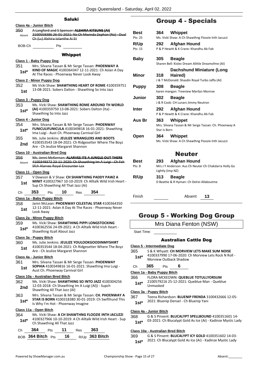|                | Saluki                                                                                                                                                                           |                  |
|----------------|----------------------------------------------------------------------------------------------------------------------------------------------------------------------------------|------------------|
|                | Class 4a - Junior Bitch                                                                                                                                                          |                  |
| 350<br>Absent  | A Langford and S Spencer: ALSHIRA KITSUNE (AI)<br>2100558386 26-01-2021: Nz Ch Mwinda Zephan (Nz) - Dual<br>Ch (Lc) Alshira Iolanthe Ai Et                                       | в<br>P           |
| BOB-Ch         | Pts                                                                                                                                                                              | R                |
|                | <b>Whippet</b>                                                                                                                                                                   | P                |
|                | Class 1 - Baby Puppy Dog                                                                                                                                                         | В                |
| 351            | Mrs. Silvana Tassan & Mr Serge Tassan: PHOENWAY A                                                                                                                                |                  |
| 1st*           | KIND OF MAGIC 4100364347 12-11-2021: Ch Aslan A Day<br>At The Races - Phoenway Never Look Away                                                                                   | N                |
|                | Class 2 - Minor Puppy Dog                                                                                                                                                        |                  |
| 352<br>1st     | Ms Vicki Shaw: SHAWTHING HEART OF ROME 4100359751<br>13-08-2021: Sobers Dalton - Shawthing So Into Jazz                                                                          | Ρ                |
|                | Class 3 - Puppy Dog                                                                                                                                                              | J                |
| 353<br>$1st*$  | Ms. Vicki Shaw: SHAWTHING ROME AROUND TH WORLD<br>(AI) 4100359750 13-08-2021: Sobers Dalton (Ita) -<br>Shawthing So Into Jazz                                                    | Iı               |
|                | Class 4 - Junior Dog                                                                                                                                                             | Α                |
| 354<br>1st*    | Mrs. Silvana Tassan & Mr Serge Tassan: PHOENWAY<br>FUNICULIFUNICULA 4100349818 16-01-2021: Shawthing<br>Ima Luigi - Aust Ch. Phoenway Carnival Girl                              |                  |
| 355<br>2nd     | Ms. Julie Jenkins: JEULIZE WRANGLERS AND BOOTS<br>4100353543 18-04-2021: Ch Ridgesetter Where The Boyz<br>Are - Ch Jeulize Margaret Shannon                                      | C                |
|                | Class 10 - Australian Bred Dog                                                                                                                                                   |                  |
| 356<br>Absent  | Ms. Jenni McKernan: ALARVES ITS A JUNGLE OUT THERE<br>4100349372 23-11-2020: Ch Shawthing Im A Luigi - Ch Fch<br><b>Sfch Alarves Royal Encounter Lex</b>                         | В<br>P           |
|                | <u> Class 11 - Open Dog</u>                                                                                                                                                      |                  |
| 357<br>1st     | V Dawson & V Shaw: CH SHAWTHING PADDY PAWZ A<br><b>MINIT 4100327967 10-10-2019: Ch Alltalk Wild Irish Heart -</b><br>Sup Ch Shawthing All That Jazz (Ai)                         | R                |
| Ch             | 353<br>10<br>354<br>Pts<br>Res                                                                                                                                                   |                  |
|                | Class 1a - Baby Puppy Bitch                                                                                                                                                      | F                |
| 358<br>1st     | Janin McLean: PHOENWAY CELESTIAL STAR 4100364350<br>12-11-2021: Aslan A Day At The Races - Phoenway Never<br>Look Away                                                           |                  |
|                | Class 2a - Minor Puppy Bitch                                                                                                                                                     |                  |
| 359<br>$1st^*$ | Ms. Vicki Shaw: SHAWTHING PIPPI LONGSTOCKING<br>4100362556 24-09-2021: A Ch Alltalk Wild Irish Heart -<br>Shawthing Itzall About Jazz                                            | ξ                |
|                | Class 3a - Puppy Bitch                                                                                                                                                           |                  |
| 360<br>1st     | Ms. Julie Jenkins: JEULIZE YOULOOKGOODINMYSHIRT<br>4100353544 18-04-2021: Ch Ridgesetter Where The Boyz<br>Are - Ch Jeulize Margaret Shannon                                     | <u>CΙε</u><br>36 |
|                | Class 4a - Junior Bitch                                                                                                                                                          |                  |
| 361<br>1st     | Mrs. Silvana Tassan & Mr Serge Tassan: PHOENWAY<br>SOPHIA 4100349816 16-01-2021: Shawthing Ima Luigi -<br>Aust Ch. Phoenway Carnival Girl                                        | С<br><u>CΙε</u>  |
|                | Class 10a - Australian Bred Bitch                                                                                                                                                | 36               |
| 362<br>2nd     | Ms. Vicki Shaw: SHAWTHING SO INTO JAZZ 4100304256<br>12-03-2018: Ch Shawthing Im A Luigi (Al)) - Supch<br>Shawthing All That Jazz (Al)                                           |                  |
| 363            | Mrs. Silvana Tassan & Mr Serge Tassan: CH. PHOENWAY A                                                                                                                            | <u>Cla</u><br>36 |
| $1st^*$        | STAR IS BORN 4100318380 30-01-2019: Ch Swifthund This<br>Is Why I'm Hot - Phoenway Imagine                                                                                       |                  |
| 364<br>$1st^*$ | <u> Class 11a - Open Bitch</u><br>Ms. Vicki Shaw: A CH SHAWTHNG FLOOZIE INTH JACUZZI<br>4100327966 10-10-2019: A Ch Alltalk Wild Irish Heart - Sup<br>Ch Shawthing All That Jazz | <u>Cla</u><br>36 |
|                |                                                                                                                                                                                  |                  |

| Ch — | 364                                    | <b>Pts</b> | - 11 | Res <b>363</b> |                       |
|------|----------------------------------------|------------|------|----------------|-----------------------|
|      | $_{\rm BOR}$ 364 Bitch $_{\rm Pts}$ 16 |            |      |                | R/Up <b>363 Bitch</b> |

# Group 4 - Specials

| Best         | 364 Whippet                                           |
|--------------|-------------------------------------------------------|
| Pts: 25      | Ms. Vicki Shaw: A Ch Shawthng Floozie Inth Jacuzzi    |
| R/Up         | 292 Afghan Hound                                      |
| Pts: 15      | P & P Hewitt & K Crane: Khandhu Ab Fab                |
|              |                                                       |
| Baby         | 305<br><b>Beagle</b>                                  |
|              | Sharen Bell: Kislev Dream Alittle Dreamofme (AI)      |
|              | <b>Dachshund Miniature (Long</b>                      |
| Minor        | 318<br>Haired)                                        |
|              | J & T McDonald: Shasdin Royal Turbo Jaffa (AI)        |
| <b>Puppy</b> | 308<br><b>Beagle</b>                                  |
|              | karen mangan: Treeview Marilyn Monroe                 |
| Junior       | 302<br><b>Beagle</b>                                  |
|              | J & R Cook: CH Lunars Jimmy Neutron                   |
| Inter        | 292 Afghan Hound                                      |
|              | P & P Hewitt & K Crane: Khandhu Ab Fab                |
| Aus Br       | 363<br>Whippet                                        |
|              | Mrs. Silvana Tassan & Mr Serge Tassan: Ch. Phoenway A |
|              | Star Is Born                                          |
| Open         | 364<br>Whippet                                        |
|              | Ms. Vicki Shaw: A Ch Shawthng Floozie Inth Jacuzzi    |
|              |                                                       |
|              | <b>Neuter</b>                                         |
| <b>Best</b>  | <b>Afghan Hound</b><br>293                            |
| Pts: 8       | Mrs J Y Anderson: Aus Ch Neuter Ch Chakdarra Holly Go |
|              | Lightly (Imp NZ)                                      |
| R/Up         | 313<br>Beagle                                         |
|              | D Beattie & R Hyman: Ch Delrei Allaboutme             |
|              |                                                       |
| Finish       | Absent<br>13                                          |

# Group 5 - Working Dog Group

## Mrs Diana Fenton (NSW)

Start Time:

### Australian Cattle Dog

### **Class 5 - Intermediate Dog**

365 S & K Whyatt: **CH MORVIEW LETS MAKE SUM NOISE** 4100337990 17-06-2020: Ch Morview Lets Rock N Roll -

1st\* 4100337990 17-06-2020: 0<br>Morview Outback Shadow

Ch **365** Pts **6**

**Class 1a - Baby Puppy Bitch**

- 366 FLORA MCKEOWN: **QUEBLUE TOTULLYORSUM**
- 2100579216 25-12-2021: Queblue Man Queblue Unmasked **1st\***

### **Class 3a - Puppy Bitch**

367 Teena Richardson: **BLUENIP FRENDA** 3100432666 12-05-

2021: Bluenip Densel - Ch Bluenip Yani **1st\***

### **Class 4a - Junior Bitch**

#### 368 G & S Pinsent: **BLUCALYPT SPELLBOUND** 4100351601 14-

03-2021: Ch Blucalypt Gold As Ice (Ai) - Kadinze Mystic Lady **1st\***

### **Class 10a - Australian Bred Bitch**

369 G & S Pinsent: **BLUCALYPT ICY GOLD** 4100351602 14-03- 2021: Ch Blucalypt Gold As Ice (Ai) - Kadinze Mystic Lady **1st\***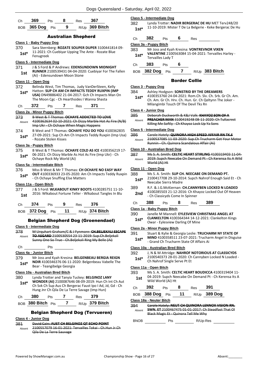| Ch 369 Pts 8 Res 367 |     |                  |
|----------------------|-----|------------------|
| BOB $365$ Dog Pts    | - 9 | $R/Up$ 369 Bitch |

### Australian Shepherd

#### **Class 1 - Baby Puppy Dog**

- 370 Sara Sternberg: **ROZATE SOUPER DUPER** 3100441814 09- 11-2021: Ch Cuebiyar Upping The Ante - Rozate Blue 1st<sup>\*</sup> <sup>11-2021: C</sup><br>Fenugreek
- 

# **Class 5 - Intermediate Dog**

- 371 J & S Ford & P Andrews: **EDENSUNDOWN MIDNIGHT RUNNER** 2100539431 04-04-2020: Cuebiyar For The Fallen (Ai) - Edensundown Moon Stone **1st**
- 

### **Class 11 - Open Dog**

- 372 Belinda West, Tim Thomas, Judy VanDerSteen, Kelly Hatton: **SUP CH AM CH IMPACTS TEDDY RUXPIN (IMP USA)** DN49886402 21-04-2017: Gch Ch Impacts Man On The Moon Cgc - Ch Hearthsides I Wanna Shasta **1st\***
- Ch **372** Pts **7** Res **371**

#### **Class 2a - Minor Puppy Bitch**

- 373 B West & T Thomas: **OCHAYE ADDICTED TO LOVE** 4100362634 02-10-2021: Ch Dizzy Marble Hot As Fire (N/B) Imp Ukr - Ch Ochaye When Magic Happens Absent
- 374 B West and T Thomas: **OCHAYE YOU DO YOU** 4100362835 27-09-2021: Sup Ch Am Ch Impacts Teddy Ruxpin (Imp Usa) **1st**\* 27-09-2021: Sup Ch A<br>Rozate Stolen Kisses -

#### **Class 3a - Puppy Bitch**

375 B West & T Thomas: **OCHAYE COLD AS ICE** 4100356219 17- 06-2021: Ch Dizzy Marble As Hot As Fire (Imp Ukr) - Ch **1st**\* Ub-2021: Ch Dizzy Marble As<br>Ochaye Rock My World (Ai)

#### **Class 5a - Intermediate Bitch**

- 376 Miss B West & Mr T Thomas: **CH OCHAYE NO EASY WAY**
- **OUT** 4100336933 23-05-2020: Am Ch Impacts Teddy Ruxpin - Ch Ochaye Snuffing Else Matters **1st\***

### **Class 11a - Open Bitch**

377 J & S Ford: **WLKABOUT KINKY BOOTS** 4100285751 11-10- 2016: Wlkabout Fortune Teller - Wlkabout Tangles In Blu **1st**

| Ch | $374$ Pts | - 9 | $Res$ 376 |                                   |
|----|-----------|-----|-----------|-----------------------------------|
|    |           |     |           | BOB 372 Dog Pts 11 R/Up 374 Bitch |

### Belgian Shepherd Dog (Groenendael)

### **Class 5 - Intermediate Dog**

378 M Urquhart-Graham/C & J Fynmore: **CH.BELJEKALI ESCAPE TO ASGARD** 2100530554 23-11-2019: Sup.Ch.Beljekali Sunny One So True - Ch.Beljekali Ring My Belle (Ai) Absent

### Ch Pts

### **Class 4a - Junior Bitch**

379 Mr Joss and Kyah Kresina: **BELGENBEAU BERGIA REIGN NOIR** 4100346376 06-11-2020: Belgenbeau Vabelle The **1st\* NOIR** 4100346376 06-11-20<br>Bear - Teangibelge Georgia

### **Class 10a - Australian Bred Bitch**

380 Lynda Trotter and Tanyia Tuckey: **BELGINOZ LANY WONDER (AI)** 2100087646 08-09-2019: Hun Ch Int Ch Aut Ch Svk Ch Sup Aus Ch Bergerac Faust Ipo I Ad, Jd, Gd - Ch Hung Jnr Ch Qila De La Terre Savage (Imp Hun) **1st\***

|  | 380 | 'ts |  | ≺es | 179 |
|--|-----|-----|--|-----|-----|
|--|-----|-----|--|-----|-----|

BOB **380 Bitch** Pts **7** R/Up **379 Bitch**

### Belgian Shepherd Dog (Tervueren)

### **Class 4 - Junior Dog**

- 381 David Cain: **AUST CH BELGINOZ QT ECHO POINT**
- 2100557079 16-01-2021: Tervailles Tokai Ch.Hun Jr.Ch Qila De La Terre Sauvage Absent

|               | Class 5 - Intermediate Dog |                                                                                                                 |   |      |                                                                                                    |  |  |  |  |
|---------------|----------------------------|-----------------------------------------------------------------------------------------------------------------|---|------|----------------------------------------------------------------------------------------------------|--|--|--|--|
| 382<br>$1st*$ |                            | Lynda Trotter: NADIR BERGERAC DE HU MET Terv248/20<br>11-10-2019: Mister T De La Belgerie - Keke Bergerac De Hu |   |      |                                                                                                    |  |  |  |  |
| Ch            | 382                        | <b>Pts</b>                                                                                                      | 6 | Res  |                                                                                                    |  |  |  |  |
|               | Class 3a - Puppy Bitch     |                                                                                                                 |   |      |                                                                                                    |  |  |  |  |
| 383<br>$1st*$ |                            | Tervailles Lady T                                                                                               |   |      | Mr Joss and Kyah Kresina: VONTREVNOR VIXEN<br>VALENTINE 2100563084 15-04-2021: Tervailles Harley - |  |  |  |  |
| Ch            | 383                        | Pts                                                                                                             | 6 |      |                                                                                                    |  |  |  |  |
| BOB           | <b>382 Dog</b>             | Pts                                                                                                             |   | R/Up | 383 Bitch                                                                                          |  |  |  |  |

### Border Collie

#### **Class 3 - Puppy Dog**

- 384 Ashley Hodgson: **SONSTRID BY THE DREAMERS**
- 4100353760 24-04-2021: Rom.Ch. Slv. Ch. Srb. Gr Ch. Am. Ch. Am. Gr Ch. Hrv. Ch. Hun. Gr. Ch Qeltynn The Joker - Milangimbi Touch Of The Devil Tks Rn **1st\***

### **Class 4 - Junior Dog**

| 385    | Deborah Duckworth & K&J Valk: KHAYOZ SON OF A            |
|--------|----------------------------------------------------------|
| Absent | <b>PREACHER MAN 3100419248 08-11-2020: Ch Tullacrest</b> |
|        | Killing Me Softly Ch Khavoz Lock Up Ya Sons              |

#### **Class 5 - Intermediate Dog**

#### 386 Carole Hately: **QUINORA HIGH SPEED AFFAIR RN TK.S**

| Absent | 2100537085 11-03-2020: Sup.Ch Trucharm Get Your Motor |
|--------|-------------------------------------------------------|
|        | Runnin - Ch. Quinora Scandalous Affair (Ai)           |

### **Class 10 - Australian Bred Dog**

| 387    | Ms S. A. Smith: CELTIC HEART STIRLING 4100319403 11-04- |  |
|--------|---------------------------------------------------------|--|
| Absent | 2019: Supch Neecabe On Demand Pt Ch Kerensa Its A Wild  |  |
|        | World (Ai) Ht                                           |  |

### **Class 11 - Open Dog**

| 388    | Ms S. A. Smith: SUP CH. NEECABE ON DEMAND PT.           |
|--------|---------------------------------------------------------|
| $1st*$ | 2100417708 29-10-2014: Supch Nahrof Enough Said Et - Ch |

- **Neecabe Sierra Madre** 389 R.F. & J.G.McKiernan: **CH.CANNYBEN LOCKED N LOADED**
- 4100285503 21-12-2016: Ch Khayoz Locked Out Of Heaven 2nd <sup>4100285503</sup> 21-12-2016: Ch Kn<br>Ch Classicyds Come In Spinner
- Ch **388** Pts **8** Res **389**

#### **Class 1a - Baby Puppy Bitch**

- 390 Janelle M Mannell: **EYLESVIEW CHRISTMAS ANGEL AT**
- **CLANKELTON** 4100364344 14-12-2021: Clankelton Kings **1st\*** CLANKELTON 4100364344 14-12-<br>Owar - Eylesview Darling Of Mine

### **Class 2a - Minor Puppy Bitch**

- 391 Stuart & Kylie & Georgia Leslie: **TRUCHARM NY STATE OF** 
	- **MIND** 4100358511 23-07-2021: Trucharm Angel In Disguise - Grand Ch Trucharm State Of Affairs Ai **1st\***
- 392 J, N & M Attridge: **NAHROF NOTORIOUS AT CLASSICYDS**
- 2100540373 28-01-2020: Ch Cannyben Locked N Loaded **1st**\* 2100540373 28-01-2020: Ch Nahrof Single Serve Pt Et

### **Class 11a - Open Bitch**

393 Ms S. A. Smith: **CELTIC HEART BOUDICCA** 4100319404 11- 04-2019: Supch Neecabe On Demand Pt - Ch Kerensa Its A Wild World (Ai) Ht **1st**

| Ch $392$ Pts         | 8 | Res <b>391</b> |                     |
|----------------------|---|----------------|---------------------|
| BOB $388$ Dog Pts 11 |   |                | R/Up <b>389 Dog</b> |

### **Class 18a - Neuter Bitch**

394 Carole Hately: **NEUT CH QUINORA LENNOX VISION RN. SWN. ET** 2100467475 01-01-2017: Ch Steadfast That Ol Black Magic Et - Quinora Tell Me Why Absent

BNOB Pts R/Up-Res

**Class 10a - Australian Bred Bitch**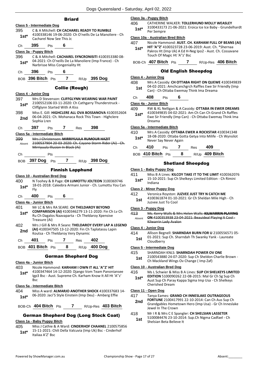### **Briard**

|         | <b>Class 5 - Intermediate Dog</b>     |       |   |                            |                                                                                                                |
|---------|---------------------------------------|-------|---|----------------------------|----------------------------------------------------------------------------------------------------------------|
| 395     |                                       |       |   |                            | C & A Mitchell: CH CACHAREL READY TO RUMBLE                                                                    |
| $1st*$  | Cacharel Now See This Jc              |       |   |                            | 4100338146 19-06-2020: Ch O'neills De La Manoliere - Ch                                                        |
|         | 395                                   |       |   |                            |                                                                                                                |
| Сh      |                                       | Pts   | 6 |                            |                                                                                                                |
|         | Class 3a - Puppy Bitch                |       |   |                            |                                                                                                                |
| 396     |                                       |       |   |                            | C & A Mitchell: CACHAREL SYNCRONISITI 4100353380 08-<br>04-2021: Ch O'neills De La Manoliere (Imp France) - Ch |
| $1st*$  | Narbrisse Miss Congeniality Ht        |       |   |                            |                                                                                                                |
| Сh      | 396                                   | Pts   | 6 |                            |                                                                                                                |
|         |                                       |       |   |                            | BOB 396 Bitch Pts 7 R/Up 395 Dog                                                                               |
|         |                                       |       |   | <b>Collie (Rough)</b>      |                                                                                                                |
|         | Class 4 - Junior Dog                  |       |   |                            |                                                                                                                |
| 397     |                                       |       |   |                            | Mrs D Stevenson: CLIFFGLYNN WEARING WAR PAINT                                                                  |
| $1st*$  | Cliffglynn Started With A Kiss        |       |   |                            | 2100552106 03-11-2020: Ch Cathgarry Thunderstruck -                                                            |
| 398     |                                       |       |   |                            | Miss E. Gill: HIGHCLERE ALL OVA BOSSANOVA 4100352604                                                           |
| 2nd     | Sophia Lren                           |       |   |                            | 06-04-2021: Ch. Mohanaca Rock This Town - Highclere                                                            |
| Сh      | 397                                   | Pts   | 7 | Res                        | 398                                                                                                            |
|         | Class 5a - Intermediate Bitch         |       |   |                            |                                                                                                                |
| 399     |                                       |       |   |                            | Mrs J Christensen: MIRRIYUULA RUMOUR HAZIT                                                                     |
| Absent  | Mirriyuula Illusion In Black (Ai)     |       |   |                            | 2100537904 20-03-2020: Ch. Cayano Storm Rider (Ai) - Ch.                                                       |
| Сh      |                                       | Pts   |   |                            |                                                                                                                |
|         |                                       |       |   |                            | BOB 397 Dog Pts 7 R/Up 398 Dog                                                                                 |
|         |                                       |       |   | <b>Finnish Lapphund</b>    |                                                                                                                |
|         | <b>Class 10 - Australian Bred Dog</b> |       |   |                            |                                                                                                                |
| 400     |                                       |       |   |                            | N Toohey & B Page: CH LUMOTTU JOLTEON 3100369746                                                               |
| $1st*$  | Fly                                   |       |   |                            | 18-01-2018: Caleebra Armani Junior - Ch. Lumottu You Can                                                       |
| Сh      | 400                                   | Pts   | 6 |                            |                                                                                                                |
|         | Class 4a - Junior Bitch               |       |   |                            |                                                                                                                |
| 401     |                                       |       |   |                            | Mr LC & Mrs RA SEARE: CH THELDAROY BEYOND                                                                      |
| $1st*$  |                                       |       |   |                            | COMPARISON (AI) 4100346279 13-11-2020: Fin Ch Lv Ch                                                            |
|         | Treasure (Ai)                         |       |   |                            | Ru Ch Dagalos Naavaparta - Ch Theldaroy Xpensive                                                               |
| 402     |                                       |       |   |                            | Mrs J Gill & Mrs R Seare: THELDAROY EVERY LAP A LEGEND                                                         |
| 2nd     |                                       |       |   |                            | (AI) 4100347505 13-12-2020: Fin Ch Taplatassu Lapin                                                            |
|         | Koutsa - Ch Theldaroy Very Dynamic    |       |   |                            |                                                                                                                |
| Сh      | 401                                   | Pts 7 |   | Res 402                    |                                                                                                                |
|         | BOB 401 Bitch Pts                     |       | 8 |                            | R/Up 400 Dog                                                                                                   |
|         |                                       |       |   | <b>German Shepherd Dog</b> |                                                                                                                |
|         | Class 4a - Junior Bitch               |       |   |                            |                                                                                                                |
| 403     |                                       |       |   |                            | Nicole Hammond: KARHAM I OWN IT ALL 'A"Z' HIT                                                                  |
| $1st^*$ | <b>Bsc</b>                            |       |   |                            | 4100347464 14-12-2020: Django Vom Team Panoniansee<br>Igp3 Bsc - Aust. Supreme Ch. Karham Know It All Ht 'A"z' |
|         | Class 5a - Intermediate Bitch         |       |   |                            |                                                                                                                |
| 404     |                                       |       |   |                            | Miss A ward: <b>ALMARJO ANOTHER SHOCK</b> 4100337683 14-                                                       |
| 1st*    |                                       |       |   |                            | 06-2020: Jaci'S Style Einstein (Imp Deu) - Amberg Effie                                                        |
|         |                                       |       |   |                            |                                                                                                                |

BOB-Ch **404 Bitch** Pts **7** R/Up-Res **403 Bitch**

### German Shepherd Dog (Long Stock Coat)

### **Class 1a - Baby Puppy Bitch**

- 405 Miss J Cathie & A Ward: **CINDERHOF CHAANEL** 2100575856 15-11-2021: Chili Della Valcuvia (Imp Uk) Bsc - Cinderhof
- **1st**\* 15-11-2021: Cr<br>Italiaa A'Z' Bsc

### **Class 3a - Puppy Bitch**

406 CATHERINE WALKER: **TOLLERHUND MOLLY WEASLEY** 3100433173 21-06-2021: Eroica Ice Ice Baby - Grundelhardt 1st<sup>\*</sup> <sup>310043317</sup>

### **Class 10a - Australian Bred Bitch**

- 407 Nicole Hammond: **AUST. CH. KARHAM FULL OF BEANS (AI)**
- **HIT 'A''Z'** 4100323728 23-06-2019: Aust. Ch. \*Shernaa Pakros Ht (Imp Uk) A Ed H-Neg Ipo2 - Aust. Ch. Cossavane Touch Of Magic Ht 'A''z' Bsc **1st\***
- BOB-Ch **407 Bitch** Pts **7** R/Up-Res **406 Bitch**

### Old English Sheepdog

### **Class 4 - Junior Dog**

408 Mrs A Cassidy: **CH OTTABA RIGHT ON QUEWE** 4100349839 04-02-2021: Amchcanchgrch Raffles Ewe Sir Friendly (Imp Can) - Ch Ottaba Ewemay Think Ima Dreama **1st**

Ch **408** Pts **6**

### **Class 4a - Junior Bitch**

- 409 RW & KL Nelligan & A Cassidy: **OTTABA IN EWER DREAMS**
	- 4100349835 04-02-2021: Am Ch Can Ch Grand Ch Raffles Ewe Sir Friendly (Imp Can) - Ch Ottaba Ewemay Think Ima Dreama **1st\***

### **Class 5a - Intermediate Bitch**

410 Mrs A Cassidy: **OTTABA EWER A ROCKSTAR** 4100341348 18-08-2020: Ottaba Gotta Getya Into Milife - Ch Wynsilot 1st<sup>\*</sup> 18-08-2020: Ottaba Go<br>Never Say Never Again Ch **410** Pts **7** Res **409**

BOB **410 Bitch** Pts **8** R/Up **409 Bitch**

### Shetland Sheepdog

### **Class 1 - Baby Puppy Dog**

411 Miss B A Lines: **KILCOY TAKE IT TO THE LIMIT** 4100362076 15-10-2021: Sup Ch Shelkeys Limited Edition - Ch Rimini Indiana **1st\***

### **Class 2 - Minor Puppy Dog**

412 Veronica Royston: **JUZVEE JUST TRY N CATCH ME** 4100361874 01-10-2021: Gr Ch Sheldan Mile High - Ch Juzvee Just To Cool **1st**

### **Class 3 - Puppy Dog**

413 Ms. Kerry Walls & Mrs Helen Walls: **KILWARRIN PLAYING ON** 4100353938 23-04-2021: Beauideal Playing It Cool - Kilwarrin Lady Avalon Absent

### **Class 4 - Junior Dog**

- 414 Allison Begnell: **SHARNDAH BURN FOR U** 2100556571 05-
	- 01-2021: Sup Ch. Sharndah Th Swanky Yank Laureate 1st <sup>01-2021: St</sup> Cloudberry

### **Class 5 - Intermediate Dog**

- 415 SHARNDAH KNLS: **SHARNDAH POWER OV ONE**
- 2100543880 24-07-2020: Sup Ch Sheldon Charlie Brown Ch Mackland Wings Ov Change ( Imp Zaf) **1st**

### **Class 10 - Australian Bred Dog**

- 416 Ms L Schwier & Miss B A Lines: **SUP CH SHELKEYS LIMITED** 
	- **EDITION** 5100090262 22-08-2015: Mal Gr Ch Sg Sup Ch Aust Sup Ch Paray Kappa Sigma Imp Usa - Ch Shelkeys Cherished Dream **1st\***

### **Class 11 - Open Dog**

| 417 | Tanya Eames: GRAND CH INNESLAKE OUTRAGEOUS |
|-----|--------------------------------------------|
|     |                                            |

- **FORTUNE** 2100417991 22-10-2014: Can Ch Aus Sup Ch Grandgables Hometown Hero (Imp Usa) - Gr Ch Inneslake Jewel In The Crown **2nd**
- 418 Mr I R & Mrs C E Spangler: **CH SHELSIAN LASSETER** 5100084476 23-10-2014: Sup.Ch Nigma Cadfael - Ch
	- Shelsian Beta Believe It **1st**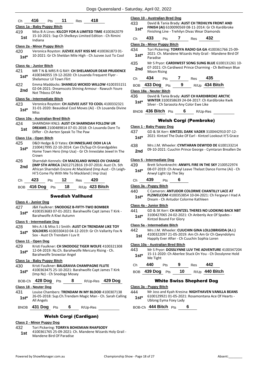### Ch **416** Pts **11** Res **418**

### **Class 1a - Baby Puppy Bitch**

419 Miss B A Lines: **KILCOY FOR A LIMITED TIME** 4100362079 15-10-2021: Sup Ch Shelkeys Limited Edition - Ch Rimini Indiana **1st**

### **Class 2a - Minor Puppy Bitch**

420 Veronica Royston: **JUZVEE JUST KISS ME** 4100361873 01- 10-2021: Gr Ch Sheldan Mile High - Ch Juzvee Just To Cool **1st\***

# **Class 4a - Junior Bitch**

- 421 MR T N & MRS R G RAY: **CH SHELAMOUR DEAR PRUDENCE** 4100346955 19-12-2020: Ch Louanda Frequent Flyer - **1st\*** 4100346955 19-12-2020 422 Emma Maddocks: **SHANELG WICKED WILLOW** 4100355151 02-04-2021: Dreamscots Shining Armour - Rawuch Youre
- **2nd** UZ-04-2021: Drear<br>Not Thboss Of Me

### **Class 5a - Intermediate Bitch**

423 Veronica Royston: **CH JUZVEE JUST TO COOL** 4100332321 31-01-2020: Beauideal Cool Moves (Ai) - Ch Louanda Divine **1st**\*  $\frac{31-0}{Miss}$ 

### **Class 10a - Australian Bred Bitch**

424 SHARNDAH KNLS: **AUST CH SHARNDAH FOLLOW UR DREAMS** 2100489814 07-01-2018: Ch Louanda Dare To **1st DREAIVIS** 2100489814 07-01-2018: C<br>Differ - Ch Aerten Speak To The Paw

### **Class 11a - Open Bitch**

- 425 D&D Hedge & D Yates: **CH INNESLAKE OOH LA LA**
- 2100417995 22-10-2014: Can Ch/Sup Ch Grandgables Home Town Hero (Imp Usa) - Gr Ch Inneslake Jewel In The Crown **1st\***
- 426 Sharndah Kennels: **CH MACKLAND WINGS OV CHANGE (IMP STH AFRICA** ZA012712B16 19-07-2016: Aust Ch. Sth African Sharndah Encore At Mackland (Imp Aust - Ch Leigh-Hi'S Come Fly With Me To Mackland ( Imp Usa) **2nd**

| Ch <b>423</b> Pts  | $\overline{12}$ | Res | 420              |
|--------------------|-----------------|-----|------------------|
| BOB 416 Dog Pts 18 |                 |     | $R/Up$ 423 Bitch |

### Swedish Vallhund

#### **Class 4 - Junior Dog**

#### 427 J&K Faulkner: **SNODOGZ B-FIFTY-TWO BOMBER**

4100353683 07-01-2021: Barahwolfe Capt James T Kirk - Barahwolfe A Kiwi Autumn **1st\***

#### **Class 5 - Intermediate Dog**

### 428 Mrs A J & Miss S J Smith: **AUST CH TRENDAM LIKE TOY**

**SOLDIERS** 4100330410 04-12-2019: Gr Ch Vallarity Fox N **SOLDIERS** 4100330410 04-12-<br>Sox - Aust Ch Trendam I Luv It

#### **Class 11 - Open Dog**

429 Kristi Faulkner: **CH SNODOGZ TIGER WOLFE** 4100321308 12-04-2019: Nz.Ch. Barahwolfe Mercury Rising - Ch. **1st**\* 12-04-2019: Nz.Ch. Barahwolfe Snowstar Angel

### **Class 1a - Baby Puppy Bitch**

### 430 Kristi Faulkner: **BALGRAVIA CHAMPAGNE FLUTE**

4100363475 25-10-2021: Barahwolfe Capt James T Kirk (Imp Nz) - Ch Snodogz Mosey **1st\***

### BOB-Ch **428 Dog** Pts **8** R/Up-Res **429 Dog**

### **Class 18 - Neuter Dog**

431 Louise Chambers: **TRENDAM IN MY BLOOD** 4100307138 26-05-2018: Sup.Ch.Trendam Magic Man - Ch. Sarah Calling 1st<sup>\*</sup> <sup>2b-U5-2UJ</sup><br>All Angels

### BNOB **431 Dog** Pts **6** R/Up-Res

### Welsh Corgi (Cardigan)

### **Class 2 - Minor Puppy Dog**

- 432 Tori Pickering: **TORRYA BOHEMIAN RHAPSODY**
- 4100361765 25-09-2021: Ch. Mandene Wizards Holy Grail 1st 4100361765 25-09-2021: Q<br>Mandene Bird Of Paradise

|                          |                    | Class 10 - Australian Bred Dog |   |                                         |                                                                                                                                                         |                                                                                                                |
|--------------------------|--------------------|--------------------------------|---|-----------------------------------------|---------------------------------------------------------------------------------------------------------------------------------------------------------|----------------------------------------------------------------------------------------------------------------|
| 433<br>$1st*$            |                    |                                |   |                                         | David & Tania Brady: AUST CH TREHILYN FRONT AND<br>FINISH (AI) 6100090569 08-11-2014: Gr Ch Kardibroke<br>Finishing Line - Trehilyn Divas Wear Diamonds |                                                                                                                |
| Ch                       | 433                | Pts                            |   | Res                                     | 432                                                                                                                                                     |                                                                                                                |
|                          |                    | Class 2a - Minor Puppy Bitch   |   |                                         |                                                                                                                                                         |                                                                                                                |
| 434                      |                    |                                |   |                                         |                                                                                                                                                         | Tori Pickering: TORRYA RADIO GA GA 4100361766 25-09-                                                           |
| $1st^*$                  | Paradise           |                                |   |                                         |                                                                                                                                                         | 2021: Ch. Mandene Wizards Holy Grail - Mandene Bird Of                                                         |
| 435<br>2nd               | <b>Moon Rising</b> |                                |   |                                         |                                                                                                                                                         | Mr S Pryor: CARDIWEST SONG SUNG BLUE 6100131261 10-<br>07-2021: Ch Cardiwest Prince Charming - Ch Bethwyn Blue |
| Ch                       | 434                | Pts                            | 7 | Res                                     | 435                                                                                                                                                     |                                                                                                                |
| <b>BOB</b>               | 433 Dog Pts        |                                | 9 |                                         | R/Up 434 Bitch                                                                                                                                          |                                                                                                                |
| Class 18a - Neuter Bitch |                    |                                |   |                                         |                                                                                                                                                         |                                                                                                                |
| 436<br>$1st^*$           |                    |                                |   | Silver - Ch Sarasota Any Color Ewe Like | David & Tania Brady: AUST CH KARDIBROKE ARCTIC<br><b>WINTER 3100358639 24-04-2017: Ch Kardibroke Kwik</b>                                               |                                                                                                                |
| <b>BNOB</b>              |                    | 436 Bitch $Pts$                | 6 |                                         | R/Up-Res                                                                                                                                                |                                                                                                                |

### Welsh Corgi (Pembroke)

### **Class 1 - Baby Puppy Dog**

- 437 GD & SK Kerr: **KINTZEL DARK VADER** 3100442910 07-12- 2021: Kintzel The Duke Of Earl - Kintzel Lookout It'S Grace **1st\*** 438 Mrs J.M. Wheeler: **CYMTARAN DEWYDD DE** 6100133214
- 09-10-2021: Cuuchin Prince George Cymtaran Breallen De **2nd**

### **Class 5 - Intermediate Dog**

- 439 Brett Schonknecht: **ANWYL FIRE IN THE SKY** 2100522974 08-07-2019: Ch Anwyl Leave Thelast Dance Forme (Ai) - Ch Anwyl Light Up The Sky **1st\***
- Ch **439** Pts **6**

### **Class 3a - Puppy Bitch**

440 C Cameron: **ANTUDOR COLORME CHANTILLY LACE AT PLZWELCOM** 4100353854 10-04-2021: Ch Fergwyn I Had A 1st\* PLZWELCOM 4100353854 10-04-2021:<br>Dream - Ch Antudor Colorme Kathleen

### **Class 4a - Junior Bitch**

441 GD & SK Kerr: **CH KINTZEL THERES NO LOOKING BACK NBT** 3100427065 24-02-2021: Ch Anbenly Ace Of Spades - Kintzel Bound For Glory **1st\***

### **Class 5a - Intermediate Bitch**

- 442 Mrs J.M. Wheeler: **CUUCHIN GINA LOLLOBRIGIDA (A.I.)**
- 4100322097 21-05-2019: Am Ch Am Gr Ch Qwyndolyns
	- Happily Ever After Ch Cuuchin Sophia Loren **1st**

### **Class 10a - Australian Bred Bitch**

443 Mr S Pryor: **DOSSLYNNE LUV THE ADVENTURE** 4100347204 15-11-2020: Ch Aberlee Stuck On You - Ch Dosslynne Hold 1st<sup>\*</sup> <sup>15-11-20</sup><br>Me Tight

| Ch | 440                | <b>Pts</b> | - 9 | Res | 442            |
|----|--------------------|------------|-----|-----|----------------|
|    | BOB 439 Dog Pts 10 |            |     |     | R/Up 440 Bitch |

### White Swiss Shepherd Dog

#### **Class 3a - Puppy Bitch**

- 444 Mr Joss and Kyah Kresina: **NIGHTHAVEN VANILLA BEANS** 6100129921 01-05-2021: Rosamontana Ace Of Hearts -
- Ublong Eyma Foxy Lady **1st\***

BOB-Ch **444 Bitch** Pts **6**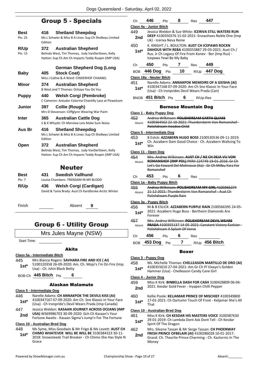# Group 5 - Specials

| Best         | 416     | <b>Shetland Sheepdog</b>                               |
|--------------|---------|--------------------------------------------------------|
| Pts: 25      | Edition | Ms L Schwier & Miss B A Lines: Sup Ch Shelkeys Limited |
| R/Up         | 372     | <b>Australian Shepherd</b>                             |
| Pts: 15      |         | Belinda West, Tim Thomas, Judy VanDerSteen, Kelly      |
|              |         | Hatton: Sup Ch Am Ch Impacts Teddy Ruxpin (IMP USA)    |
|              |         | German Shepherd Dog (Long                              |
| Baby         | 405     | <b>Stock Coat)</b>                                     |
|              |         | Miss J Cathie & A Ward: CINDERHOF CHAANEL              |
| Minor        | 374     | <b>Australian Shepherd</b>                             |
|              |         | B West and T Thomas: Ochaye You Do You                 |
| Puppy        | 440     | Welsh Corgi (Pembroke)                                 |
|              |         | C Cameron: Antudor Colorme Chantilly Lace at Plzwelcom |
| Junior       | 397     | Collie (Rough)                                         |
|              |         | Mrs D Stevenson: Cliffglynn Wearing War Paint          |
| <b>Inter</b> | 365     | <b>Australian Cattle Dog</b>                           |
|              |         | S & K Whyatt: Ch Morview Lets Make Sum Noise           |
| Aus Br       | 416     | <b>Shetland Sheepdog</b>                               |
|              | Edition | Ms L Schwier & Miss B A Lines: Sup Ch Shelkeys Limited |
| Open         | 372     | <b>Australian Shepherd</b>                             |
|              |         | Belinda West, Tim Thomas, Judy VanDerSteen, Kelly      |
|              |         | Hatton: Sup Ch Am Ch Impacts Teddy Ruxpin (IMP USA)    |
|              |         | Neuter                                                 |
| Best         | 431     | <b>Swedish Vallhund</b>                                |
|              |         |                                                        |

| יסט    |                                                       |
|--------|-------------------------------------------------------|
| Pts: 7 | Louise Chambers: TRENDAM IN MY BLOOD                  |
| R/Up   | <b>Welsh Corgi (Cardigan)</b><br>436                  |
|        | David & Tania Brady: Aust Ch Kardibroke Arctic Winter |

Finish Absent **9**

# Group 6 - Utility Group

Mrs Jules Mayne (NSW)

Start Time:

### Akita

#### **Class 5a - Intermediate Bitch**

445 Mrs Bianca Rogers: **SAVHARA FIRE AND ICE ( AI)** 5100120358 26-09-2020: Am. Ch. Mojo's I'm On Fire (Imp **1st**\* **100120338 20-09-2020:**<br>Usa) - Ch. Ishin Black Betty

BOB-Ch **445 Bitch** Pts **6**

### Alaskan Malamute

### **Class 5 - Intermediate Dog**

- 446 Narelle Adams: **CH ANNAKPOK THE DEVILS KISS (AI)** 4100347167 07-09-2020: Am Ch. Sno Klassic In Your Face (Usa) - Ch Ironpride's Devil Wears Prada (Imp Canada) **1st\***
- 447 Jessica Weldon: **KASAAN JOURNEY ACROSS OCEANS (IMP**
- **USA)** WS69986703 30-09-2020: Gch Ch Kasaan's Your **2nd USA)** WS69986703 30-09-2020: Gch Ch Kasaan's Your<br>Fortune Awaits - Kasaan Sigma's Jump'n For The Fortune

### **Class 10 - Australian Bred Dog**

448 Ms Syme, Miss Goodwin & Mr Frigo & Ms Levett: **AUST CH CHIMO WHATEVER WILL BE WILL BE** 3100384323 30-11- 2018: Snowsteeds Trail Breaker - Ch Chimo She Has Style N Grace **1st\***

|                  | 446                         |                          | 8                             |     | 447                                                                                                                                                                    |  |
|------------------|-----------------------------|--------------------------|-------------------------------|-----|------------------------------------------------------------------------------------------------------------------------------------------------------------------------|--|
| Ch               |                             | Pts                      |                               | Res |                                                                                                                                                                        |  |
|                  | Class 4a - Junior Bitch     |                          |                               |     |                                                                                                                                                                        |  |
| 449<br>2nd       |                             | Uk) - Iceriva Neva Reine |                               |     | Jessica Weldon & Sue White: ICERIVA STILL WATERS RUN<br>DEEP 4100350376 15-02-2021: Snowshoes Noble One (Imp                                                           |  |
| 450<br>$1st^*$   |                             |                          | Icepaws Yewl Be My Baby       |     | K. KNIGHT / L. BOULTON: AUST CH ICEPAWS ROCKN<br>DAHOUS WITH REBA 4100353887 29-03-2021: Aust Ch /<br>Rus. Jr Ch Legacy Of Fire From Konev - Bor (Imp Rus) -           |  |
| Ch               | 450                         | <b>Pts</b>               | <b>7</b> Res                  |     | -449                                                                                                                                                                   |  |
| <b>BOB</b>       |                             |                          |                               |     | 446 Dog Pts 10 R/Up 447 Dog                                                                                                                                            |  |
|                  | Class 18a - Neuter Bitch    |                          |                               |     |                                                                                                                                                                        |  |
| 451              |                             |                          |                               |     | Narelle Adams: ANNAKPOK MEMOIRS OF A GEISHA (AI)                                                                                                                       |  |
| $1st^*$          |                             |                          |                               |     | 4100347168 07-09-2020: Am Ch Sno Klassic In Your Face<br>(Usa) - Ch Ironprides Devil Wears Prada (Can)                                                                 |  |
|                  | BNOB 451 Bitch Pts          |                          | 6                             |     | R/Up-Res                                                                                                                                                               |  |
|                  |                             |                          | <b>Bernese Mountain Dog</b>   |     |                                                                                                                                                                        |  |
|                  | Class 1 - Baby Puppy Dog    |                          |                               |     |                                                                                                                                                                        |  |
| 452              |                             |                          |                               |     | Andrea Wilkinson: POLISHDREAM EARTH QUAKE                                                                                                                              |  |
| Absent           |                             |                          | Polishdream Voodoo Child      |     | 4100364562 22-10-2021: Thunderstorm Von Romanshof -                                                                                                                    |  |
|                  | Class 5 - Intermediate Dog  |                          |                               |     |                                                                                                                                                                        |  |
| 453              |                             |                          |                               |     | B Eslick: AZZABERN HUGO BOSS 2100530536 09-11-2019:                                                                                                                    |  |
| $1st^*$          | Win                         |                          |                               |     | Ch. Azzabern Dam Good Choice - Ch. Azzabern Waltzing To                                                                                                                |  |
|                  | Class 11 - Open Dog         |                          |                               |     |                                                                                                                                                                        |  |
| 454<br>Absent    | Romanshof                   |                          |                               |     | Mrs. Andrea Wilkinson: AUST CH / NZ CH DEJA VU VON<br>ROMANSHOF (IMP POL) PKRII-124749 19-01-2016: Gr Ch<br>Let's Go Foward Del Molinasco (Ita) - Gr Ch Milbu Yara For |  |
| Ch               | 453                         | <b>Pts</b>               | 6                             | Res |                                                                                                                                                                        |  |
|                  | Class 1a - Baby Puppy Bitch |                          |                               |     |                                                                                                                                                                        |  |
| 455<br>Absent    |                             |                          | Polishdream Purple Rain       |     | Andrea Wilkinson: POLISHDREAM MY GIRL 4100365274<br>21-12-2021: Thunderstorm Von Romanshof - Aust Ch                                                                   |  |
|                  | Class 3a - Puppy Bitch      |                          |                               |     |                                                                                                                                                                        |  |
| 456 -<br>$1st^*$ | Forever                     |                          |                               |     | M & B ESLICK: AZZABERN PURPLE RAIN 2100566395 24-05-<br>2021: Azzabern Hugo Boss - Bertheim Diamonds Are                                                               |  |
| 457              |                             |                          |                               |     | Mrs. Andrea Wilkinson: POLISHDREAM DEVIL WEARS                                                                                                                         |  |
| Absent           |                             |                          | Polishdream A Splash Of Verve |     | <b>PRADA</b> 4100355137 14-05-2021: Constant Victory Exelsior -                                                                                                        |  |
| Ch               | 456                         |                          | Pts 6 Res                     |     |                                                                                                                                                                        |  |
|                  | BOB 453 Dog Pts             |                          |                               |     | 7 R/Up 456 Bitch                                                                                                                                                       |  |
|                  |                             |                          | Boxer                         |     |                                                                                                                                                                        |  |
|                  | <u> Class 3 - Puppy Dog</u> |                          |                               |     |                                                                                                                                                                        |  |
| 458<br>$1st*$    |                             |                          |                               |     | Ms. Michelle Thomas: CHELLEASON MARTILLO DE ORO (AI)<br>4100355010 27-04-2021: Am Gr Ch Pl Vixayo's Golden<br>Hammer (Usa) - Chelleason Candy Cane Girl                |  |
|                  | Class 4 - Junior Dog        |                          |                               |     |                                                                                                                                                                        |  |
| 459<br>2nd       |                             |                          |                               |     | Miss K Kirk: <b>BINBELLA DASH FOR CASH</b> 3100428809 06-04-<br>2021: Kesdar Gold Fever - Inyapen Chilli Pepper                                                        |  |

460 Kellie Poole: **KELJAMAR PRINCE OF MISCHIEF** 4100349800 17-01-2021: Ch Oartumn Touch Of Frost - Keljamar She's All **1st**<sup>\*</sup>  $\frac{17-0}{\text{That}}$ 

### **Class 10 - Australian Bred Dog**

- 461 Miss K Kirk: **CH KESDAR HIS MASTERS VOICE** 3100387630 29-01-2019: Ch Lambda Dont Ask Dont Tell - Ch Kesdar **1st**\* 29-01-2019: Ch Lami<br>Spirit Of The Dragon
- 462 Mrs. Silvana Tassan & Mr Serge Tassan: **CH PHOENWAY FRESH PRINCE OFBELAIR (AI)** 4100286028 10-01-2017: Grand. Ch. Thasrite Prince Charming - Ch. Kaztornic In The Money **2nd**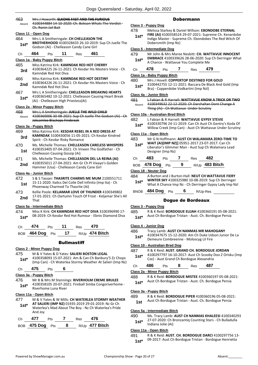| 463<br>Absent | Mrs. Howarth: ELKOHE FAST AND THE FURIOUS<br>4100344884 14 10 2020: Ch. Bokson Whats The Verdict-<br><u>CI</u><br>Ch. Ronin Jail Bait |                               |  |  |  |  |  |
|---------------|---------------------------------------------------------------------------------------------------------------------------------------|-------------------------------|--|--|--|--|--|
|               | $\overline{4}$<br>Class 11 - Open Dog                                                                                                 |                               |  |  |  |  |  |
| 464           | Mrs L A Smitheringale: CH CHELLEASON THE                                                                                              |                               |  |  |  |  |  |
| 1st*          | BROTHERHOOD 4100328433 26-10-2019: Sup Ch Juelle The<br>Godson (Ai) - Chelleason Candy Cane Girl                                      | <u>Cl</u>                     |  |  |  |  |  |
| Сh            | 464<br>11<br>461<br>Pts<br>Res                                                                                                        | 4                             |  |  |  |  |  |
|               | <u> Class 1a - Baby Puppy Bitch</u>                                                                                                   |                               |  |  |  |  |  |
| 465           | Miss Katrina Kirk: KAMNDAK RED HOT CHERRY                                                                                             |                               |  |  |  |  |  |
| 3rd           | 4100364225 26-11-2021: Ch Kesdar His Masters Voice - Ch<br>Kamndak Red Hot Diva                                                       | СI                            |  |  |  |  |  |
| 466           | Miss Katrina Kirk: KAMNDAK RED HOT DESTINY                                                                                            | 4i                            |  |  |  |  |  |
| 2nd           | 4100364226 26-11-2021: Ch Kesdar His Masters Voice - Ch<br>Kamndak Red Hot Diva                                                       |                               |  |  |  |  |  |
| 467           | Mrs L A Smitheringale: CHELLEASON BREAKING HEARTS                                                                                     |                               |  |  |  |  |  |
| 1st*          | 4100365482 10-12-2021: Chelleason Causing Heart Break                                                                                 | $\overline{\mathbf{C}}$<br>4  |  |  |  |  |  |
|               | (Ai) - Chelleason High Priestess(Ai)                                                                                                  |                               |  |  |  |  |  |
|               | Class 2a - Minor Puppy Bitch                                                                                                          |                               |  |  |  |  |  |
| 468<br>Absent | Mrs L A Smitheringale: JUELLE THE WILD CHILD<br>4100360006 30-08-2021: Sup Ch Juelle The Godson (Ai) - Ch                             | <u>ୋ</u>                      |  |  |  |  |  |
|               | Jaksamlee Blackops Firebreak                                                                                                          | $\mathbf{4}$                  |  |  |  |  |  |
|               | Class 3a - Puppy Bitch                                                                                                                |                               |  |  |  |  |  |
| 469           | Miss Katrina Kirk: KESDAR REBEL IN A RED DRESS AT                                                                                     | СI                            |  |  |  |  |  |
| 3rd           | <b>KAMNDAK 3100430056 11-05-2021: Ch Kesdar Kindred</b><br>Spirit - Ch Kesdar Risky Romance                                           | 4i                            |  |  |  |  |  |
| 470           | Ms. Michelle Thomas: CHELLEASON CARELESS WHISPERS                                                                                     |                               |  |  |  |  |  |
| 1st           | 4100353405 07-04-2021: Ch Vineen The Godfather - Ch<br>Chelleason Causing Gossip (Ai)                                                 |                               |  |  |  |  |  |
| 471           | Ms. Michelle Thomas: CHELLEASON DEL LA REINA (AI)                                                                                     |                               |  |  |  |  |  |
| 2nd           | 4100355011 27-04-2021: Am Gr Ch Pl Vixayo's Golden<br>Hammer (Usa) - Chelleason Candy Cane Girl                                       |                               |  |  |  |  |  |
|               |                                                                                                                                       | С                             |  |  |  |  |  |
| 472           | Class 4a - Junior Bitch<br>S & S Tassan: THASRITE CHARMS ME MUM 2100551711                                                            | $\overline{4}$                |  |  |  |  |  |
| 1st           | 15-11-2020: Italics Del Colle Dell Infinito (Imp Ita) - Ch                                                                            |                               |  |  |  |  |  |
|               | Phoenway Charmed To Thasrite (Ai)                                                                                                     |                               |  |  |  |  |  |
| 473           | Kellie Poole: KELJAMAR LOVE OF THUNDER 4100349802<br>17-01-2021: Ch Oartumn Touch Of Frost - Keljamar She's All                       |                               |  |  |  |  |  |
| 2nd           | That                                                                                                                                  |                               |  |  |  |  |  |
|               | Class 5a - Intermediate Bitch                                                                                                         | $\overline{\mathbf{C}}$       |  |  |  |  |  |
| 474           | Miss K Kirk: CH KAMNDAK RED HOT DIVA 3100396990 17-                                                                                   | 4i                            |  |  |  |  |  |
| $1st*$        | 08-2019: Ch Kesdar Red Hot Rumour - Ebniv Diamond Diva                                                                                |                               |  |  |  |  |  |
| Ch            | 474<br>11<br>470<br>Pts<br>Res                                                                                                        | <u>Cl</u>                     |  |  |  |  |  |
| <b>BOB</b>    | 17<br>R/Up 474 Bitch<br>464 Dog<br>Pts                                                                                                | 4i                            |  |  |  |  |  |
|               |                                                                                                                                       |                               |  |  |  |  |  |
|               | <b>Bullmastiff</b>                                                                                                                    | $\overline{\mathbf{C}}$       |  |  |  |  |  |
|               | <b>Class 2 - Minor Puppy Dog</b>                                                                                                      | 4i                            |  |  |  |  |  |
| 475           | M & V Yates & D Yates: SALIERI BOSTON LEGAL                                                                                           |                               |  |  |  |  |  |
| $1st*$        | 4100358093 15-07-2021: Am & Can Ch Banbury'S Zz Chops<br>(Imp Can) - Ch Waterlea Stormy Weather At Salieri (Imp Nz)                   |                               |  |  |  |  |  |
| Ch            | 475<br>6<br>Pts                                                                                                                       |                               |  |  |  |  |  |
|               | Class 3a - Puppy Bitch                                                                                                                | $\overline{\mathbf{C}}$<br>4i |  |  |  |  |  |
| 476           | Mr B & Mrs M Stennings: RIVERHOLM CREME BRULEE                                                                                        |                               |  |  |  |  |  |
| $1st*$        | 4100358105 20-07-2021: Fireball Simba Congoriverhome -<br>Riverhome Luna River                                                        |                               |  |  |  |  |  |
|               | Class 11a - Open Bitch                                                                                                                | <u>Cl</u>                     |  |  |  |  |  |
| 477           | M & V Yates & W Mills: CH WATERLEA STORMY WEATHER                                                                                     | $\mathbf{4}$                  |  |  |  |  |  |
| $1st^*$       | AT SALIERI (IMP NZ) 01935-2019 29-01-2019: Nz Gr Ch                                                                                   |                               |  |  |  |  |  |
|               | Waterlea's Mad About The Boy - Nz Ch Waterlea's Pride<br>And Joy                                                                      | $\overline{\mathbf{C}}$       |  |  |  |  |  |

| Ch 477 Pts 7 Res 476 |  |                                  |
|----------------------|--|----------------------------------|
|                      |  | BOB 475 Dog Pts 8 R/Up 477 Bitch |

### Dobermann

### **Class 3 - Puppy Dog**

478 Melissa Starkey & Daniel Willson: **EBONDOBE ETERNAL FIRE (AI)** 4100358524 29-07-2021: Supreme Ch. Kenardobe Indigo Master - Supreme Ch. Ebondobes The Red Witch Of Dobersmith (Imp Nz) **1st\***

### **Class 5 - Intermediate Dog**

- 479 Mr John & Mrs Maree Nesbitt: **CH. WATTAVUE INNOCENT**
- **EMBRACE** 4100339626 28-06-2020: Sup Ch Derringer What A Chance - Wattavue You Complete Me **1st\***
- Ch **478** Pts **7** Res **479**

### **Class 1a - Baby Puppy Bitch**

#### 480 Mrs J Hovell: **COPPERTOP DESTINED FOR GOLD**

3100442755 12-11-2021: Baccara De Black And Gold (Imp Bra) - Copperdobe Vodkartini (Imp Nzl) **1st\***

#### **Class 4a - Junior Bitch**

```
481 L Fabian & R Harnell: WATTAVUE KNOW A TRICK OR TWO
```

```
4100349632 22-12-2020: Ch Darchaltan Dont Change A 
       Thing (Ai) - Ch Wattavue Under Scrutiny
Absent
```
#### **Class 10a - Australian Bred Bitch**

- 482 L Fabian & R Harnell: **WATTAVUE GYPSY STEVIE**
- 4100330796 24-11-2019: Can Ch Aust Ch Gentry's Koda Of
- Willow Creek (Imp Can) Aust Ch Wattavue Under Scrutiny **1st\***

### **Class 11a - Open Bitch**

```
483 Mr G N Hoffmann: AUST CH WALAMARA ZERO-TIME TO
```
- **WAIT (AI)(IMP NZ)]** 05951-2017 23-07-2017: Can Ch Liberator's Glimmer Man - Aust Sup Ch Walamara Lead Designer (Imp Nz) **1st\***
- Ch **483** Pts **7** Res **482** BOB **478 Dog** Pts **9** R/Up **483 Bitch**

### **Class 18 - Neuter Dog**

484 A Burton and J Burton-Hall: **NEUT CH WATTAVUE FIERY WINTER SKY** 4100325980 10-08-2019: Sup Ch Derringer **1st\*** WINTER SKY 4100325980 10-08-2019: Sup Ch Derringer<br>What A Chance Imp Nz - Ch Derringer Gypsy Lady Imp Nzl

BNOB **484 Dog** Pts **6** R/Up-Res

### Dogue de Bordeaux

#### **Class 3 - Puppy Dog**

#### **Class 4 - Junior Dog**

- 486 Tracy Lamb: **AUST CH NANMAS MR MAHOGANY**
- 4100347675 15-12-2020: Am Ch Duke Udson Junior De La **1st** 4100347675 15-12-2020: Am Ch Duke 00:<br>Demeure Combreenne - Moloscyg Lil Fire

### **Class 10 - Australian Bred Dog**

487 R & K Reid: **AUST. GRAND CH. BORDOGUE JORDAN** 4100297797 16-10-2017: Aust Ch Scooby Doo Z Orisku (Imp Cze) - Aust Grand Ch Bordogue Alexandria **1st\***

Ch **486** Pts **8** Res **487**

### **Class 2a - Minor Puppy Bitch**

488 R & K Reid: **BORDOGUE MISTEE** 4100360197 05-08-2021: 1st\* Aust Ch Bordogue Tristan - Aust. Ch. Bordogue Persia

### **Class 3a - Puppy Bitch**

489 R & K Reid: **BORDOGUE PIPER** 4100360196 05-08-2021:

Aust Ch Bordogue Tristan - Aust. Ch. Bordogue Persia **1st**

### **Class 5a - Intermediate Bitch**

490 Ms. Tracy Lamb: **AUST CH NANMAS KHALEESI** 4100340293 27-07-2020: Ch Bronzantiq Counting Stars - Ch Bulladulla Indiana Jolie (Ai) **1st\***

### **Class 11a - Open Bitch**

491 R & K Reid: **AUST. CH. BORDOGUE DARCI** 4100297756 13- 09-2017: Aust Ch Bordogue Tristan - Bordogue Henrietta **1st\***

<sup>485</sup> R & K Reid: **BORDOGUE ELIJAH** 4100360191 05-08-2021: 1st\* Aust Ch Bordogue Tristan - Aust. Ch. Bordogue Persia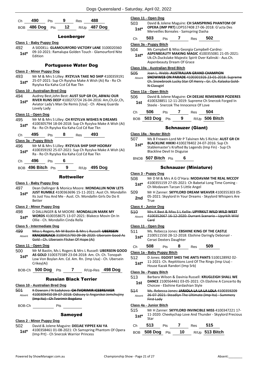| Ch <b>490</b> | <b>Pts</b> | - 9 | Res 488 |                                 |
|---------------|------------|-----|---------|---------------------------------|
|               |            |     |         | BOB 486 Dog Pts 12 R/Up 487 Dog |

### Leonberger

#### **Class 1 - Baby Puppy Dog**

492 A SIDDELL: **GLAMOURFORD VICTORY LANE** 3100020360 09-10-2021: Ramalupa Golden Touch - Glamourford Nite  $1$ st<sup>\*</sup> $\frac{09-10-7}{Fddton}$ 

### Portuguese Water Dog

#### **Class 2 - Minor Puppy Dog**

493 Mr M & Mrs S Lilley: **RYZYLVA TAKE NO SHIP** 4100359191 25-07-2021: Sup Ch Ryzylva Make A Wish (Ai) Ra - Ro Ch Ryzylva Kia Kaha Ccd Cd Rae Tkn **1st\***

#### **Class 10 - Australian Bred Dog**

494 Audrey Best,John Best: **AUST SUP GR CH,.ABWAJ OUR RIVER RUNS DEEP** 4100272724 26-04-2016: Am,Ch,Gr,Ch, Aviator Lady's Man De Remis [Usa] - Ch Abwaj Guarda Lovely Lady **1st\***

### **Class 11 - Open Dog**

495 Mr M & Mrs S Lilley: **CH RYZYLVA WISHES N DREAMS** 4100305794 18-04-2018: Sup Ch Ryzylva Make A Wish (Ai) Ra - Ro Ch Ryzylva Kia Kaha Ccd Cd Rae Tkn **1st\***

Ch **495** Pts **8** Res **493**

#### **Class 3a - Puppy Bitch**

- 496 Mr M & Mrs S Lilley: **RYZYLVA SHIP SHIP HOORAY** 4100359192 25-07-2021: Sup Ch Ryzylva Make A Wish (Ai) Ra - Ro Ch Ryzylva Kia Kaha Ccd Cd Rae Tkn **1st\***
- Ch **496** Pts **6**

BOB **496 Bitch** Pts **9** R/Up **495 Dog**

#### Rottweiler

#### **Class 1 - Baby Puppy Dog**

497 Dean Dallinger & Monica Moore: **MONDALLIN NOW LETS JUST RUMBLE** 4100363696 15-11-2021: Aust Ch. Mondallin Its Just You And Me - Aust. Ch. Mondallin Girls Do Do It Better **1st\***

#### **Class 2 - Minor Puppy Dog**

#### 498 D DALLINGER & M MOORE: **MONDALLIN MARK MY**

**WORDS** 4100358675 13-07-2021: Blakeco Movin On In Ollie - Ch. Mondallin Cinda Rella **1st\***

#### **Class 5 - Intermediate Dog**

499 Miss L Rogers, Mr M Bastin & Mrs L Russell: **UBERSEIN KRACKERJACK** 3100415793 09-08-2020: Ubersein Good As Gold - Ch. Ubersein Flicker Of Hope (Ai) Absent

### **Class 11 - Open Dog**

- 500 Mr M Bastin, Ms L Rogers & Mrs L Russell: **UBERSEIN GOOD AS GOLD** 3100375589 23-04-2018: Am. Ch. Ch. Tonopah **1st\***
- Low Von Boylan Am. Cd. Am. Rn. (Imp Usa) Ch. Ubersein Crikey(Ai)

## BOB-Ch **500 Dog** Pts **7** R/Up-Res **498 Dog**

Russian Black Terrier

### **Class 10 - Australian Bred Dog**

|        | K Dawson / N Sadykova: CH TVORIMIR ICEBREAKER          |
|--------|--------------------------------------------------------|
| Absent | 4100309450 09-07-2018: Odissey Iz Angarskoi Jemchujiny |
|        | (Imp Ita) - Ch Tvorimir Bogdana                        |
| BOB-Ch | rts                                                    |

### Samoyed

#### **Class 2 - Minor Puppy Dog**

#### 502 David & Jolene Maguire: **DEEJAE YIPPEE KAI YA**

4100358461 01-08-2021: Ch Samspring Phantom Of Opera (Imp Prt) - Ch Snerzok Warrior Princess **1st\***

| Class 11 - Open Dog               |                                                                                                                                                                                         |     |  |     |                                                                                                                                                           |  |
|-----------------------------------|-----------------------------------------------------------------------------------------------------------------------------------------------------------------------------------------|-----|--|-----|-----------------------------------------------------------------------------------------------------------------------------------------------------------|--|
| 503<br>$1st*$                     | David & Jolene Maguire: CH SAMSPRING PHANTOM OF<br>OPERA (IMP PRT) LOP557408 27-06-2018: G'ucta Des<br>Merveilles Boreales - Samspring Dasha                                            |     |  |     |                                                                                                                                                           |  |
| Сh                                | 503                                                                                                                                                                                     | Pts |  | Res | 502                                                                                                                                                       |  |
| Class 3a - Puppy Bitch            |                                                                                                                                                                                         |     |  |     |                                                                                                                                                           |  |
| 504<br>$1st^*$                    | Ms Campbell & Miss Georgia Campbell-Cardno:<br>ASPENBEAUTY MAKING MAGIC 4100355081 21-05-2021:<br>Uk.Ch.Duckslake Majestic Spirit Over Kalinski - Aus.Ch.<br>Aspenbeauty Dream Of Grace |     |  |     |                                                                                                                                                           |  |
| Class 10a - Australian Bred Bitch |                                                                                                                                                                                         |     |  |     |                                                                                                                                                           |  |
| 505<br>Absent                     |                                                                                                                                                                                         |     |  |     | Joan L. Webb: AUSTRALIAN GRAND CHAMPION<br><b>SNOWWEB ON PARADE 4100301926 23-01-2018: Supr</b><br>Ch. Snowbrook Lucky Star Of Henry - Gr. Ch. Kalaska Go |  |

### **Class 11a - Open Bitch**

| 506 | David & Jolene Maguire: CH DEEJAE REMEMBER POZIERES |
|-----|-----------------------------------------------------|
| 1st | 4100328851 12-11-2019: Supreme Ch Snerzok Forged In |
|     | Steele - Snerzok The Innocence Of Love              |

| Ch 506 Pts 7    |    | $Res$ 504 |                  |
|-----------------|----|-----------|------------------|
| BOB 503 Dog Pts | -9 |           | $R/Up$ 506 Bitch |

### Schnauzer (Giant)

### **Class 18a - Neuter Bitch**

- 507 Ms B Frewen-Lord Mr P Talvinen Ms S Richie: **AUST GR CH** 
	- **BLACKLINE HIKIKI** 4100278402 24-07-2016: Sup Ch Stablemaster's Krafted By Legends (Imp Fin) - Sup Ch Blackline Devil In Disguise **1st\***
- BNOB **507 Bitch** Pts **6**

### Schnauzer (Miniature)

#### **Class 3 - Puppy Dog**

- 508 Mr D M & Mrs A G O'Hara: **MODAVAM THE REAL MCCOY**
	- 4100355159 27-05-2021: Ch Babetal Long Time Coming 1st\* 4100355159 27-05-2021: Ch Babe<br>Ch Modavam Tarzan S Little Angel
- 509 Mr H Zanner: **SKYYLORD DREAM WEAVER** 4100355303 05- 05-2021: Skyylord In Your Dreams - Skyylord Whispers Are 2nd

### **Class 4 - Junior Dog**

510 Mrs K Best & Miss S L Kellie: **UPYRKILT WILD WILD WEST** 4100352667 16-12-2020: Durrant Scenario - Upyrkilt Wild Card Absent

### **Class 11 - Open Dog**

- 511 Ms. Rebecca Jones: **EBSHINE KING OF THE CASTLE**
	- 2100511550 28-12-2018: Ebshine Daringly Debonair Cersei Dexters Daughter **1st\***
- Ch **508** Pts **8** Res **509**

### **Class 1a - Baby Puppy Bitch**

- 512 D Jones: **EGOIST SHES THE ANTS PANTS** 5100128992 02-
	- 11-2021: Ch. Repititions Lord Of The Rings (Imp Usa) House Kazak Randori (Imp Srb) **1st\***

### **Class 3a - Puppy Bitch**

- 513 Barbara Wilson & Davinia Russell: **KRUGLEIGH SHALL WE** 
	- **DANCE** 2100564461 03-05-2021: Ch Ebshine A Concerto By **1st DANCE** 2100564461 03-05-2021: Choicee - Ebshine Kardashian Style
- 514 Ms. Rebecca Jones: **JARJOLA LA LA LA LOLA** 4100359209 26-07-2021: Steadlyn The Ultimate (Imp Ita) - Summery First Lady Absent

### **Class 4a - Junior Bitch**

515 Mr H Zanner: **SKYYLORD INVINCIBLE MISS** 4100347221 17- 11-2020: Cheekychap Love And Thunder - Skyylord Precious Star **1st\***

|    | <b>JLUI</b>        |       |         |                |  |
|----|--------------------|-------|---------|----------------|--|
| Ch | 513                | Pts 7 | Res 515 |                |  |
|    | BOB 508 Dog Pts 10 |       |         | R/Up 513 Bitch |  |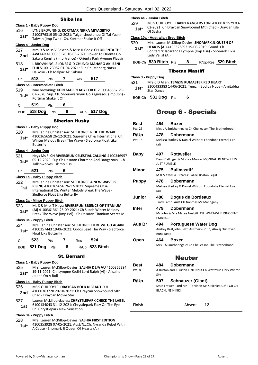### Shiba Inu

### **Class 1 - Baby Puppy Dog** 516 LYNE BROWNING: **KORTMAR NIKKA MIYAGIKYO** 2100576319 05-12-2021: Taigenshoutohou Of Tai Yuan-Taiwan (Imp Twn) - Ch. Kortmar Shake It Off **1st\* Class 4 - Junior Dog** 517 Mrs D & Miss V Bexton & Miss R Cook: **CH ORIENTA THE AVATAR** 4100353370 16-03-2021: Power To Orienta Go Sakura Kensha (Imp France) - Orienta Park Avenue Playgirl **2nd** 518 L BROWNING, S JONES & D CHUNG: **MAHARG AKI BENI FUJI** 5100123982 01-04-2021: Sup Ch. Maharg Natsu **1st\*** FUJI 5100123982 01-04-2021: S<br>Daikoku - Ch Malpac Aki Sakura Ch **518** Pts **7** Res **517 Class 5a - Intermediate Bitch** 519 lyne browning: **KORTMAR READY FOR IT** 2100546587 29- 07-2020: Sup. Ch. Shouowariryuu Go Kagiyasou (Imp Jpn) - **1st**\* UZ-2020: Sup. Cn. Sn<br>Kortmar Shake It Off Ch **519** Pts **6** BOB **518 Dog** Pts **8** R/Up **517 Dog** Siberian Husky **Class 1 - Baby Puppy Dog** 520 Mrs Janine Christensen: **SLEDFORCE RIDE THE WAVE** 4100365658 26-12-2021: Supreme Ch & International Ch. Winter Melody Break The Wave - Sledforce Float Lika Butterfly **1st\* Class 4 - Junior Dog** 521 Heys Ms S: **CH RIVERSRUN CELESTIAL CALLING** 4100346957 05-12-2020: Sup Ch Desaran Charmed And Dangerous - Ch **1st**\* U<sup>5-12-2020: Sup Cn Desa</sup> Ch **521** Pts **6 Class 1a - Baby Puppy Bitch** 522 Mrs Janine Christensen: **SLEDFORCE A NEW WAVE IS RISING** 4100365656 26-12-2021: Supreme Ch & International Ch. Winter Melody Break The Wave - Sledforce Float Lika Butterfly **1st Class 2a - Minor Puppy Bitch** 523 Ms S & Miss T Heys: **RIVERSRUN ESSENCE OF TITANIUM (AI)** 4100361361 25-09-2021: Ch Supch Winter Melody **1st\*** (Al) 4100361361 25-09-2021: Ch Supen Winter Melody<br>Break The Wave (Imp Pol) - Ch Desaran Titanium Secret Jc **Class 3a - Puppy Bitch** 524 Mrs. Janine Christensen: **SLEDFORCE HERE WE GO AGAIN** 4100357443 19-06-2021: Cudos Lead The Way - Sledforce Float Lika Butterfly **1st\*** Ch **523** Pts **7** Res **524** BOB **521 Dog** Pts **8** R/Up **523 Bitch** St. Bernard **Class 1 - Baby Puppy Dog** 525 Mrs. Lauren McKillop-Davies: **SALHIA DEJA VU** 4100365294 19-11-2021: Ch. Lympne Kediri Lord Ralph (Ai) - Allsaint 1st<sup>\*</sup> <sup>19-11-2021: Ch.</sup><br>Jolene On A Roll **Class 1a - Baby Puppy Bitch** 526 MS S GUILFOYLE: **DRAYCAN BOLD N BEAUTIFUL** 41000363728 20-10-2021: Ch Draycan Snowbound Mtn 2nd 41000363728 20-10-2021:<br>Chad - Draycan Movie Star 527 Lauren Mckillop-davies: **CHRYSTLEPARK CHECK THE LABEL** 6100134043 31-12-2021: Chrystlepark Easy On The Eye - **1st** b100134043 31-12-2021: Chryst<br>Ch. Chrystlepark New Sensation **Class 3a - Puppy Bitch**

528 Mrs. Lauren McKillop-Davies: **SALHIA FIRST EDITION** 4100353928 07-05-2021: Aust/Nz.Ch. Nyranda Rebel With A Cause - Snomark Jl Queen Of Hearts (Ai) **1st\***

### **Class 4a - Junior Bitch**

529 MS S GUILFOYLE: **HAPPY RANGERS TORI** 41000361529 03- 02-2021: Ch Draycan Snowbound Mtn Chad - Draycan Isle 1st<sup>\*</sup> Of Sasha

### **Class 10a - Australian Bred Bitch**

- 530 Mrs. Lauren McKillop-Davies: **SNOMARK JL QUEEN OF HEARTS (AI)** 4100323893 15-06-2019: Grand. Ch.
	- Conifercrk Jacaranda Lympne (Imp Usa) Snomark Tikki Lady Vallst (Ai) **1st\***
	- BOB-Ch **530 Bitch** Pts **8** R/Up-Res **529 Bitch**

### Tibetan Mastiff

### **Class 3 - Puppy Dog**

531 Mrs C D Allen: **TEMZIN KUMASTER RED HEART**

3100433383 14-06-2021: Temzin Bodiva Nuba - Amitabha **1st**\* <sup>310043338</sup>

BOB-Ch **531 Dog** Pts **6**

# Group 6 - Specials

| <b>Best</b><br>Pts: 25 | 464<br>Boxer<br>Mrs L A Smitheringale: Ch Chelleason The Brotherhood                                                 |
|------------------------|----------------------------------------------------------------------------------------------------------------------|
| R/Up<br>Pts: 15        | 478<br>Dobermann<br>Melissa Starkey & Daniel Willson: Ebondobe Eternal Fire<br>(ai)                                  |
| <b>Baby</b>            | <b>Rottweiler</b><br>497<br>Dean Dallinger & Monica Moore: MONDALLIN NOW LETS<br><b>JUST RUMBLE</b>                  |
| <b>Minor</b>           | <b>Bullmastiff</b><br>475<br>M & V Yates & D Yates: Salieri Boston Legal                                             |
| <b>Puppy</b>           | 478<br>Dobermann<br>Melissa Starkey & Daniel Willson: Ebondobe Eternal Fire<br>(ai)                                  |
| Junior                 | 486<br>Dogue de Bordeaux<br>Tracy Lamb: Aust CH Nanmas Mr Mahogany                                                   |
| Inter                  | 479<br>Dobermann<br>Mr John & Mrs Maree Nesbitt: CH. WATTAVUE INNOCENT<br><b>EMBRACE</b>                             |
| Aus Br                 | 494<br><b>Portuguese Water Dog</b><br>Audrey Best, John Best: Aust Sup Gr Ch, Abwaj Our River<br><b>Runs Deep</b>    |
| Open                   | 464<br>Boxer<br>Mrs L A Smitheringale: Ch Chelleason The Brotherhood                                                 |
|                        | <b>Neuter</b>                                                                                                        |
| Best                   | 484<br>Dobermann                                                                                                     |
| Pts: 8                 | A Burton and J Burton-Hall: Neut Ch Wattavue Fiery Winter<br>Sky                                                     |
| R/Up                   | 507<br><b>Schnauzer (Giant)</b><br>Ms B Frewen-Lord Mr P Talvinen Ms S Richie: AUST GR CH<br><b>BLACKLINE HIKIKI</b> |
|                        |                                                                                                                      |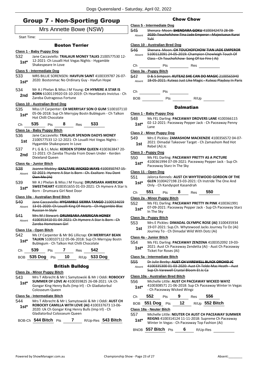# Group 7 - Non-Sporting Group

### Mrs Annette Bowe (NSW) Start Time: Boston Terrier **Class 1 - Baby Puppy Dog** 532 Jane Caccaviello: **TRALAUR MONEY TALKS** 2100577530 12- 12-2021: Ch Loualli Hot Vegas Nights - Hygamble **1st**\* 12-2021: Ch Loualli F<br>Shakespeare In Love **Class 5 - Intermediate Dog** 533 MRS BILLIE SORENSEN: **HAVFUN SAINT** 4100339787 26-07- 1st\* 2020: Bostonmac No Ordinary Guy - Havfun Hope 534 Mr A J Phelan & Miss J M Young: **CH HYMERE A STAR IS BORN** 6100119920 03-10-2019: Ch Heartbeats Invictus - Ch **2nd DURN DIVILIPS** *DURN* **DIVILIPS** *D*<sub>2</sub> **C**<br>Zareba Outrageous Fortune **Class 10 - Australian Bred Dog** 535 Miss LY Carpenter: **CH MERRYJAY SON O GUM** 5100107110 05-06-2018: Sup Ch Merryjay Bostn Bublegum - Ch Talkon 1st\* U<sub>D</sub>-UD-2018: Sup Ch Ch **535** Pts **8** Res **533 Class 1a - Baby Puppy Bitch** 536 Jane Caccaviello: **TRALAUR SPENDIN DADYS MONEY** 2100577533 12-12-2021: Ch Loualli Hot Vegas Nights - 1st 2100577533 12-12-2021: Ch Lo<br>Hygamble Shakespeare In Love 537 P L G & S L Mole: **KERDEN STORM QUEEN** 4100363847 20- 11-2021: Ch Zareba Thunda From Down Under - Kerden **2nd Divisional Queen 2nd Divisional Queen Class 4a - Junior Bitch** 538 Joanne Mobley: **EXALTARE WICKED WAYS** 4100350747 15- 02-2021: Hymere A Star Is Born - Ch. Exaltare You Dont Own Me (Ai) Absent 539 Mr A J Phelan & Miss J M Young: **DRUMSARA AMERICAN SWEETHEART** 4100351655 01-03-2021: Ch Hymere A Star Is **1st\* Born - Drumsara Girl Next Door - Drumsara Girl Next Door Class 10a - Australian Bred Bitch** 540 Jane Caccaviello: **HYGAMBLE SIERRA TANGO** 2100534659 13-01-2020: Ch Loualli King Of Hearts - Ch Hygamble Blac Russian In Style Absent 541 Mrs M J Stewart: **DRUMSARA AMERICAN HONEY** 4100353410 01-04-2021: Ch Hymere A Star Is Born - Ch Zareba Hometown Girl Absent **Class 11a - Open Bitch** 542 Ms LY Carpenter & Mr BG Lillicrap: **CH MERRYJAY BEAN TALKIN** 5100107112 05-06-2018: Sup Ch Merryjay Bostn **1st\* IALKIN** 5100107112 05-06-2018: Sup Ch N<br>Bublegum - Ch Talkon Hot Chilli Chocolate Ch **539** Pts **7** Res **542** BOB **535 Dog** Pts **10** R/Up **533 Dog** British Bulldog **Class 2a - Minor Puppy Bitch** 543 Mrs T Albrecht & Mr L Samytowski & Mr J Oddi: **ROBOCKY SUMMER OF LOVE AI** 4100359825 26-08-2021: Uk Ch Gongar King Henry Bulls (Imp Irl) - Ch Gladiatorbul Colosseum Queen **1st\* Class 5a - Intermediate Bitch**

- 544 Mrs T Albrecht & Mr L Samytowski & Mr J Oddi: **AUST CH ROBOCKY CAMILLA WITH LOVE (AI)** 4100337673 13-06- 2020: Uk Ch Gongar King Henry Bulls (Imp Irl) - Ch Gladiatorbul Colosseum Queen **1st\***
- BOB-Ch **544 Bitch** Pts **7** R/Up-Res **543 Bitch**

### Chow Chow

### **Class 5 - Intermediate Dog** 545 Shenara Moon: **SHENDARA GOKU** 4100342473 28-08- 2020: Touchofchow Tina Jade Emperor - Majestueux Kuroi Yuki Absent **Class 10 - Australian Bred Dog** 546 Shenara Moon: **CH TOUCHOFCHOW TIAN JADE EMPEROR** 5100112091 24-05-2019: Champion Chowleigh Touch Of Class - Ch Touchofchow Song Of Ice Fire ( Ai) Absent Ch Pts Res **Class 3a - Puppy Bitch** 547 D & S Simpson: **KUTEAZ SHE CAN DO MAGIC** 2100565940 Absent 18-05-2021: Kuteaz Just Like Magic - Kuteaz Playboy In Paris Ch Pts



### **Dalmatian**

### **Class 1 - Baby Puppy Dog**

- 548 Ms FEL Darling: **PACEAWAY DROVERS LANE** 4100366115
	- 02-12-2021: Paceaway Pepper Jack Ch Paceaway Penny Lane **1st\***

### **Class 2 - Minor Puppy Dog**

549 Mrs E Pickles: **ZAMASHOM MACKENZIE** 4100356572 04-07- 2021: Dimadal Takeover Target - Ch Zamashom Red Hot **1st** <sup>2021:</sup> Dimac<br>Rebel (Ai) Jc

### **Class 3 - Puppy Dog**

### 550 Ms FEL Darling: **PACEAWAY PRETTY AS A PICTURE**

4100361994 07-09-2021: Paceaway Pepper Jack - Sup Ch **1st**\* 4100361994 07-09-2021: F<br>Paceaway Starz In The Sky

### **Class 11 - Open Dog**

- 551 Jalorca Kennels: **AUST CH WHYTEWOOD GORDON OF THE GLEN** 3100427198 23-03-2021: Ch Instride The One And **1st\* GLEN** 3100427198 23-03-2021:<br>Only - Ch Kandyspot Kasandrah
- Ch **551** Pts **8** Res **550**

### **Class 2a - Minor Puppy Bitch**

552 Ms FEL Darling: **PACEAWAY PRETTY IN PINK** 4100361991 07-09-2021: Paceaway Pepper Jack - Sup Ch Paceaway Starz In The Sky **1st\***

#### **Class 3a - Puppy Bitch**

```
553 Mrs E Pickles: DIMADAL OLYMPIC ROSE (AI) 3100435934
```
19-07-2021: Sup.Ch. Whytewood Jacks Journey To Oz (Ai) Journey To - Ch Dimadal Wild With Dotz (Ai) **1st**

### **Class 4a - Junior Bitch**

554 Ms FEL Darling: **PACEAWAY ZENZENA** 4100352092 19-03-

2021: Aust Ch Paceaway Zendetta (Ai) - Aust Ch Paceaway **1st**\* <sup>2021: Aust Ch Pacea<br>Ticket For Roses (Ai)</sup>

### **Class 5a - Intermediate Bitch**

555 Dr Julie Beeby: **AUST CH VAREWELL BLACK ORCHID JC** 4100335300 01-03-2020: Aust Ch Telde Mac Heath - Aust Sup Ch Varewell Crystal Bloom Et Jc Ca Absent

### **Class 10a - Australian Bred Bitch**

- 556 Michelle Little: **AUST CH PACEAWAY WICKED WAYZ** 4100308571 21-06-2018: Sup Ch Paceaway Winter In Vegas - Ch Paceaway Wicked Wingz **1st\***
- Ch **552** Pts **9** Res **556**

|  | BOB $551$ Dog $_{\mathrm{Pts}}$ |  | 12 |  | $R/Up$ 552 Bitch |
|--|---------------------------------|--|----|--|------------------|
|--|---------------------------------|--|----|--|------------------|

### **Class 18a - Neuter Bitch**

557 Michelle Little: **NEUTER CH AUST CH PACEAWAY SUMMER REIGNS** 4100314124 11-11-2018: Supreme Ch Paceaway Winter In Vegas - Ch Paceaway Top Fashion (Ai) **1st\***

BNOB **557 Bitch** Pts **6** R/Up-Res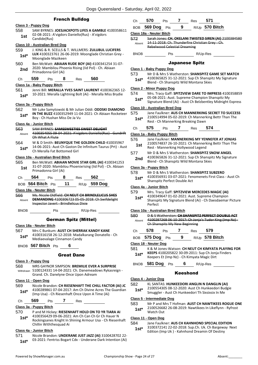|                                |                                                                                                                                           |                                                                 |                |     | Dogs Queensland - S                                                                                                  |  |
|--------------------------------|-------------------------------------------------------------------------------------------------------------------------------------------|-----------------------------------------------------------------|----------------|-----|----------------------------------------------------------------------------------------------------------------------|--|
|                                |                                                                                                                                           |                                                                 | French Bulldog |     |                                                                                                                      |  |
| Class 3 - Puppy Dog            |                                                                                                                                           |                                                                 |                |     |                                                                                                                      |  |
| 558<br>1st                     | SAM BYRNES: JOESJACKPOTS LIFES A GAMBLE 4100358611<br>02-08-2021: A'vigdors Daniello(Rus) - A'vigdors<br>Candide(Rus)                     |                                                                 |                |     |                                                                                                                      |  |
| Class 10 - Australian Bred Dog |                                                                                                                                           |                                                                 |                |     |                                                                                                                      |  |
| 559<br>$1st*$                  | J. KING & R. SCELLS & T. WILLMERS: <b>ZULUBUL LUCIFERS</b><br>LUX 4100323761 26-06-2019: Moonglade Christian Grey -<br>Moonglade Mazikeen |                                                                 |                |     |                                                                                                                      |  |
| 560<br>2nd                     | Ben McWatt: ABIAAN RUDE BOY (AI) 4100341254 31-07-<br>2020: Mambilou Phoenix Rising (Iid Pol) - Ch. Abiaan<br>Primadonna Girl (Ai)        |                                                                 |                |     |                                                                                                                      |  |
| Ch                             | 559                                                                                                                                       | Pts                                                             | 8              | Res | 560                                                                                                                  |  |
| Class 1a - Baby Puppy Bitch    |                                                                                                                                           |                                                                 |                |     |                                                                                                                      |  |
| 561<br>$1st^*$                 | Jenni Bill: MERALLA YVES SAINT LAURENT 4100362365 12-<br>10-2021: Meralla Lightning Bolt (Ai) - Meralla Miss Brydie                       |                                                                 |                |     |                                                                                                                      |  |
| Class 3a - Puppy Bitch         |                                                                                                                                           |                                                                 |                |     |                                                                                                                      |  |
| 562<br>$1st^*$                 |                                                                                                                                           | Boy - Ch Hushan Miss De Ja Vu                                   |                |     | Mr Luke Samytowski & Mr Julian Oddi: ODDSKI DIAMOND<br><b>IN THE BUZZ 4100352949 11-04-2021: Ch Abiaan Rocketeer</b> |  |
| Class 4a - Junior Bitch        |                                                                                                                                           |                                                                 |                |     |                                                                                                                      |  |
| 563<br>Absent                  |                                                                                                                                           | Oh What A Flute                                                 |                |     | SAM BYRNES: SAMSSWEETIES SWEET DELIGHT<br>4100354055 09-04-2021: A'vigdors Daniello(Rus) - Gundrift                  |  |
| <b>FO</b> 4                    |                                                                                                                                           | $\mathbf{M} \cdot \mathbf{A} \cdot \mathbf{B} \cdot \mathbf{A}$ |                |     | $M$ $\Omega$ ur Tur Countel Cuun 4400350                                                                             |  |

#### **Class 1a - Baby Puppy Bitch**

#### **Class**

#### **Class 4a - Junior Bitch**

| viass <del>t</del> a              | <b>JUILUI DILUI</b>                                                                                                                                    |     |    |                                                                                                                                                           |                |  |
|-----------------------------------|--------------------------------------------------------------------------------------------------------------------------------------------------------|-----|----|-----------------------------------------------------------------------------------------------------------------------------------------------------------|----------------|--|
| 563<br>Absent                     | SAM RYRNES: CAMSSUVEETIES SIMEET DELIGI<br>4100354055 09-04-2021: A'vigdors Daniello(Rus)<br>Oh What A Flute                                           |     |    |                                                                                                                                                           |                |  |
| 564<br>$1st^*$                    | W & D Smith: <b>BEUNYQUE THE GOLDEN CHILD</b> 410035967<br>14-06-2021: Aust Ch Gaston De Infinitum Taurus (Prt) - Aust<br>Ch Meralla Fat Bottomed Girl |     |    |                                                                                                                                                           |                |  |
| Class 10a - Australian Bred Bitch |                                                                                                                                                        |     |    |                                                                                                                                                           |                |  |
| 565<br>1st                        | Ben McWatt: ABIAAN MOVIE STAR GIRL (AI) 4100341253<br>31-07-2020: Mambilou Phoenixrising (Iid Pol) - Ch. Abiaan<br>Primadonna Girl (Ai)                |     |    |                                                                                                                                                           |                |  |
| Сh                                | 564                                                                                                                                                    | Pts | 8  | Res                                                                                                                                                       | 562            |  |
|                                   | BOB 564 Bitch Pts                                                                                                                                      |     | 11 | R/Up                                                                                                                                                      | <b>559 Dog</b> |  |
| Class 18a - Neuter Bitch          |                                                                                                                                                        |     |    |                                                                                                                                                           |                |  |
| 566<br>Absent                     |                                                                                                                                                        |     |    | Ms. Nicole Oldfield: CH NEUT CH BRINDLELICUS SHES<br><b>DEMANDING</b> 4100306723 05-05-2018: Ch Swifdelight<br><b>Inspector Javert Brindlelicus Dixie</b> |                |  |
| BNOB                              |                                                                                                                                                        | Pts |    |                                                                                                                                                           | R/Up-Res       |  |

### German Spitz (Mittel)

#### **Class 18a - Neuter Bitch**

- 567 Mrs C Bunkum: **AUST CH SHERRAK KANDY KANE** 4100316158 26-12-2018: Madalkarang Donatello - Ch Mediaevalage Cinnamon Candy **1st\***
- BNOB **567 Bitch** Pts **6**

#### Great Dane

#### **Class 3 - Puppy Dog**

568 MRS GAYNOR SIMPSON: **BREMILIE EVER A SURPRISE** 5100124331 14-04-2021: Ch. Danemeadows Rykasreign - Grand. Ch. Danelyne Once Upon Adream Withdrawn

#### **Class 11 - Open Dog**

569 Nicole Brandon: **CH RIESENHAFT THE CHILL FACTOR (AI) JC** 4100289861 07-04-2017: Am Ch Divine Acres The Guardian (Imp Usa) - Ch Riesenhaft Once Upon A Time (Ai) **1st\***

Ch **569** Pts **7** Res

### **Class 3a - Puppy Bitch**

570 P and M Hickey: **RIESENHAFT HOLD ON TO YR TIARA AI** 4100356429 09-06-2021: Am Ch Can Ch Gr Ch Hauer N Rockingsanes Knight In Shining Armour Usa - Ch Riesenhaft Chillin Withthesquad Ai **1st\***

#### **Class 4a - Junior Bitch**

571 Nicole Brandon: **UNDERANE JUST JAZZ (AI)** 3100428702 22- 03-2021: Fentriss Bogart Cdx - Underane Dark Intention (Ai) **1st\***

| Ch                               | <b>570</b> Pts 7                                                                                                                                                        |     |   | Res 571               |                |  |  |
|----------------------------------|-------------------------------------------------------------------------------------------------------------------------------------------------------------------------|-----|---|-----------------------|----------------|--|--|
|                                  | BOB 569 Dog Pts                                                                                                                                                         |     | 9 |                       | R/Up 570 Bitch |  |  |
|                                  | Class 18a - Neuter Bitch                                                                                                                                                |     |   |                       |                |  |  |
| 572<br>Absent                    | Sarah Jones: CH. OKELANI TWISTED SIREN (AI) 2100384580<br>14 11 2018: Ch. Thunderfire Christian Grey Ch.<br><b>Rebelwood Celestial Dreaming</b>                         |     |   |                       |                |  |  |
| <b>BNOB</b>                      |                                                                                                                                                                         |     |   |                       |                |  |  |
|                                  |                                                                                                                                                                         |     |   | <b>Japanese Spitz</b> |                |  |  |
| <u> Class 1 - Baby Puppy Doq</u> |                                                                                                                                                                         |     |   |                       |                |  |  |
| 573 -<br>$1st*$                  | Mr D & Mrs S Watherston: SHANSPITZ GAME SET MATCH<br>4100365825 31-12-2021: Sup Ch Shanspitz My Signature<br>Blend - Ch Shanspitz Wild Montana Skies                    |     |   |                       |                |  |  |
| <b>Class 2 - Minor Puppy Dog</b> |                                                                                                                                                                         |     |   |                       |                |  |  |
| 574<br>$1st^*$                   | Mrs. Tracy Gaff: SPITZVIEW DARE TO IMPRESS 4100358859<br>05-08-2021: Aust. Supreme Champion Shanspitz My<br>Signature Blend (Ai) - Aust Ch Belzbentley Midnight Express |     |   |                       |                |  |  |
| Class 10 - Australian Bred Dog   |                                                                                                                                                                         |     |   |                       |                |  |  |
| 575<br>$1st*$                    | Jane Faulkner: AUS CH MANNERKING SECRET TO SUCCESS<br>2100514994 05-02-2019: Ch Mannerking Bettr Than The<br>Rest - Ch Mannerking Breaking Dawn                         |     |   |                       |                |  |  |
| Ch                               | 575                                                                                                                                                                     | Pts |   | Res                   | 574            |  |  |
|                                  | Class 1a - Baby Puppy Bitch                                                                                                                                             |     |   |                       |                |  |  |

- 576 Jane Faulkner: **MANNERKING MY YENNEFER AT JONJAS** 2100574837 26-10-2021: Ch Mannerking Bettr Than The 1st <sup>2100574837</sup> 20-10-2021: Ch Mannerk<br>Rest - Mannerking Hollywood Legend 577 Mr D & Mrs S Watherston: **SHANSPITZ SNOW ANGEL**
- 4100365826 31-12-2021: Sup Ch Shanspitz My Signature **2nd** 4100365826 31-12-2021: Sup Ch Shanspitz Wild Montana Skies

#### **Class 3a - Puppy Bitch**

| 578    | Mr D & Mrs S Watherston: <b>SHANSPITZ SUBZERO</b>       |
|--------|---------------------------------------------------------|
| $1st*$ | 4100356931 03-07-2021: Fenomenets First Class - Aust Ch |
|        | Shanspitz Perfect Double Act                            |

#### **Class 4a - Junior Bitch**

- 579 Mrs. Tracy Gaff: **SPITZVIEW MERCEDES MAGIC (AI)**
- 4100349647 01-02-2021: Aust. Supreme Champion Shanspitz My Signature Blend (Ai) - Ch Daesdaemar Picture Perfect **1st\***

### **Class 10a - Australian Bred Bitch**

- 580 D & S Watherston: **CH SHANSPITZ PERFECT DOUBLE ACT**
	- 4100297268 06-10-2017: Ch Jonja's Tudor King (Imp Nz) Ch Shanspitz My New Beginning Absent

| Ch. | 578               | <b>Pts</b> |     | Res <b>579</b>   |
|-----|-------------------|------------|-----|------------------|
|     | BOB $575$ Dog Pts |            | - 9 | $R/Up$ 578 Bitch |

#### **Class 18 - Neuter Dog**

- 581 K & M Jones-Watson: **CH NEUT CH KIMYATA PLAYING FOR KEEPS** 4100205822 30-09-2011: Sup Ch Jonja Finders **1st\*** KEEPS 4100205822 30-09-2011: Sup Ch Jonj<br>Keepers Et (Imp Nz) - Ch Kimyata Magic Dirt
- BNOB **581 Dog** Pts **6** R/Up-Res

#### Keeshond

### **Class 4 - Junior Dog**

- 582 KL SANTAS: **HUNKEEDORI ANGLIN N DANGLIN (AI)**
- 2100554305 08-12-2020: Aust Ch Hunkeedori Budgie Smuggler - Aust Ch Hunkeedori Th Sixsixsix In Me **1st\***
- 

### **Class 5 - Intermediate Dog**

- 583 Mr P and Mrs T Hofman: **AUST CH NAWTIKEES ROGUE ONE**
	- 2100526682 26-08-2019: Nawtikees In Likeflynn Ryfrost Watch Out **1st\***

#### **Class 11 - Open Dog**

- 584 Jane Faulkner: **AUS CH KAHNHOND SPECIAL EDITION**
	- 3100372141 22-02-2018: Sup.Ch. Uk. Ch Bargeway Next Edition (Imp Uk ) - Kahnhond Dreamin Of Destiny **1st\***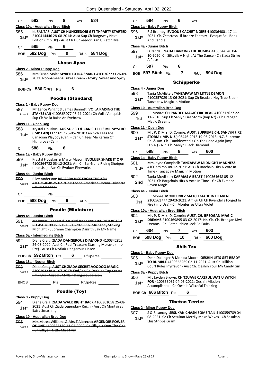| 582<br>584<br>8<br>Ch<br>Pts<br>Res                                                                                                     | 594<br>6<br>Сh<br>Pts<br>Res                                                                                                    |
|-----------------------------------------------------------------------------------------------------------------------------------------|---------------------------------------------------------------------------------------------------------------------------------|
| Class 10a - Australian Bred Bitch                                                                                                       | Class 1a - Baby Puppy Bitch                                                                                                     |
| 585<br>KL SANTAS: AUST CH HUNKEEDORI GET THPARTY STARTED<br>2100414446 28-08-2014: Aust Sup Ch Bargeway Next<br>$1st*$                  | 596<br>R S Brumby: EVOQUE CACHET NOIRE 4100364001 17-11-<br>2021: Ch. Zstartoys Lil Bronze Fantasy - Evoque Bell Book<br>$1st*$ |
| Edition (Imp Uk) - Aust Ch Hunkeedori Kan U Katch Me                                                                                    | And Candle                                                                                                                      |
| 585<br>6<br>Pts<br>Ch                                                                                                                   | Class 4a - Junior Bitch<br>D Randal: ZIADA DANCING THE RUMBA 4100344546 04-                                                     |
| BOB 582 Dog Pts 9<br>R/Up 584 Dog                                                                                                       | 597<br>10-2020: Ch Silkyelk A Night At The Dance - Ch Ziada Strike<br>$1st*$<br>A Pose                                          |
| <b>Lhasa Apso</b>                                                                                                                       | 597<br>Pts<br>6<br>Ch                                                                                                           |
| Class 2 - Minor Puppy Dog                                                                                                               |                                                                                                                                 |
| 586<br>Mrs Susan Mole: MYIKYI EXTRA SMART 4100362233 26-09-<br>2021: Noonameena Lukes Dream - Myikyi Sweet And Spicy<br>$1st*$          | BOB 597 Bitch Pts<br>$\overline{7}$<br>$R/Up$ 594 Dog                                                                           |
|                                                                                                                                         | <b>Schipperke</b>                                                                                                               |
| BOB-Ch 586 Dog Pts<br>6                                                                                                                 | Class 4 - Junior Dog<br>598<br>Tania McAlister: TANZAPAW MY LITTLE DEMON                                                        |
| <b>Poodle (Standard)</b>                                                                                                                | 4100357089 13-06-2021: Sup Ch Beadale Hey True Blue -<br>$1st*$<br><b>Tanzapaw Magic In Motion</b>                              |
| Class 1 - Baby Puppy Dog                                                                                                                | Class 10 - Australian Bred Dog                                                                                                  |
| Mr Lance Wright & James Bennett: VOILA RAISING THE<br>587<br>STAKES (AI) 4100363077 06-11-2021: Ch Voila Vanquish -<br>Absent           | 599<br>J R Moore: CH PANDEC MAGIC FIRE BEAR 4100313627 22-                                                                      |
| Sup Ch Voila Raise An Eyebrow                                                                                                           | 11-2018: Sup Ch Sanlyn Fire Storm (Imp Nz) - Ch Breogan<br>1st<br><b>Magic Dreams</b>                                           |
| Class 11 - Open Dog<br>588<br>Krystal Flouskos: AUS SUP CH & CAN CH TEES ME MYSTRO                                                      | Class 11 - Open Dog                                                                                                             |
| (IMP CAN) FJ773217 25-05-2018: Can Gch Tees Me<br>$1st*$                                                                                | Mr. P. & Mrs. D. Comrie: AUST. SUPREME CH. SANLYN FIRE<br>600                                                                   |
| Canadian Playboy (Can) - Can Ch Tees Me Karma Of<br>Highgrove (Can)                                                                     | STORM (IMP. N.Z.) 03446-2013 19-05-2013: N.Z. Supreme<br>$1st*$<br>Ch. & Am. Ch. Tumbleweed's On The Road Again (Imp.           |
| 588<br>6<br>Pts<br>Ch                                                                                                                   | U.S.A.) - N.Z. Ch. Sanlyn Black Diamond                                                                                         |
| Class 1a - Baby Puppy Bitch                                                                                                             | 598<br>8<br>600<br>Ch<br>Pts<br>Res                                                                                             |
| Krystal Flouskos & Marty Mason: EVOLUER SHAKE IT OFF<br>589                                                                             | Class 1a - Baby Puppy Bitch<br>601<br>Mrs Jayne Campbell: TANZAPAW MIDNIGHT MADNESS                                             |
| 4100364782 03-12-2021: Am Ch Bar-None Riding Shotgun<br>$1st^*$<br>(Imp Usa) - Aus Ch Evoluer Fireworks                                 | 4100329255 08-12-2021: Aus Ch Barchain Hits A Vote In<br>$1st*$<br>Time - Tanzapaw Magic In Motion                              |
| Class 4a - Junior Bitch                                                                                                                 | 602<br>Tania McAlister: KARMAS A BEAST 4100364648 05-12-                                                                        |
| Riley Anderson: RIVIERRA RISE FROM THE ASH<br>590<br>4100354048 25-02-2021: Loana American Dream - Rivierra<br>Absent<br>Raven Elegance | 2021: Ch Bargchain Hits A Vote In Time - Gr Ch Exmoor<br>2nd<br>Raven Magic                                                     |
|                                                                                                                                         | Class 4a - Junior Bitch                                                                                                         |
| Pts<br>Сh                                                                                                                               | 603<br>J R Moore: MONTERREZ MATCH MADE IN HEAVEN                                                                                |
| 6<br>588 Dog<br>Pts<br>R/Up<br><b>BOB</b>                                                                                               | 2100561777 29-03-2021: Am Gr Ch Ch Rivendel's Forged In<br>1st<br>Fire (Imp Usa) - Ch Monterrez Ultra Violet                    |
| <b>Poodle (Miniature)</b>                                                                                                               | Class 10a - Australian Bred Bitch                                                                                               |
| Class 4a - Junior Bitch                                                                                                                 | 604<br>Mr. P. & Mrs. D. Comrie: AUST. CH. BREOGAN MAGIC<br>DREAMS 2100469895 03-02-2017: Nz. Ch. Ch. Breogan Kiwi               |
| 591<br>Mr James Bennett & Ms Kirri Jacobson: DANRITH BEACH<br>PLEASE 4100351505 18 03 2021: Ch. Michandy Striking<br>Absent             | $1st^*$<br>Dreams - Ch. Bateauchien Jack Be Quick                                                                               |
| Midnight - Supreme Champion Danrith Say My Name                                                                                         | 604<br>603<br>Pts 7<br>Res<br>Ch                                                                                                |
| Class 5a - Intermediate Bitch<br>592<br>Diane Craig: ZIADA DANGEROUS DIAMOND 4100342823                                                 | BOB 598 Dog Pts 10 R/Up 600 Dog                                                                                                 |
| 24-08-2020: Aust Ch Real Treasure Starring Moravia (Imp<br>$1st^*$<br>Cze) - Aust Ch Myflair Dangerous Liason                           | <b>Shih Tzu</b>                                                                                                                 |
| BOB-Ch 592 Bitch Pts 6 R/Up-Res                                                                                                         | Class 1 - Baby Puppy Dog                                                                                                        |
| Class 18a - Neuter Bitch                                                                                                                | 605<br>Dean Dallinger & Monica Moore: OESHIH LETS GET READY<br>TO RUMBLE 4100363269 02-11-2021: Aust Ch. Killilan               |
| 593<br>Diane Craig: AUST CH ZIADA SECRET VOODOO MAGIC                                                                                   | $1st*$<br>Court Rules Inyrfavor - Aust Ch. Oeshih Your My Candy Girl                                                            |
| 4100293248 01-07-2017: End/Int/Ch Dechine Top Secret<br>Absent                                                                          | Class 3a - Puppy Bitch                                                                                                          |
| (Imk Uk) - Aust Ch Myflair Dangerous Liason<br>Pts R/Up-Res<br><b>BNOB</b>                                                              | 606<br>Mr. Jayden Brown: CH TZUAVE CAREFUL WAT U WITCH<br>FOR 4100353031 04-05-2021: Oeshih Mission<br>$1st*$                   |
|                                                                                                                                         | Accomplished - Ch Oeshih Witchful Thinking                                                                                      |
| Poodle (Toy)                                                                                                                            | BOB-Ch 606 Bitch Pts<br>6                                                                                                       |
| Class 3 - Puppy Dog                                                                                                                     | <b>Tibetan Terrier</b>                                                                                                          |
| 594<br>Diane Craig: ZIADA WALK RIGHT BACK 4100361058 25-08-<br>2021: Aust Ch Ziada Legendary Reign - Aust Ch Montaires                  |                                                                                                                                 |
| $1st*$<br><b>Extra Smashing</b>                                                                                                         | Class 2 - Minor Puppy Dog<br>607<br>S & B Lancey: SESUKAN CHASN SOME TAIL 4100359789 04-                                        |
| <b>Class 10 - Australian Bred Dog</b>                                                                                                   | 08-2021: Gr Ch Sesukan Merrily Makn Waves - Ch Sesukan<br>$1st*$                                                                |
| Mrs Marea Williams & Mrs T Albrecht: ARGENOIR POWER<br>595                                                                              | Lhis Strippa Gram                                                                                                               |
| OF ONE 4100336139 24-04-2020: Ch Silkyelk Your The One<br>Absent                                                                        |                                                                                                                                 |

### ibetan Terrier

#### **Class 2 - Minor Puppy Dog**

- Ch Silkyelk Little Miss I Am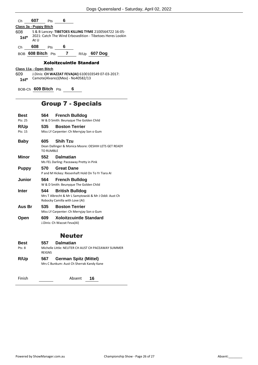| Ch             | 607                    | <b>Pts</b> | 6                                 |      |                                                                                                                    |  |  |
|----------------|------------------------|------------|-----------------------------------|------|--------------------------------------------------------------------------------------------------------------------|--|--|
|                | Class 3a - Puppy Bitch |            |                                   |      |                                                                                                                    |  |  |
| 608<br>$1st*$  | At U                   |            |                                   |      | S & B Lancey: TIBETOES KILLING TYME 2100564722 16-05-<br>2021: Catch The Wind Erbosedition - Tibetoes Heres Lookin |  |  |
| Ch             | 608                    | <b>Pts</b> | 6                                 |      |                                                                                                                    |  |  |
| <b>BOB</b>     | 608 Bitch $Pts$        |            | 7                                 | R/Up | 607 Dog                                                                                                            |  |  |
|                |                        |            | <b>Xoloitzcuintle Standard</b>    |      |                                                                                                                    |  |  |
|                | Class 11a - Open Bitch |            |                                   |      |                                                                                                                    |  |  |
| 609<br>$1st^*$ |                        |            | Camote(Alvarez)(Mex) - No40582/13 |      | J.Dinis: CH WAZZAT FEVA(AI) 6100103549 07-03-2017:                                                                 |  |  |

BOB-Ch **609 Bitch** Pts **6**

# Group 7 - Specials

| Best         | 564                      | <b>French Bulldog</b>                                                                                             |
|--------------|--------------------------|-------------------------------------------------------------------------------------------------------------------|
| Pts: 25      |                          | W & D Smith: Beunyque The Golden Child                                                                            |
| R/Up         | 535                      | <b>Boston Terrier</b>                                                                                             |
| Pts: 15      |                          | Miss LY Carpenter: Ch Merryjay Son o Gum                                                                          |
| <b>Baby</b>  | 605.<br><b>TO RUMBLE</b> | <b>Shih Tzu</b><br>Dean Dallinger & Monica Moore: OESHIH LETS GET READY                                           |
| Minor        | 552                      | <b>Dalmatian</b><br>Ms FEL Darling: Paceaway Pretty in Pink                                                       |
| <b>Puppy</b> | 570                      | <b>Great Dane</b><br>P and M Hickey: Riesenhaft Hold On To Yr Tiara AI                                            |
| Junior       | 564                      | <b>French Bulldog</b><br>W & D Smith: Beunyque The Golden Child                                                   |
| Inter        | 544                      | <b>British Bulldog</b><br>Mrs T Albrecht & Mr L Samytowski & Mr J Oddi: Aust Ch<br>Robocky Camilla with Love (AI) |
| Aus Br       | 535                      | <b>Boston Terrier</b><br>Miss LY Carpenter: Ch Merryjay Son o Gum                                                 |
| Open         | 609                      | <b>Xoloitzcuintle Standard</b><br>J.Dinis: Ch Wazzat Feva(AI)                                                     |
|              |                          | <b>Neuter</b>                                                                                                     |
| Best         | 557                      | <b>Dalmatian</b>                                                                                                  |
| Pts: 8       | <b>REIGNS</b>            | Michelle Little: NEUTER CH AUST CH PACEAWAY SUMMER                                                                |
| R/Up         | 567                      | <b>German Spitz (Mittel)</b>                                                                                      |
|              |                          | Mrs C Bunkum: Aust Ch Sherrak Kandy Kane                                                                          |

Finish Absent 16